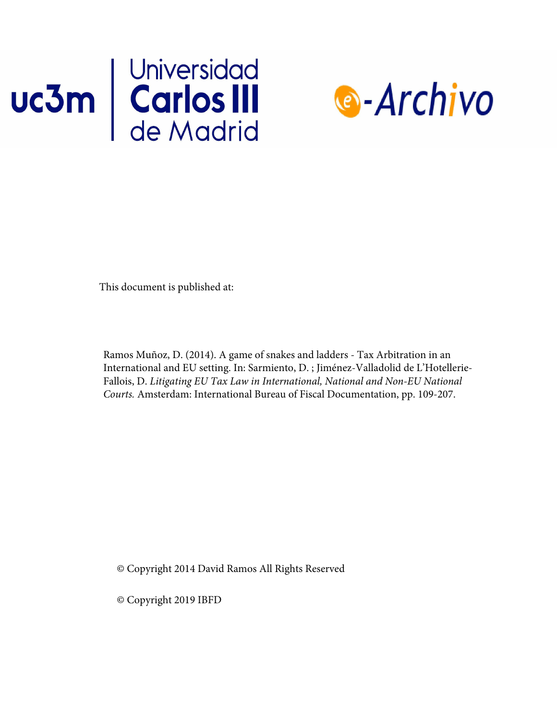



This document is published at:

Ramos Muñoz, D. (2014). A game of snakes and ladders - Tax Arbitration in an International and EU setting. In: Sarmiento, D. ; Jiménez-Valladolid de L'Hotellerie-Fallois, D. *Litigating EU Tax Law in International, National and Non-EU National Courts.* Amsterdam: International Bureau of Fiscal Documentation, pp. 109-207.

© Copyright 2014 David Ramos All Rights Reserved

© Copyright 2019 IBFD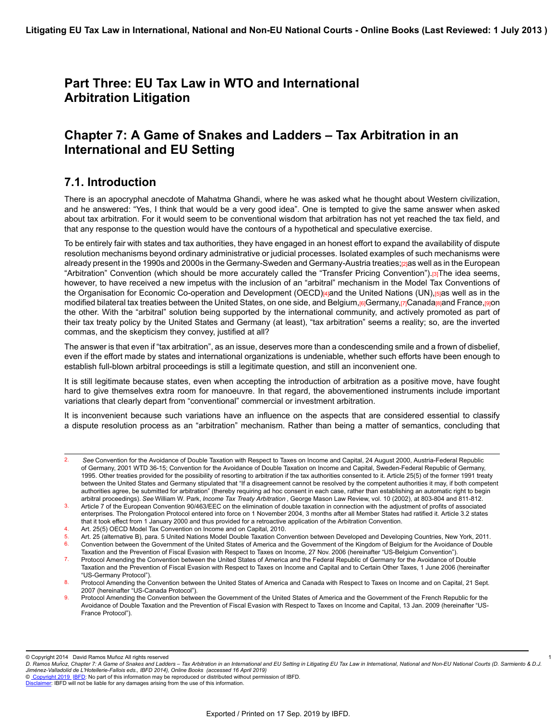# **Part Three: EU Tax Law in WTO and International Arbitration Litigation**

# **Chapter 7: A Game of Snakes and Ladders – Tax Arbitration in an International and EU Setting**

## **7.1. Introduction**

There is an apocryphal anecdote of Mahatma Ghandi, where he was asked what he thought about Western civilization, and he answered: "Yes, I think that would be a very good idea". One is tempted to give the same answer when asked about tax arbitration. For it would seem to be conventional wisdom that arbitration has not yet reached the tax field, and that any response to the question would have the contours of a hypothetical and speculative exercise.

To be entirely fair with states and tax authorities, they have engaged in an honest effort to expand the availability of dispute resolution mechanisms beyond ordinary administrative or judicial processes. Isolated examples of such mechanisms were already present in the 1990s and 2000s in the Germany-Sweden and Germany-Austria treaties;[2]as well as in the European "Arbitration" Convention (which should be more accurately called the "Transfer Pricing Convention").[3]The idea seems, however, to have received a new impetus with the inclusion of an "arbitral" mechanism in the Model Tax Conventions of the Organisation for Economic Co-operation and Development (OECD)[4]and the United Nations (UN),[5]as well as in the modified bilateral tax treaties between the United States, on one side, and Belgium, <sup>[6]</sup>Germany, [7]Canada[8]and France, [9]on the other. With the "arbitral" solution being supported by the international community, and actively promoted as part of their tax treaty policy by the United States and Germany (at least), "tax arbitration" seems a reality; so, are the inverted commas, and the skepticism they convey, justified at all?

The answer is that even if "tax arbitration", as an issue, deserves more than a condescending smile and a frown of disbelief, even if the effort made by states and international organizations is undeniable, whether such efforts have been enough to establish full-blown arbitral proceedings is still a legitimate question, and still an inconvenient one.

It is still legitimate because states, even when accepting the introduction of arbitration as a positive move, have fought hard to give themselves extra room for manoeuvre. In that regard, the abovementioned instruments include important variations that clearly depart from "conventional" commercial or investment arbitration.

It is inconvenient because such variations have an influence on the aspects that are considered essential to classify a dispute resolution process as an "arbitration" mechanism. Rather than being a matter of semantics, concluding that

Taxation and the Prevention of Fiscal Evasion with Respect to Taxes on Income, 27 Nov. 2006 (hereinafter "US-Belgium Convention").

© Copyright 2014 David Ramos Muñoz All rights reserved

1

© [Copyright 2019](http://www.ibfd.org/Copyright-IBFD) [IBFD:](http://www.ibfd.org) No part of this information may be reproduced or distributed without permission of IBFD.

<sup>2.</sup> *See* Convention for the Avoidance of Double Taxation with Respect to Taxes on Income and Capital, 24 August 2000, Austria-Federal Republic of Germany, 2001 WTD 36-15; Convention for the Avoidance of Double Taxation on Income and Capital, Sweden-Federal Republic of Germany, 1995. Other treaties provided for the possibility of resorting to arbitration if the tax authorities consented to it. Article 25(5) of the former 1991 treaty between the United States and Germany stipulated that "If a disagreement cannot be resolved by the competent authorities it may, if both competent authorities agree, be submitted for arbitration" (thereby requiring ad hoc consent in each case, rather than establishing an automatic right to begin arbitral proceedings). *See* William W. Park, *Income Tax Treaty Arbitration* , George Mason Law Review, vol. 10 (2002), at 803-804 and 811-812.

<sup>3.</sup> Article 7 of the European Convention 90/463/EEC on the elimination of double taxation in connection with the adjustment of profits of associated enterprises. The Prolongation Protocol entered into force on 1 November 2004, 3 months after all Member States had ratified it. Article 3.2 states that it took effect from 1 January 2000 and thus provided for a retroactive application of the Arbitration Convention.

Art. 25(5) OECD Model Tax Convention on Income and on Capital, 2010.

<sup>5.</sup> Art. 25 (alternative B), para. 5 United Nations Model Double Taxation Convention between Developed and Developing Countries, New York, 2011. 6. Convention between the Government of the United States of America and the Government of the Kingdom of Belgium for the Avoidance of Double

<sup>7.</sup> Protocol Amending the Convention between the United States of America and the Federal Republic of Germany for the Avoidance of Double Taxation and the Prevention of Fiscal Evasion with Respect to Taxes on Income and Capital and to Certain Other Taxes, 1 June 2006 (hereinafter "US-Germany Protocol").

<sup>8.</sup> Protocol Amending the Convention between the United States of America and Canada with Respect to Taxes on Income and on Capital, 21 Sept. 2007 (hereinafter "US-Canada Protocol").

<sup>9.</sup> Protocol Amending the Convention between the Government of the United States of America and the Government of the French Republic for the Avoidance of Double Taxation and the Prevention of Fiscal Evasion with Respect to Taxes on Income and Capital, 13 Jan. 2009 (hereinafter "US-France Protocol").

*D. Ramos Munoz, Chapter 7: A Game of Snakes and Ladders – Tax Arbitration in an International and EU Setting in Litigating EU Tax Law in International, National and Non-EU National Courts (D. Sarmiento & D.J. ̃ Jimenez-Valladolid de L'Hotellerie-Fallois eds., IBFD 2014), Online Books (accessed 16 April 2019) ́*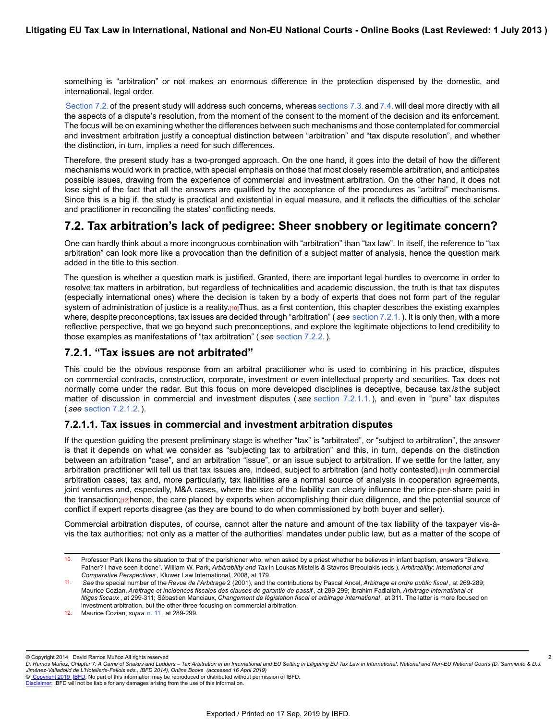something is "arbitration" or not makes an enormous difference in the protection dispensed by the domestic, and international, legal order.

[Section 7.2.](https://research.ibfd.org/#/doc?url=/linkresolver/static/letl_p04_c02_s_7.2.#letl_p04_c02_s_7.2.) of the present study will address such concerns, whereas [sections 7.3.](https://research.ibfd.org/#/doc?url=/linkresolver/static/letl_p04_c02_s_7.3.#letl_p04_c02_s_7.3.) and [7.4.](https://research.ibfd.org/#/doc?url=/linkresolver/static/letl_p04_c02_s_7.4.#letl_p04_c02_s_7.4.) will deal more directly with all the aspects of a dispute's resolution, from the moment of the consent to the moment of the decision and its enforcement. The focus will be on examining whether the differences between such mechanisms and those contemplated for commercial and investment arbitration justify a conceptual distinction between "arbitration" and "tax dispute resolution", and whether the distinction, in turn, implies a need for such differences.

Therefore, the present study has a two-pronged approach. On the one hand, it goes into the detail of how the different mechanisms would work in practice, with special emphasis on those that most closely resemble arbitration, and anticipates possible issues, drawing from the experience of commercial and investment arbitration. On the other hand, it does not lose sight of the fact that all the answers are qualified by the acceptance of the procedures as "arbitral" mechanisms. Since this is a big if, the study is practical and existential in equal measure, and it reflects the difficulties of the scholar and practitioner in reconciling the states' conflicting needs.

## **7.2. Tax arbitration's lack of pedigree: Sheer snobbery or legitimate concern?**

One can hardly think about a more incongruous combination with "arbitration" than "tax law". In itself, the reference to "tax arbitration" can look more like a provocation than the definition of a subject matter of analysis, hence the question mark added in the title to this section.

The question is whether a question mark is justified. Granted, there are important legal hurdles to overcome in order to resolve tax matters in arbitration, but regardless of technicalities and academic discussion, the truth is that tax disputes (especially international ones) where the decision is taken by a body of experts that does not form part of the regular system of administration of justice is a reality.<sup>[10]</sup>Thus, as a first contention, this chapter describes the existing examples where, despite preconceptions, tax issues are decided through "arbitration" ( *see* [section 7.2.1.](https://research.ibfd.org/#/doc?url=/linkresolver/static/letl_p04_c02_s_7.2.1.#letl_p04_c02_s_7.2.1.)). It is only then, with a more reflective perspective, that we go beyond such preconceptions, and explore the legitimate objections to lend credibility to those examples as manifestations of "tax arbitration" ( *see* [section 7.2.2.](https://research.ibfd.org/#/doc?url=/linkresolver/static/letl_p04_c02_s_7.2.2.#letl_p04_c02_s_7.2.2.)).

### **7.2.1. "Tax issues are not arbitrated"**

This could be the obvious response from an arbitral practitioner who is used to combining in his practice, disputes on commercial contracts, construction, corporate, investment or even intellectual property and securities. Tax does not normally come under the radar. But this focus on more developed disciplines is deceptive, because tax *is* the subject matter of discussion in commercial and investment disputes ( *see* [section 7.2.1.1.](https://research.ibfd.org/#/doc?url=/linkresolver/static/letl_p04_c02_s_7.2.1.1.#letl_p04_c02_s_7.2.1.1.)), and even in "pure" tax disputes ( *see* [section 7.2.1.2.](https://research.ibfd.org/#/doc?url=/linkresolver/static/letl_p04_c02_s_7.2.1.2.#letl_p04_c02_s_7.2.1.2.)).

### **7.2.1.1. Tax issues in commercial and investment arbitration disputes**

If the question guiding the present preliminary stage is whether "tax" is "arbitrated", or "subject to arbitration", the answer is that it depends on what we consider as "subjecting tax to arbitration" and this, in turn, depends on the distinction between an arbitration "case", and an arbitration "issue", or an issue subject to arbitration. If we settle for the latter, any arbitration practitioner will tell us that tax issues are, indeed, subject to arbitration (and hotly contested).[11]In commercial arbitration cases, tax and, more particularly, tax liabilities are a normal source of analysis in cooperation agreements, joint ventures and, especially, M&A cases, where the size of the liability can clearly influence the price-per-share paid in the transaction;[12]hence, the care placed by experts when accomplishing their due diligence, and the potential source of conflict if expert reports disagree (as they are bound to do when commissioned by both buyer and seller).

Commercial arbitration disputes, of course, cannot alter the nature and amount of the tax liability of the taxpayer vis-àvis the tax authorities; not only as a matter of the authorities' mandates under public law, but as a matter of the scope of

© Copyright 2014 David Ramos Muñoz All rights reserved

2

<sup>10.</sup> Professor Park likens the situation to that of the parishioner who, when asked by a priest whether he believes in infant baptism, answers "Believe, Father? I have seen it done". William W. Park, *Arbitrability and Tax* in Loukas Mistelis & Stavros Breoulakis (eds.), *Arbitrability: International and Comparative Perspectives* , Kluwer Law International, 2008, at 179.

<sup>11.</sup> *See* the special number of the *Revue de l'Arbitrage* 2 (2001), and the contributions by Pascal Ancel, *Arbitrage et ordre public fiscal* , at 269-289; Maurice Cozian, *Arbitrage et incidences fiscales des clauses de garantie de passif* , at 289-299; Ibrahim Fadlallah, *Arbitrage international et litiges fiscaux* , at 299-311; Sébastien Manciaux, *Changement de législation fiscal et arbitrage international* , at 311. The latter is more focused on investment arbitration, but the other three focusing on commercial arbitration.

<sup>12.</sup> Maurice Cozian, *supra* [n. 11](https://research.ibfd.org/#/doc?url=/linkresolver/static/letl_p04_c02_fn_0011#letl_p04_c02_fn_0011) , at 289-299.

*D. Ramos Munoz, Chapter 7: A Game of Snakes and Ladders – Tax Arbitration in an International and EU Setting in Litigating EU Tax Law in International, National and Non-EU National Courts (D. Sarmiento & D.J. ̃ Jimenez-Valladolid de L'Hotellerie-Fallois eds., IBFD 2014), Online Books (accessed 16 April 2019) ́*

[Disclaimer](http://www.ibfd.org/Disclaimer): IBFD will not be liable for any damages arising from the use of this information.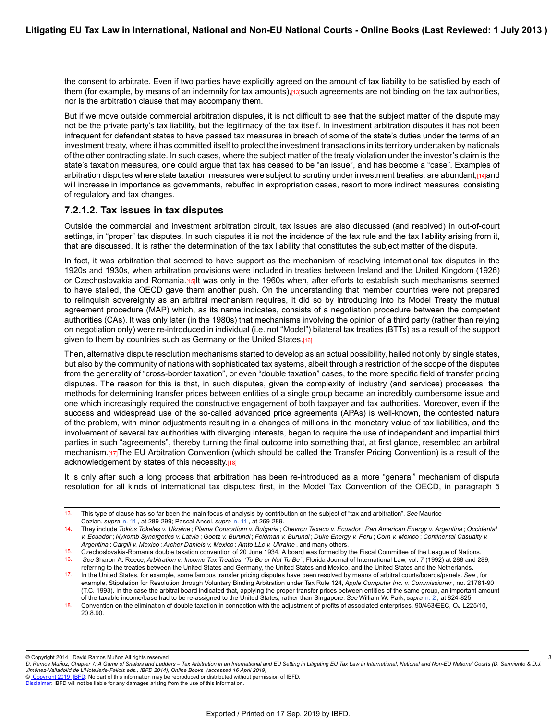the consent to arbitrate. Even if two parties have explicitly agreed on the amount of tax liability to be satisfied by each of them (for example, by means of an indemnity for tax amounts), rajsuch agreements are not binding on the tax authorities, nor is the arbitration clause that may accompany them.

But if we move outside commercial arbitration disputes, it is not difficult to see that the subject matter of the dispute may not be the private party's tax liability, but the legitimacy of the tax itself. In investment arbitration disputes it has not been infrequent for defendant states to have passed tax measures in breach of some of the state's duties under the terms of an investment treaty, where it has committed itself to protect the investment transactions in its territory undertaken by nationals of the other contracting state. In such cases, where the subject matter of the treaty violation under the investor's claim is the state's taxation measures, one could argue that tax has ceased to be "an issue", and has become a "case". Examples of arbitration disputes where state taxation measures were subject to scrutiny under investment treaties, are abundant, $[14]$ and will increase in importance as governments, rebuffed in expropriation cases, resort to more indirect measures, consisting of regulatory and tax changes.

### **7.2.1.2. Tax issues in tax disputes**

Outside the commercial and investment arbitration circuit, tax issues are also discussed (and resolved) in out-of-court settings, in "proper" tax disputes. In such disputes it is not the incidence of the tax rule and the tax liability arising from it, that are discussed. It is rather the determination of the tax liability that constitutes the subject matter of the dispute.

In fact, it was arbitration that seemed to have support as the mechanism of resolving international tax disputes in the 1920s and 1930s, when arbitration provisions were included in treaties between Ireland and the United Kingdom (1926) or Czechoslovakia and Romania.[15]It was only in the 1960s when, after efforts to establish such mechanisms seemed to have stalled, the OECD gave them another push. On the understanding that member countries were not prepared to relinquish sovereignty as an arbitral mechanism requires, it did so by introducing into its Model Treaty the mutual agreement procedure (MAP) which, as its name indicates, consists of a negotiation procedure between the competent authorities (CAs). It was only later (in the 1980s) that mechanisms involving the opinion of a third party (rather than relying on negotiation only) were re-introduced in individual (i.e. not "Model") bilateral tax treaties (BTTs) as a result of the support given to them by countries such as Germany or the United States.[16]

Then, alternative dispute resolution mechanisms started to develop as an actual possibility, hailed not only by single states, but also by the community of nations with sophisticated tax systems, albeit through a restriction of the scope of the disputes from the generality of "cross-border taxation", or even "double taxation" cases, to the more specific field of transfer pricing disputes. The reason for this is that, in such disputes, given the complexity of industry (and services) processes, the methods for determining transfer prices between entities of a single group became an incredibly cumbersome issue and one which increasingly required the constructive engagement of both taxpayer and tax authorities. Moreover, even if the success and widespread use of the so-called advanced price agreements (APAs) is well-known, the contested nature of the problem, with minor adjustments resulting in a changes of millions in the monetary value of tax liabilities, and the involvement of several tax authorities with diverging interests, began to require the use of independent and impartial third parties in such "agreements", thereby turning the final outcome into something that, at first glance, resembled an arbitral mechanism.[17]The EU Arbitration Convention (which should be called the Transfer Pricing Convention) is a result of the acknowledgement by states of this necessity.[18]

It is only after such a long process that arbitration has been re-introduced as a more "general" mechanism of dispute resolution for all kinds of international tax disputes: first, in the Model Tax Convention of the OECD, in paragraph 5

© Copyright 2014 David Ramos Muñoz All rights reserved

3

© [Copyright 2019](http://www.ibfd.org/Copyright-IBFD) [IBFD:](http://www.ibfd.org) No part of this information may be reproduced or distributed without permission of IBFD.

<sup>13.</sup> This type of clause has so far been the main focus of analysis by contribution on the subject of "tax and arbitration". *See* Maurice Cozian, *supra* [n. 11](https://research.ibfd.org/#/doc?url=/linkresolver/static/letl_p04_c02_fn_0011#letl_p04_c02_fn_0011) , at 289-299; Pascal Ancel, *supra* [n. 11](https://research.ibfd.org/#/doc?url=/linkresolver/static/letl_p04_c02_fn_0011#letl_p04_c02_fn_0011) , at 269-289.

<sup>14.</sup> They include *Tokios Tokeles v. Ukraine* ; *Plama Consortium v. Bulgaria* ; *Chevron Texaco v. Ecuador* ; *Pan American Energy v. Argentina* ; *Occidental v. Ecuador* ; *Nykomb Synergetics v. Latvia* ; *Goetz v. Burundi* ; *Feldman v. Burundi* ; *Duke Energy v. Peru* ; *Corn v. Mexico* ; *Continental Casualty v. Argentina* ; *Cargill v. Mexico* ; *Archer Daniels v. Mexico* ; *Amto LLc v. Ukraine* , and many others.

<sup>15.</sup> Czechoslovakia-Romania double taxation convention of 20 June 1934. A board was formed by the Fiscal Committee of the League of Nations.<br>16. See Sharon A. Reece *Arbitration in Income Tax Treaties: 'To Be or Not To Be*. 16. *See* Sharon A. Reece, *Arbitration in Income Tax Treaties: 'To Be or Not To Be* ', Florida Journal of International Law, vol. 7 (1992) at 288 and 289,

referring to the treaties between the United States and Germany, the United States and Mexico, and the United States and the Netherlands. 17. In the United States, for example, some famous transfer pricing disputes have been resolved by means of arbitral courts/boards/panels. *See* , for example, Stipulation for Resolution through Voluntary Binding Arbitration under Tax Rule 124, *Apple Computer Inc. v. Commissioner* , no. 21781-90 (T.C. 1993). In the case the arbitral board indicated that, applying the proper transfer prices between entities of the same group, an important amount of the taxable income/base had to be re-assigned to the United States, rather than Singapore. *See* William W. Park, *supra* [n. 2](https://research.ibfd.org/#/doc?url=/linkresolver/static/letl_p04_c02_fn_0002#letl_p04_c02_fn_0002) , at 824-825.

<sup>18.</sup> Convention on the elimination of double taxation in connection with the adjustment of profits of associated enterprises, 90/463/EEC, OJ L225/10, 20.8.90.

*D. Ramos Munoz, Chapter 7: A Game of Snakes and Ladders – Tax Arbitration in an International and EU Setting in Litigating EU Tax Law in International, National and Non-EU National Courts (D. Sarmiento & D.J. ̃ Jimenez-Valladolid de L'Hotellerie-Fallois eds., IBFD 2014), Online Books (accessed 16 April 2019) ́*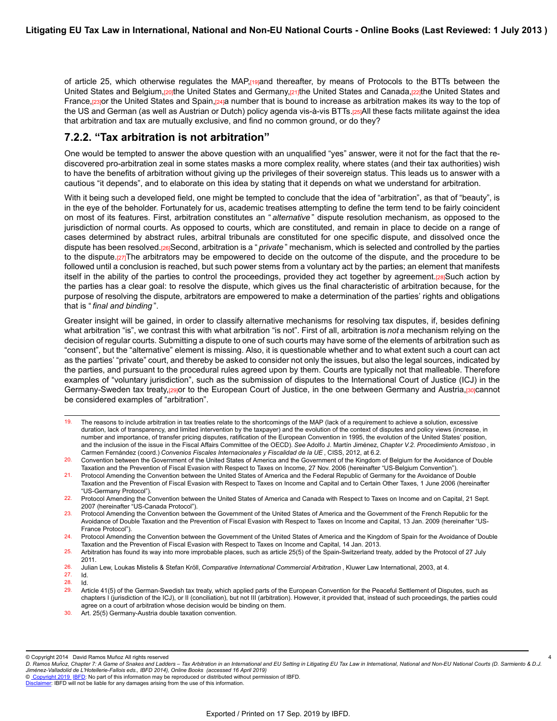of article 25, which otherwise regulates the MAP, regional thereafter, by means of Protocols to the BTTs between the United States and Belgium, porthe United States and Germany, partitied United States and Canada, partie United States and France,[23]or the United States and Spain,[24]a number that is bound to increase as arbitration makes its way to the top of the US and German (as well as Austrian or Dutch) policy agenda vis-à-vis BTTs.[25]All these facts militate against the idea that arbitration and tax are mutually exclusive, and find no common ground, or do they?

### **7.2.2. "Tax arbitration is not arbitration"**

One would be tempted to answer the above question with an unqualified "yes" answer, were it not for the fact that the rediscovered pro-arbitration zeal in some states masks a more complex reality, where states (and their tax authorities) wish to have the benefits of arbitration without giving up the privileges of their sovereign status. This leads us to answer with a cautious "it depends", and to elaborate on this idea by stating that it depends on what we understand for arbitration.

With it being such a developed field, one might be tempted to conclude that the idea of "arbitration", as that of "beauty", is in the eye of the beholder. Fortunately for us, academic treatises attempting to define the term tend to be fairly coincident on most of its features. First, arbitration constitutes an " *alternative* " dispute resolution mechanism, as opposed to the jurisdiction of normal courts. As opposed to courts, which are constituted, and remain in place to decide on a range of cases determined by abstract rules, arbitral tribunals are constituted for one specific dispute, and dissolved once the dispute has been resolved.[26]Second, arbitration is a " *private* " mechanism, which is selected and controlled by the parties to the dispute.[27]The arbitrators may be empowered to decide on the outcome of the dispute, and the procedure to be followed until a conclusion is reached, but such power stems from a voluntary act by the parties; an element that manifests itself in the ability of the parties to control the proceedings, provided they act together by agreement.[28]Such action by the parties has a clear goal: to resolve the dispute, which gives us the final characteristic of arbitration because, for the purpose of resolving the dispute, arbitrators are empowered to make a determination of the parties' rights and obligations that is " *final and binding* ".

Greater insight will be gained, in order to classify alternative mechanisms for resolving tax disputes, if, besides defining what arbitration "is", we contrast this with what arbitration "is not". First of all, arbitration is *not* a mechanism relying on the decision of regular courts. Submitting a dispute to one of such courts may have some of the elements of arbitration such as "consent", but the "alternative" element is missing. Also, it is questionable whether and to what extent such a court can act as the parties' "private" court, and thereby be asked to consider not only the issues, but also the legal sources, indicated by the parties, and pursuant to the procedural rules agreed upon by them. Courts are typically not that malleable. Therefore examples of "voluntary jurisdiction", such as the submission of disputes to the International Court of Justice (ICJ) in the Germany-Sweden tax treaty,[29]or to the European Court of Justice, in the one between Germany and Austria,[30]cannot be considered examples of "arbitration".

- 19. The reasons to include arbitration in tax treaties relate to the shortcomings of the MAP (lack of a requirement to achieve a solution, excessive duration, lack of transparency, and limited intervention by the taxpayer) and the evolution of the context of disputes and policy views (increase, in number and importance, of transfer pricing disputes, ratification of the European Convention in 1995, the evolution of the United States' position, and the inclusion of the issue in the Fiscal Affairs Committee of the OECD). *See* Adolfo J. Martín Jiménez, *Chapter V.2. Procedimiento Amistoso* , in Carmen Fernández (coord.) *Convenios Fiscales Internacionales y Fiscalidad de la UE* , CISS, 2012, at 6.2.
- 20. Convention between the Government of the United States of America and the Government of the Kingdom of Belgium for the Avoidance of Double Taxation and the Prevention of Fiscal Evasion with Respect to Taxes on Income, 27 Nov. 2006 (hereinafter "US-Belgium Convention").
- 21. Protocol Amending the Convention between the United States of America and the Federal Republic of Germany for the Avoidance of Double Taxation and the Prevention of Fiscal Evasion with Respect to Taxes on Income and Capital and to Certain Other Taxes, 1 June 2006 (hereinafter "US-Germany Protocol").

4

<sup>22.</sup> Protocol Amending the Convention between the United States of America and Canada with Respect to Taxes on Income and on Capital, 21 Sept. 2007 (hereinafter "US-Canada Protocol").

<sup>23.</sup> Protocol Amending the Convention between the Government of the United States of America and the Government of the French Republic for the Avoidance of Double Taxation and the Prevention of Fiscal Evasion with Respect to Taxes on Income and Capital, 13 Jan. 2009 (hereinafter "US-France Protocol").

<sup>24.</sup> Protocol Amending the Convention between the Government of the United States of America and the Kingdom of Spain for the Avoidance of Double Taxation and the Prevention of Fiscal Evasion with Respect to Taxes on Income and Capital, 14 Jan. 2013.

<sup>25.</sup> Arbitration has found its way into more improbable places, such as article 25(5) of the Spain-Switzerland treaty, added by the Protocol of 27 July 2011.

<sup>26.</sup> Julian Lew, Loukas Mistelis & Stefan Kröll, *Comparative International Commercial Arbitration* , Kluwer Law International, 2003, at 4. 27. Id.

<sup>28.</sup> Id. Article 41(5) of the German-Swedish tax treaty, which applied parts of the European Convention for the Peaceful Settlement of Disputes, such as chapters I (jurisdiction of the ICJ), or II (conciliation), but not III (arbitration). However, it provided that, instead of such proceedings, the parties could agree on a court of arbitration whose decision would be binding on them.

<sup>30.</sup> Art. 25(5) Germany-Austria double taxation convention.

<sup>©</sup> Copyright 2014 David Ramos Muñoz All rights reserved

*D. Ramos Munoz, Chapter 7: A Game of Snakes and Ladders – Tax Arbitration in an International and EU Setting in Litigating EU Tax Law in International, National and Non-EU National Courts (D. Sarmiento & D.J. ̃ Jimenez-Valladolid de L'Hotellerie-Fallois eds., IBFD 2014), Online Books (accessed 16 April 2019) ́*

[Disclaimer](http://www.ibfd.org/Disclaimer): IBFD will not be liable for any damages arising from the use of this information.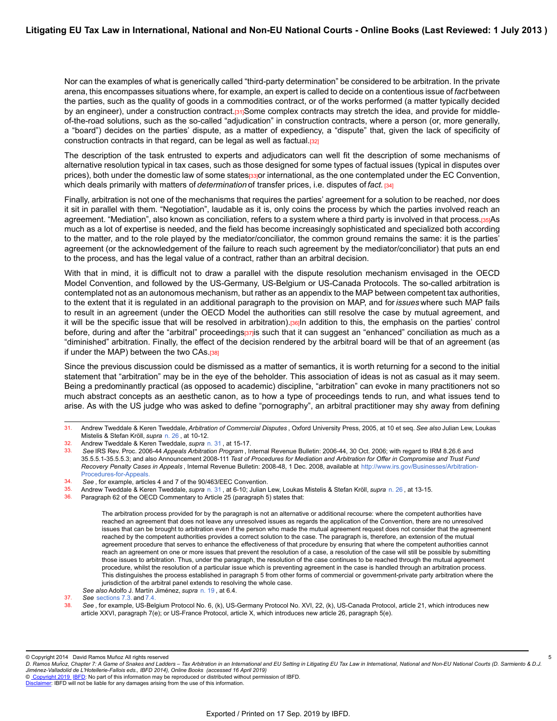Nor can the examples of what is generically called "third-party determination" be considered to be arbitration. In the private arena, this encompasses situations where, for example, an expert is called to decide on a contentious issue of *fact* between the parties, such as the quality of goods in a commodities contract, or of the works performed (a matter typically decided by an engineer), under a construction contract.[31]Some complex contracts may stretch the idea, and provide for middleof-the-road solutions, such as the so-called "adjudication" in construction contracts, where a person (or, more generally, a "board") decides on the parties' dispute, as a matter of expediency, a "dispute" that, given the lack of specificity of construction contracts in that regard, can be legal as well as factual.[32]

The description of the task entrusted to experts and adjudicators can well fit the description of some mechanisms of alternative resolution typical in tax cases, such as those designed for some types of factual issues (typical in disputes over prices), both under the domestic law of some states[33]or international, as the one contemplated under the EC Convention, which deals primarily with matters of *determination* of transfer prices, i.e. disputes of *fact.* [34]

Finally, arbitration is not one of the mechanisms that requires the parties' agreement for a solution to be reached, nor does it sit in parallel with them. "Negotiation", laudable as it is, only coins the process by which the parties involved reach an agreement. "Mediation", also known as conciliation, refers to a system where a third party is involved in that process.[35]As much as a lot of expertise is needed, and the field has become increasingly sophisticated and specialized both according to the matter, and to the role played by the mediator/conciliator, the common ground remains the same: it is the parties' agreement (or the acknowledgement of the failure to reach such agreement by the mediator/conciliator) that puts an end to the process, and has the legal value of a contract, rather than an arbitral decision.

With that in mind, it is difficult not to draw a parallel with the dispute resolution mechanism envisaged in the OECD Model Convention, and followed by the US-Germany, US-Belgium or US-Canada Protocols. The so-called arbitration is contemplated not as an autonomous mechanism, but rather as an appendix to the MAP between competent tax authorities, to the extent that it is regulated in an additional paragraph to the provision on MAP, and for *issues* where such MAP fails to result in an agreement (under the OECD Model the authorities can still resolve the case by mutual agreement, and it will be the specific issue that will be resolved in arbitration).<sup>[36]</sup>In addition to this, the emphasis on the parties' control before, during and after the "arbitral" proceedings[37] such that it can suggest an "enhanced" conciliation as much as a "diminished" arbitration. Finally, the effect of the decision rendered by the arbitral board will be that of an agreement (as if under the MAP) between the two CAs. $[38]$ 

Since the previous discussion could be dismissed as a matter of semantics, it is worth returning for a second to the initial statement that "arbitration" may be in the eye of the beholder. This association of ideas is not as casual as it may seem. Being a predominantly practical (as opposed to academic) discipline, "arbitration" can evoke in many practitioners not so much abstract concepts as an aesthetic canon, as to how a type of proceedings tends to run, and what issues tend to arise. As with the US judge who was asked to define "pornography", an arbitral practitioner may shy away from defining

5

© [Copyright 2019](http://www.ibfd.org/Copyright-IBFD) [IBFD:](http://www.ibfd.org) No part of this information may be reproduced or distributed without permission of IBFD.

<sup>31.</sup> Andrew Tweddale & Keren Tweddale, *Arbitration of Commercial Disputes* , Oxford University Press, 2005, at 10 et seq. *See also* Julian Lew, Loukas Mistelis & Stefan Kröll, *supra* [n. 26](https://research.ibfd.org/#/doc?url=/linkresolver/static/letl_p04_c02_fn_0026#letl_p04_c02_fn_0026) , at 10-12.

<sup>32.</sup> Andrew Tweddale & Keren Tweddale, *supra* [n. 31](https://research.ibfd.org/#/doc?url=/linkresolver/static/letl_p04_c02_fn_0031#letl_p04_c02_fn_0031) , at 15-17.

<sup>33.</sup> *See* IRS Rev. Proc. 2006-44 *Appeals Arbitration Program* , Internal Revenue Bulletin: 2006-44, 30 Oct. 2006; with regard to IRM 8.26.6 and 35.5.5.1-35.5.5.3; and also Announcement 2008-111 *Test of Procedures for Mediation and Arbitration for Offer in Compromise and Trust Fund Recovery Penalty Cases in Appeals* , Internal Revenue Bulletin: 2008-48, 1 Dec. 2008, available at [http://www.irs.gov/Businesses/Arbitration](http://www.irs.gov/Businesses/Arbitration-Procedures-for-Appeals)-[Procedures-for-Appeals.](http://www.irs.gov/Businesses/Arbitration-Procedures-for-Appeals)

<sup>34.</sup> *See* , for example, articles 4 and 7 of the 90/463/EEC Convention.

<sup>35.</sup> Andrew Tweddale & Keren Tweddale, *supra* [n. 31](https://research.ibfd.org/#/doc?url=/linkresolver/static/letl_p04_c02_fn_0031#letl_p04_c02_fn_0031) , at 6-10; Julian Lew, Loukas Mistelis & Stefan Kröll, *supra* [n. 26](https://research.ibfd.org/#/doc?url=/linkresolver/static/letl_p04_c02_fn_0026#letl_p04_c02_fn_0026) , at 13-15.

Paragraph 62 of the OECD Commentary to Article 25 (paragraph 5) states that:

The arbitration process provided for by the paragraph is not an alternative or additional recourse: where the competent authorities have reached an agreement that does not leave any unresolved issues as regards the application of the Convention, there are no unresolved issues that can be brought to arbitration even if the person who made the mutual agreement request does not consider that the agreement reached by the competent authorities provides a correct solution to the case. The paragraph is, therefore, an extension of the mutual agreement procedure that serves to enhance the effectiveness of that procedure by ensuring that where the competent authorities cannot reach an agreement on one or more issues that prevent the resolution of a case, a resolution of the case will still be possible by submitting those issues to arbitration. Thus, under the paragraph, the resolution of the case continues to be reached through the mutual agreement procedure, whilst the resolution of a particular issue which is preventing agreement in the case is handled through an arbitration process. This distinguishes the process established in paragraph 5 from other forms of commercial or government-private party arbitration where the jurisdiction of the arbitral panel extends to resolving the whole case.

*See also* Adolfo J. Martín Jiménez, *supra* [n. 19](https://research.ibfd.org/#/doc?url=/linkresolver/static/letl_p04_c02_fn_0019#letl_p04_c02_fn_0019) , at 6.4.

<sup>37.</sup> *See* [sections 7.3.](https://research.ibfd.org/#/doc?url=/linkresolver/static/letl_p04_c02_s_7.3.#letl_p04_c02_s_7.3.) and [7.4.](https://research.ibfd.org/#/doc?url=/linkresolver/static/letl_p04_c02_s_7.4.#letl_p04_c02_s_7.4.)

See, for example, US-Belgium Protocol No. 6, (k), US-Germany Protocol No. XVI, 22, (k), US-Canada Protocol, article 21, which introduces new article XXVI, paragraph 7(e); or US-France Protocol, article X, which introduces new article 26, paragraph 5(e).

<sup>©</sup> Copyright 2014 David Ramos Muñoz All rights reserved

*D. Ramos Munoz, Chapter 7: A Game of Snakes and Ladders – Tax Arbitration in an International and EU Setting in Litigating EU Tax Law in International, National and Non-EU National Courts (D. Sarmiento & D.J. ̃ Jimenez-Valladolid de L'Hotellerie-Fallois eds., IBFD 2014), Online Books (accessed 16 April 2019) ́*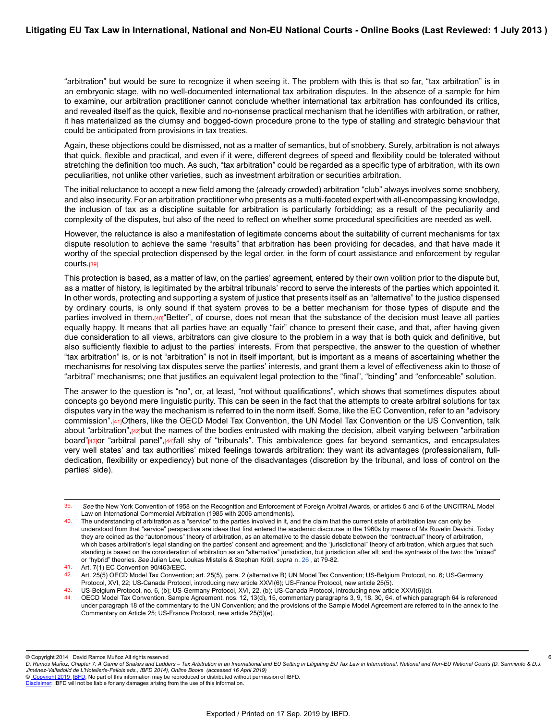"arbitration" but would be sure to recognize it when seeing it. The problem with this is that so far, "tax arbitration" is in an embryonic stage, with no well-documented international tax arbitration disputes. In the absence of a sample for him to examine, our arbitration practitioner cannot conclude whether international tax arbitration has confounded its critics, and revealed itself as the quick, flexible and no-nonsense practical mechanism that he identifies with arbitration, or rather, it has materialized as the clumsy and bogged-down procedure prone to the type of stalling and strategic behaviour that could be anticipated from provisions in tax treaties.

Again, these objections could be dismissed, not as a matter of semantics, but of snobbery. Surely, arbitration is not always that quick, flexible and practical, and even if it were, different degrees of speed and flexibility could be tolerated without stretching the definition too much. As such, "tax arbitration" could be regarded as a specific type of arbitration, with its own peculiarities, not unlike other varieties, such as investment arbitration or securities arbitration.

The initial reluctance to accept a new field among the (already crowded) arbitration "club" always involves some snobbery, and also insecurity. For an arbitration practitioner who presents as a multi-faceted expert with all-encompassing knowledge, the inclusion of tax as a discipline suitable for arbitration is particularly forbidding; as a result of the peculiarity and complexity of the disputes, but also of the need to reflect on whether some procedural specificities are needed as well.

However, the reluctance is also a manifestation of legitimate concerns about the suitability of current mechanisms for tax dispute resolution to achieve the same "results" that arbitration has been providing for decades, and that have made it worthy of the special protection dispensed by the legal order, in the form of court assistance and enforcement by regular courts.[39]

This protection is based, as a matter of law, on the parties' agreement, entered by their own volition prior to the dispute but, as a matter of history, is legitimated by the arbitral tribunals' record to serve the interests of the parties which appointed it. In other words, protecting and supporting a system of justice that presents itself as an "alternative" to the justice dispensed by ordinary courts, is only sound if that system proves to be a better mechanism for those types of dispute and the parties involved in them.<sup>[40]</sup>"Better", of course, does not mean that the substance of the decision must leave all parties equally happy. It means that all parties have an equally "fair" chance to present their case, and that, after having given due consideration to all views, arbitrators can give closure to the problem in a way that is both quick and definitive, but also sufficiently flexible to adjust to the parties' interests. From that perspective, the answer to the question of whether "tax arbitration" is, or is not "arbitration" is not in itself important, but is important as a means of ascertaining whether the mechanisms for resolving tax disputes serve the parties' interests, and grant them a level of effectiveness akin to those of "arbitral" mechanisms; one that justifies an equivalent legal protection to the "final", "binding" and "enforceable" solution.

The answer to the question is "no", or, at least, "not without qualifications", which shows that sometimes disputes about concepts go beyond mere linguistic purity. This can be seen in the fact that the attempts to create arbitral solutions for tax disputes vary in the way the mechanism is referred to in the norm itself. Some, like the EC Convention, refer to an "advisory commission".[41]Others, like the OECD Model Tax Convention, the UN Model Tax Convention or the US Convention, talk about "arbitration",[42]but the names of the bodies entrusted with making the decision, albeit varying between "arbitration" board"[43]or "arbitral panel",[44]fall shy of "tribunals". This ambivalence goes far beyond semantics, and encapsulates very well states' and tax authorities' mixed feelings towards arbitration: they want its advantages (professionalism, fulldedication, flexibility or expediency) but none of the disadvantages (discretion by the tribunal, and loss of control on the parties' side).

© Copyright 2014 David Ramos Muñoz All rights reserved

6

<sup>39.</sup> *See* the New York Convention of 1958 on the Recognition and Enforcement of Foreign Arbitral Awards, or articles 5 and 6 of the UNCITRAL Model Law on International Commercial Arbitration (1985 with 2006 amendments).

<sup>40.</sup> The understanding of arbitration as a "service" to the parties involved in it, and the claim that the current state of arbitration law can only be understood from that "service" perspective are ideas that first entered the academic discourse in the 1960s by means of Ms Ruvelin Devichi. Today they are coined as the "autonomous" theory of arbitration, as an alternative to the classic debate between the "contractual" theory of arbitration, which bases arbitration's legal standing on the parties' consent and agreement; and the "jurisdictional" theory of arbitration, which argues that such standing is based on the consideration of arbitration as an "alternative" jurisdiction, but jurisdiction after all; and the synthesis of the two: the "mixed" or "hybrid" theories. *See* Julian Lew, Loukas Mistelis & Stephan Kröll, *supra* [n. 26](https://research.ibfd.org/#/doc?url=/linkresolver/static/letl_p04_c02_fn_0026#letl_p04_c02_fn_0026) , at 79-82.

<sup>41.</sup> Art. 7(1) EC Convention 90/463/EEC.

<sup>42.</sup> Art. 25(5) OECD Model Tax Convention; art. 25(5), para. 2 (alternative B) UN Model Tax Convention; US-Belgium Protocol, no. 6; US-Germany Protocol, XVI, 22; US-Canada Protocol, introducing new article XXVI(6); US-France Protocol, new article 25(5).

<sup>43.</sup> US-Belgium Protocol, no. 6, (b); US-Germany Protocol, XVI, 22, (b); US-Canada Protocol, introducing new article XXVI(6)(d).

<sup>44.</sup> OECD Model Tax Convention, Sample Agreement, nos. 12, 13(d), 15, commentary paragraphs 3, 9, 18, 30, 64, of which paragraph 64 is referenced under paragraph 18 of the commentary to the UN Convention; and the provisions of the Sample Model Agreement are referred to in the annex to the Commentary on Article 25; US-France Protocol, new article 25(5)(e).

*D. Ramos Munoz, Chapter 7: A Game of Snakes and Ladders – Tax Arbitration in an International and EU Setting in Litigating EU Tax Law in International, National and Non-EU National Courts (D. Sarmiento & D.J. ̃ Jimenez-Valladolid de L'Hotellerie-Fallois eds., IBFD 2014), Online Books (accessed 16 April 2019) ́*

[Disclaimer](http://www.ibfd.org/Disclaimer): IBFD will not be liable for any damages arising from the use of this information.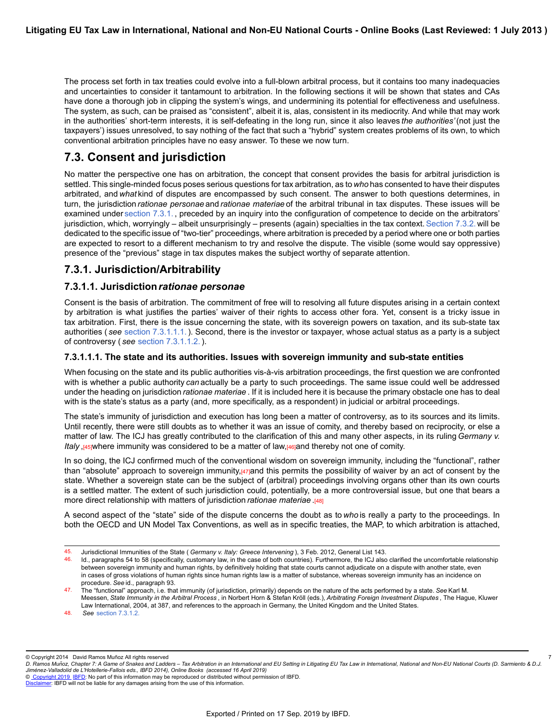The process set forth in tax treaties could evolve into a full-blown arbitral process, but it contains too many inadequacies and uncertainties to consider it tantamount to arbitration. In the following sections it will be shown that states and CAs have done a thorough job in clipping the system's wings, and undermining its potential for effectiveness and usefulness. The system, as such, can be praised as "consistent", albeit it is, alas, consistent in its mediocrity. And while that may work in the authorities' short-term interests, it is self-defeating in the long run, since it also leaves *the authorities'* (not just the taxpayers') issues unresolved, to say nothing of the fact that such a "hybrid" system creates problems of its own, to which conventional arbitration principles have no easy answer. To these we now turn.

# **7.3. Consent and jurisdiction**

No matter the perspective one has on arbitration, the concept that consent provides the basis for arbitral jurisdiction is settled. This single-minded focus poses serious questions for tax arbitration, as to *who* has consented to have their disputes arbitrated, and *what* kind of disputes are encompassed by such consent. The answer to both questions determines, in turn, the jurisdiction *rationae personae* and *rationae materiae* of the arbitral tribunal in tax disputes. These issues will be examined under [section 7.3.1.](https://research.ibfd.org/#/doc?url=/linkresolver/static/letl_p04_c02_s_7.3.1.#letl_p04_c02_s_7.3.1.) , preceded by an inquiry into the configuration of competence to decide on the arbitrators' jurisdiction, which, worryingly – albeit unsurprisingly – presents (again) specialties in the tax context. Section 7.3.2. will be dedicated to the specific issue of "two-tier" proceedings, where arbitration is preceded by a period where one or both parties are expected to resort to a different mechanism to try and resolve the dispute. The visible (some would say oppressive) presence of the "previous" stage in tax disputes makes the subject worthy of separate attention.

## **7.3.1. Jurisdiction/Arbitrability**

### **7.3.1.1. Jurisdiction***rationae personae*

Consent is the basis of arbitration. The commitment of free will to resolving all future disputes arising in a certain context by arbitration is what justifies the parties' waiver of their rights to access other fora. Yet, consent is a tricky issue in tax arbitration. First, there is the issue concerning the state, with its sovereign powers on taxation, and its sub-state tax authorities ( *see* [section 7.3.1.1.1.](https://research.ibfd.org/#/doc?url=/linkresolver/static/letl_p04_c02_s_7.3.1.1.1.#letl_p04_c02_s_7.3.1.1.1.)). Second, there is the investor or taxpayer, whose actual status as a party is a subject of controversy ( *see* [section 7.3.1.1.2.](https://research.ibfd.org/#/doc?url=/linkresolver/static/letl_p04_c02_s_7.3.1.1.2.#letl_p04_c02_s_7.3.1.1.2.)).

### **7.3.1.1.1. The state and its authorities. Issues with sovereign immunity and sub-state entities**

When focusing on the state and its public authorities vis-à-vis arbitration proceedings, the first question we are confronted with is whether a public authority *can* actually be a party to such proceedings. The same issue could well be addressed under the heading on jurisdiction *rationae materiae* . If it is included here it is because the primary obstacle one has to deal with is the state's status as a party (and, more specifically, as a respondent) in judicial or arbitral proceedings.

The state's immunity of jurisdiction and execution has long been a matter of controversy, as to its sources and its limits. Until recently, there were still doubts as to whether it was an issue of comity, and thereby based on reciprocity, or else a matter of law. The ICJ has greatly contributed to the clarification of this and many other aspects, in its ruling *Germany v. Italy* ,<sup>[45]where immunity was considered to be a matter of law,<sup>[46]</sup>and thereby not one of comity.</sup>

In so doing, the ICJ confirmed much of the conventional wisdom on sovereign immunity, including the "functional", rather than "absolute" approach to sovereign immunity, $\frac{47}{1}$ and this permits the possibility of waiver by an act of consent by the state. Whether a sovereign state can be the subject of (arbitral) proceedings involving organs other than its own courts is a settled matter. The extent of such jurisdiction could, potentially, be a more controversial issue, but one that bears a more direct relationship with matters of jurisdiction *rationae materiae* .[48]

A second aspect of the "state" side of the dispute concerns the doubt as to *who* is really a party to the proceedings. In both the OECD and UN Model Tax Conventions, as well as in specific treaties, the MAP, to which arbitration is attached,

48. *See* [section 7.3.1.2.](https://research.ibfd.org/#/doc?url=/linkresolver/static/letl_p04_c02_s_7.3.1.2.#letl_p04_c02_s_7.3.1.2.)

© Copyright 2014 David Ramos Muñoz All rights reserved

7

<sup>45.</sup> Jurisdictional Immunities of the State ( *Germany v. Italy: Greece Intervening* ), 3 Feb. 2012, General List 143.

<sup>46.</sup> Id., paragraphs 54 to 58 (specifically, customary law, in the case of both countries). Furthermore, the ICJ also clarified the uncomfortable relationship between sovereign immunity and human rights, by definitively holding that state courts cannot adjudicate on a dispute with another state, even in cases of gross violations of human rights since human rights law is a matter of substance, whereas sovereign immunity has an incidence on procedure. *See* id., paragraph 93.

<sup>47.</sup> The "functional" approach, i.e. that immunity (of jurisdiction, primarily) depends on the nature of the acts performed by a state. *See* Karl M. Meessen, *State Immunity in the Arbitral Process* , in Norbert Horn & Stefan Kröll (eds.), *Arbitrating Foreign Investment Disputes* , The Hague, Kluwer Law International, 2004, at 387, and references to the approach in Germany, the United Kingdom and the United States.

*D. Ramos Munoz, Chapter 7: A Game of Snakes and Ladders – Tax Arbitration in an International and EU Setting in Litigating EU Tax Law in International, National and Non-EU National Courts (D. Sarmiento & D.J. ̃ Jimenez-Valladolid de L'Hotellerie-Fallois eds., IBFD 2014), Online Books (accessed 16 April 2019) ́*

[Disclaimer](http://www.ibfd.org/Disclaimer): IBFD will not be liable for any damages arising from the use of this information.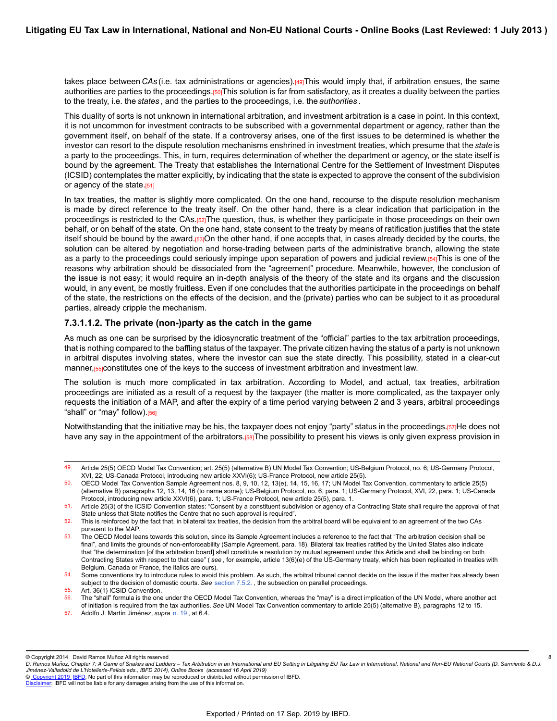takes place between *CAs* (i.e. tax administrations or agencies).[49]This would imply that, if arbitration ensues, the same authorities are parties to the proceedings.[50]This solution is far from satisfactory, as it creates a duality between the parties to the treaty, i.e. the *states* , and the parties to the proceedings, i.e. the *authorities* .

This duality of sorts is not unknown in international arbitration, and investment arbitration is a case in point. In this context, it is not uncommon for investment contracts to be subscribed with a governmental department or agency, rather than the government itself, on behalf of the state. If a controversy arises, one of the first issues to be determined is whether the investor can resort to the dispute resolution mechanisms enshrined in investment treaties, which presume that the *state* is a party to the proceedings. This, in turn, requires determination of whether the department or agency, or the state itself is bound by the agreement. The Treaty that establishes the International Centre for the Settlement of Investment Disputes (ICSID) contemplates the matter explicitly, by indicating that the state is expected to approve the consent of the subdivision or agency of the state.[51]

In tax treaties, the matter is slightly more complicated. On the one hand, recourse to the dispute resolution mechanism is made by direct reference to the treaty itself. On the other hand, there is a clear indication that participation in the proceedings is restricted to the CAs.[52]The question, thus, is whether they participate in those proceedings on their own behalf, or on behalf of the state. On the one hand, state consent to the treaty by means of ratification justifies that the state itself should be bound by the award.[53]On the other hand, if one accepts that, in cases already decided by the courts, the solution can be altered by negotiation and horse-trading between parts of the administrative branch, allowing the state as a party to the proceedings could seriously impinge upon separation of powers and judicial review.<sup>[54]</sup>This is one of the reasons why arbitration should be dissociated from the "agreement" procedure. Meanwhile, however, the conclusion of the issue is not easy; it would require an in-depth analysis of the theory of the state and its organs and the discussion would, in any event, be mostly fruitless. Even if one concludes that the authorities participate in the proceedings on behalf of the state, the restrictions on the effects of the decision, and the (private) parties who can be subject to it as procedural parties, already cripple the mechanism.

#### **7.3.1.1.2. The private (non-)party as the catch in the game**

As much as one can be surprised by the idiosyncratic treatment of the "official" parties to the tax arbitration proceedings, that is nothing compared to the baffling status of the taxpayer. The private citizen having the status of a party is not unknown in arbitral disputes involving states, where the investor can sue the state directly. This possibility, stated in a clear-cut manner,<sup>[55]</sup>constitutes one of the keys to the success of investment arbitration and investment law.

The solution is much more complicated in tax arbitration. According to Model, and actual, tax treaties, arbitration proceedings are initiated as a result of a request by the taxpayer (the matter is more complicated, as the taxpayer only requests the initiation of a MAP, and after the expiry of a time period varying between 2 and 3 years, arbitral proceedings "shall" or "may" follow).<sup>[56]</sup>

Notwithstanding that the initiative may be his, the taxpayer does not enjoy "party" status in the proceedings.[57]He does not have any say in the appointment of the arbitrators.[58]The possibility to present his views is only given express provision in

8

<sup>49.</sup> Article 25(5) OECD Model Tax Convention; art. 25(5) (alternative B) UN Model Tax Convention; US-Belgium Protocol, no. 6; US-Germany Protocol, XVI, 22; US-Canada Protocol, introducing new article XXVI(6); US-France Protocol, new article 25(5).

<sup>50.</sup> OECD Model Tax Convention Sample Agreement nos. 8, 9, 10, 12, 13(e), 14, 15, 16, 17; UN Model Tax Convention, commentary to article 25(5) (alternative B) paragraphs 12, 13, 14, 16 (to name some); US-Belgium Protocol, no. 6, para. 1; US-Germany Protocol, XVI, 22, para. 1; US-Canada Protocol, introducing new article XXVI(6), para. 1; US-France Protocol, new article 25(5), para. 1.

<sup>51.</sup> Article 25(3) of the ICSID Convention states: "Consent by a constituent subdivision or agency of a Contracting State shall require the approval of that State unless that State notifies the Centre that no such approval is required".

<sup>52.</sup> This is reinforced by the fact that, in bilateral tax treaties, the decision from the arbitral board will be equivalent to an agreement of the two CAs pursuant to the MAP.

<sup>53.</sup> The OECD Model leans towards this solution, since its Sample Agreement includes a reference to the fact that "The arbitration decision shall be final", and limits the grounds of non-enforceability (Sample Agreement, para. 18). Bilateral tax treaties ratified by the United States also indicate that "the determination [of the arbitration board] shall constitute a resolution by mutual agreement under this Article and shall be binding on both Contracting States with respect to that case" ( *see* , for example, article 13(6)(e) of the US-Germany treaty, which has been replicated in treaties with Belgium, Canada or France, the italics are ours).

<sup>54.</sup> Some conventions try to introduce rules to avoid this problem. As such, the arbitral tribunal cannot decide on the issue if the matter has already been subject to the decision of domestic courts. *See* [section 7.5.2.](https://research.ibfd.org/#/doc?url=/linkresolver/static/letl_p04_c02_s_7.5.2.#letl_p04_c02_s_7.5.2.) , the subsection on parallel proceedings.

<sup>55.</sup> Art. 36(1) ICSID Convention.

<sup>56.</sup> The "shall" formula is the one under the OECD Model Tax Convention, whereas the "may" is a direct implication of the UN Model, where another act of initiation is required from the tax authorities. *See* UN Model Tax Convention commentary to article 25(5) (alternative B), paragraphs 12 to 15.

<sup>57.</sup> Adolfo J. Martín Jiménez, *supra* [n. 19](https://research.ibfd.org/#/doc?url=/linkresolver/static/letl_p04_c02_fn_0019#letl_p04_c02_fn_0019) , at 6.4.

<sup>©</sup> Copyright 2014 David Ramos Muñoz All rights reserved

*D. Ramos Munoz, Chapter 7: A Game of Snakes and Ladders – Tax Arbitration in an International and EU Setting in Litigating EU Tax Law in International, National and Non-EU National Courts (D. Sarmiento & D.J. ̃ Jimenez-Valladolid de L'Hotellerie-Fallois eds., IBFD 2014), Online Books (accessed 16 April 2019) ́*

[Disclaimer](http://www.ibfd.org/Disclaimer): IBFD will not be liable for any damages arising from the use of this information.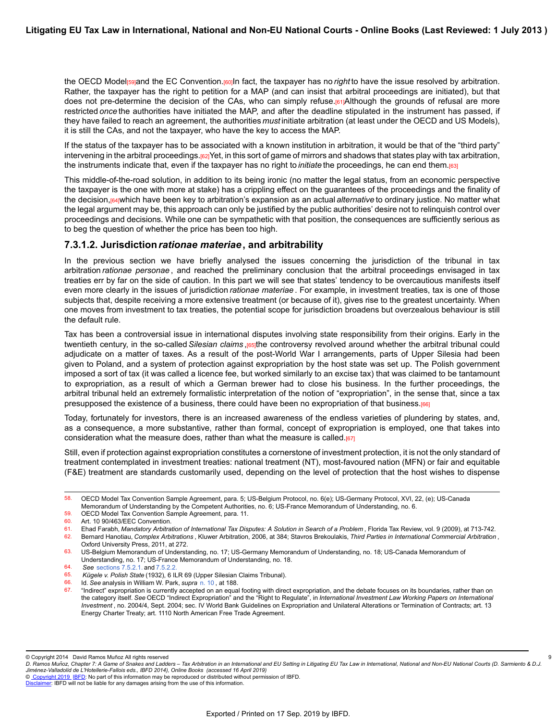the OECD Model<sub>l</sub> sand the EC Convention.<sup>[60]</sup>In fact, the taxpayer has no *right* to have the issue resolved by arbitration. Rather, the taxpayer has the right to petition for a MAP (and can insist that arbitral proceedings are initiated), but that does not pre-determine the decision of the CAs, who can simply refuse.[61]Although the grounds of refusal are more restricted *once* the authorities have initiated the MAP, and after the deadline stipulated in the instrument has passed, if they have failed to reach an agreement, the authorities *must* initiate arbitration (at least under the OECD and US Models), it is still the CAs, and not the taxpayer, who have the key to access the MAP.

If the status of the taxpayer has to be associated with a known institution in arbitration, it would be that of the "third party" intervening in the arbitral proceedings.<sup>[62]</sup>Yet, in this sort of game of mirrors and shadows that states play with tax arbitration, the instruments indicate that, even if the taxpayer has no right to *initiate* the proceedings, he can end them.[63]

This middle-of-the-road solution, in addition to its being ironic (no matter the legal status, from an economic perspective the taxpayer is the one with more at stake) has a crippling effect on the guarantees of the proceedings and the finality of the decision,[64]which have been key to arbitration's expansion as an actual *alternative* to ordinary justice. No matter what the legal argument may be, this approach can only be justified by the public authorities' desire not to relinquish control over proceedings and decisions. While one can be sympathetic with that position, the consequences are sufficiently serious as to beg the question of whether the price has been too high.

### **7.3.1.2. Jurisdiction***rationae materiae***, and arbitrability**

In the previous section we have briefly analysed the issues concerning the jurisdiction of the tribunal in tax arbitration *rationae personae* , and reached the preliminary conclusion that the arbitral proceedings envisaged in tax treaties err by far on the side of caution. In this part we will see that states' tendency to be overcautious manifests itself even more clearly in the issues of jurisdiction *rationae materiae* . For example, in investment treaties, tax is one of those subjects that, despite receiving a more extensive treatment (or because of it), gives rise to the greatest uncertainty. When one moves from investment to tax treaties, the potential scope for jurisdiction broadens but overzealous behaviour is still the default rule.

Tax has been a controversial issue in international disputes involving state responsibility from their origins. Early in the twentieth century, in the so-called *Silesian claims* ,[65]the controversy revolved around whether the arbitral tribunal could adjudicate on a matter of taxes. As a result of the post-World War I arrangements, parts of Upper Silesia had been given to Poland, and a system of protection against expropriation by the host state was set up. The Polish government imposed a sort of tax (it was called a licence fee, but worked similarly to an excise tax) that was claimed to be tantamount to expropriation, as a result of which a German brewer had to close his business. In the further proceedings, the arbitral tribunal held an extremely formalistic interpretation of the notion of "expropriation", in the sense that, since a tax presupposed the existence of a business, there could have been no expropriation of that business.[66]

Today, fortunately for investors, there is an increased awareness of the endless varieties of plundering by states, and, as a consequence, a more substantive, rather than formal, concept of expropriation is employed, one that takes into consideration what the measure does, rather than what the measure is called. $[67]$ 

Still, even if protection against expropriation constitutes a cornerstone of investment protection, it is not the only standard of treatment contemplated in investment treaties: national treatment (NT), most-favoured nation (MFN) or fair and equitable (F&E) treatment are standards customarily used, depending on the level of protection that the host wishes to dispense

9

<sup>58.</sup> OECD Model Tax Convention Sample Agreement, para. 5; US-Belgium Protocol, no. 6(e); US-Germany Protocol, XVI, 22, (e); US-Canada Memorandum of Understanding by the Competent Authorities, no. 6; US-France Memorandum of Understanding, no. 6.

<sup>59.</sup> OECD Model Tax Convention Sample Agreement, para. 11.<br>60. Art. 10.90/463/FFC Convention

Art. 10 90/463/EEC Convention.

<sup>61.</sup> Ehad Farabh, *Mandatory Arbitration of International Tax Disputes: A Solution in Search of a Problem* , Florida Tax Review, vol. 9 (2009), at 713-742. 62. Bernard Hanotiau, *Complex Arbitrations* , Kluwer Arbitration, 2006, at 384; Stavros Brekoulakis, *Third Parties in International Commercial Arbitration* ,

Oxford University Press, 2011, at 272.

<sup>63.</sup> US-Belgium Memorandum of Understanding, no. 17; US-Germany Memorandum of Understanding, no. 18; US-Canada Memorandum of Understanding, no. 17; US-France Memorandum of Understanding, no. 18.

<sup>64.</sup> *See* [sections 7.5.2.1.](https://research.ibfd.org/#/doc?url=/linkresolver/static/letl_p04_c02_s_7.5.2.1.#letl_p04_c02_s_7.5.2.1.) and [7.5.2.2.](https://research.ibfd.org/#/doc?url=/linkresolver/static/letl_p04_c02_s_7.5.2.2.#letl_p04_c02_s_7.5.2.2.)

<sup>65.</sup> *Kügele v. Polish State* (1932), 6 ILR 69 (Upper Silesian Claims Tribunal).

<sup>66.</sup> Id. *See* analysis in William W. Park, *supra* [n. 10](https://research.ibfd.org/#/doc?url=/linkresolver/static/letl_p04_c02_fn_0010#letl_p04_c02_fn_0010) , at 188.

<sup>67.</sup> "Indirect" expropriation is currently accepted on an equal footing with direct expropriation, and the debate focuses on its boundaries, rather than on the category itself. *See* OECD "Indirect Expropriation" and the "Right to Regulate", in *International Investment Law Working Papers on International Investment* , no. 2004/4, Sept. 2004; sec. IV World Bank Guidelines on Expropriation and Unilateral Alterations or Termination of Contracts; art. 13 Energy Charter Treaty; art. 1110 North American Free Trade Agreement.

<sup>©</sup> Copyright 2014 David Ramos Muñoz All rights reserved

*D. Ramos Munoz, Chapter 7: A Game of Snakes and Ladders – Tax Arbitration in an International and EU Setting in Litigating EU Tax Law in International, National and Non-EU National Courts (D. Sarmiento & D.J. ̃ Jimenez-Valladolid de L'Hotellerie-Fallois eds., IBFD 2014), Online Books (accessed 16 April 2019) ́*

[Disclaimer](http://www.ibfd.org/Disclaimer): IBFD will not be liable for any damages arising from the use of this information.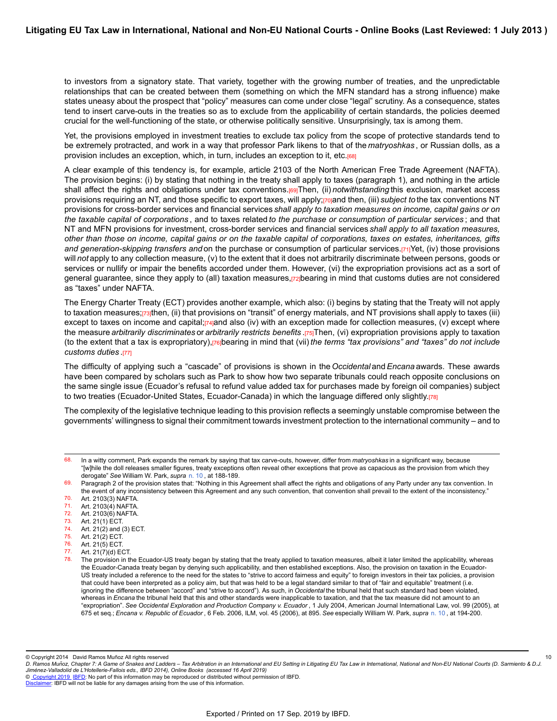to investors from a signatory state. That variety, together with the growing number of treaties, and the unpredictable relationships that can be created between them (something on which the MFN standard has a strong influence) make states uneasy about the prospect that "policy" measures can come under close "legal" scrutiny. As a consequence, states tend to insert carve-outs in the treaties so as to exclude from the applicability of certain standards, the policies deemed crucial for the well-functioning of the state, or otherwise politically sensitive. Unsurprisingly, tax is among them.

Yet, the provisions employed in investment treaties to exclude tax policy from the scope of protective standards tend to be extremely protracted, and work in a way that professor Park likens to that of the *matryoshkas* , or Russian dolls, as a provision includes an exception, which, in turn, includes an exception to it, etc.<sup>[68]</sup>

A clear example of this tendency is, for example, article 2103 of the North American Free Trade Agreement (NAFTA). The provision begins: (i) by stating that nothing in the treaty shall apply to taxes (paragraph 1), and nothing in the article shall affect the rights and obligations under tax conventions.[69]Then, (ii) *notwithstanding* this exclusion, market access provisions requiring an NT, and those specific to export taxes, will apply;<sub>[70]</sub>and then, (iii) *subject to* the tax conventions NT provisions for cross-border services and financial services *shall apply to taxation measures on income, capital gains or on the taxable capital of corporations* , and to taxes related *to the purchase or consumption of particular services* ; and that NT and MFN provisions for investment, cross-border services and financial services *shall apply to all taxation measures, other than those on income, capital gains or on the taxable capital of corporations, taxes on estates, inheritances, gifts and generation-skipping transfers and* on the purchase or consumption of particular services.[71]Yet, (iv) those provisions will *not* apply to any collection measure, (v) to the extent that it does not arbitrarily discriminate between persons, goods or services or nullify or impair the benefits accorded under them. However, (vi) the expropriation provisions act as a sort of general guarantee, since they apply to (all) taxation measures,[72]bearing in mind that customs duties are not considered as "taxes" under NAFTA.

The Energy Charter Treaty (ECT) provides another example, which also: (i) begins by stating that the Treaty will not apply to taxation measures;[73]then, (ii) that provisions on "transit" of energy materials, and NT provisions shall apply to taxes (iii) except to taxes on income and capital; $[74]$ and also (iv) with an exception made for collection measures, (v) except where the measure *arbitrarily discriminates* or *arbitrarily restricts benefits* .[75]Then, (vi) expropriation provisions apply to taxation (to the extent that a tax is expropriatory),[76]bearing in mind that (vii) *the terms "tax provisions" and "taxes" do not include customs duties* .[77]

The difficulty of applying such a "cascade" of provisions is shown in the *Occidental* and *Encana* awards. These awards have been compared by scholars such as Park to show how two separate tribunals could reach opposite conclusions on the same single issue (Ecuador's refusal to refund value added tax for purchases made by foreign oil companies) subject to two treaties (Ecuador-United States, Ecuador-Canada) in which the language differed only slightly.[78]

The complexity of the legislative technique leading to this provision reflects a seemingly unstable compromise between the governments' willingness to signal their commitment towards investment protection to the international community – and to

- 71. Art. 2103(4) NAFTA.
- 72. Art. 2103(6) NAFTA.<br>73. Art. 21(1) FCT
- 73. Art. 21(1) ECT.<br>74. Art. 21(2) and (
- 74. Art. 21(2) and (3) ECT.<br>75. Art. 21(2) ECT. Art. 21(2) ECT.
- 
- 76. Art. 21(5) ECT.<br>77 Art. 21(7)(d) EQ Art. 21(7)(d) ECT.
- 

© Copyright 2014 David Ramos Muñoz All rights reserved

10

<sup>68.</sup> In a witty comment, Park expands the remark by saying that tax carve-outs, however, differ from *matryoshkas* in a significant way, because "[w]hile the doll releases smaller figures, treaty exceptions often reveal other exceptions that prove as capacious as the provision from which they derogate" *See* William W. Park, *supra* [n. 10](https://research.ibfd.org/#/doc?url=/linkresolver/static/letl_p04_c02_fn_0010#letl_p04_c02_fn_0010) , at 188-189.

<sup>69.</sup> Paragraph 2 of the provision states that: "Nothing in this Agreement shall affect the rights and obligations of any Party under any tax convention. In the event of any inconsistency between this Agreement and any such convention, that convention shall prevail to the extent of the inconsistency." 70. Art. 2103(3) NAFTA.

The provision in the Ecuador-US treaty began by stating that the treaty applied to taxation measures, albeit it later limited the applicability, whereas the Ecuador-Canada treaty began by denying such applicability, and then established exceptions. Also, the provision on taxation in the Ecuador-US treaty included a reference to the need for the states to "strive to accord fairness and equity" to foreign investors in their tax policies, a provision that could have been interpreted as a policy aim, but that was held to be a legal standard similar to that of "fair and equitable" treatment (i.e. ignoring the difference between "accord" and "strive to accord"). As such, in *Occidental* the tribunal held that such standard had been violated, whereas in *Encana* the tribunal held that this and other standards were inapplicable to taxation, and that the tax measure did not amount to an "expropriation". *See Occidental Exploration and Production Company v. Ecuador* , 1 July 2004, American Journal International Law, vol. 99 (2005), at 675 et seq.; *Encana v. Republic of Ecuador* , 6 Feb. 2006, ILM, vol. 45 (2006), at 895. *See* especially William W. Park, *supra* [n. 10](https://research.ibfd.org/#/doc?url=/linkresolver/static/letl_p04_c02_fn_0010#letl_p04_c02_fn_0010) , at 194-200.

*D. Ramos Munoz, Chapter 7: A Game of Snakes and Ladders – Tax Arbitration in an International and EU Setting in Litigating EU Tax Law in International, National and Non-EU National Courts (D. Sarmiento & D.J. ̃ Jimenez-Valladolid de L'Hotellerie-Fallois eds., IBFD 2014), Online Books (accessed 16 April 2019) ́*

[Disclaimer](http://www.ibfd.org/Disclaimer): IBFD will not be liable for any damages arising from the use of this information.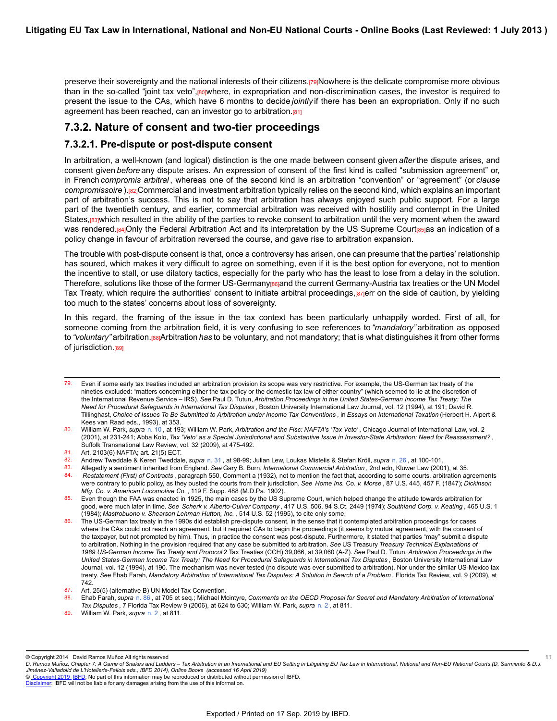preserve their sovereignty and the national interests of their citizens.[79]Nowhere is the delicate compromise more obvious than in the so-called "joint tax veto",<sup>[80]</sup>where, in expropriation and non-discrimination cases, the investor is required to present the issue to the CAs, which have 6 months to decide *jointly* if there has been an expropriation. Only if no such agreement has been reached, can an investor go to arbitration.<sup>[81]</sup>

### **7.3.2. Nature of consent and two-tier proceedings**

#### **7.3.2.1. Pre-dispute or post-dispute consent**

In arbitration, a well-known (and logical) distinction is the one made between consent given *after* the dispute arises, and consent given *before* any dispute arises. An expression of consent of the first kind is called "submission agreement" or, in French *compromis arbitral* , whereas one of the second kind is an arbitration "convention" or "agreement" (or *clause compromissoire* ).[82]Commercial and investment arbitration typically relies on the second kind, which explains an important part of arbitration's success. This is not to say that arbitration has always enjoyed such public support. For a large part of the twentieth century, and earlier, commercial arbitration was received with hostility and contempt in the United States,[83]which resulted in the ability of the parties to revoke consent to arbitration until the very moment when the award was rendered.[84]Only the Federal Arbitration Act and its interpretation by the US Supreme Court[85]as an indication of a policy change in favour of arbitration reversed the course, and gave rise to arbitration expansion.

The trouble with post-dispute consent is that, once a controversy has arisen, one can presume that the parties' relationship has soured, which makes it very difficult to agree on something, even if it is the best option for everyone, not to mention the incentive to stall, or use dilatory tactics, especially for the party who has the least to lose from a delay in the solution. Therefore, solutions like those of the former US-Germany[86]and the current Germany-Austria tax treaties or the UN Model Tax Treaty, which require the authorities' consent to initiate arbitral proceedings, <sup>[87]</sup>err on the side of caution, by yielding too much to the states' concerns about loss of sovereignty.

In this regard, the framing of the issue in the tax context has been particularly unhappily worded. First of all, for someone coming from the arbitration field, it is very confusing to see references to *"mandatory"* arbitration as opposed to *"voluntary"* arbitration.[88]Arbitration *has* to be voluntary, and not mandatory; that is what distinguishes it from other forms of jurisdiction.<sup>[89]</sup>

© Copyright 2014 David Ramos Muñoz All rights reserved

© [Copyright 2019](http://www.ibfd.org/Copyright-IBFD) [IBFD:](http://www.ibfd.org) No part of this information may be reproduced or distributed without permission of IBFD.

<sup>79.</sup> Even if some early tax treaties included an arbitration provision its scope was very restrictive. For example, the US-German tax treaty of the nineties excluded: "matters concerning either the tax policy or the domestic tax law of either country" (which seemed to lie at the discretion of the International Revenue Service – IRS). *See* Paul D. Tutun, *Arbitration Proceedings in the United States-German Income Tax Treaty: The Need for Procedural Safeguards in International Tax Disputes* , Boston University International Law Journal, vol. 12 (1994), at 191; David R. Tillinghast, *Choice of Issues To Be Submitted to Arbitration under Income Tax Conventions* , in *Essays on International Taxation* (Herbert H. Alpert & Kees van Raad eds., 1993), at 353.

<sup>80.</sup> William W. Park, *supra* [n. 10](https://research.ibfd.org/#/doc?url=/linkresolver/static/letl_p04_c02_fn_0010#letl_p04_c02_fn_0010) , at 193; William W. Park, *Arbitration and the Fisc: NAFTA's 'Tax Veto'* , Chicago Journal of International Law, vol. 2 (2001), at 231-241; Abba Kolo, *Tax 'Veto' as a Special Jurisdictional and Substantive Issue in Investor-State Arbitration: Need for Reassessment?* , Suffolk Transnational Law Review, vol. 32 (2009), at 475-492.

<sup>81.</sup> Art. 2103(6) NAFTA; art. 21(5) ECT.<br>82. Andrew Tweddale & Keren Tweddale

<sup>82.</sup> Andrew Tweddale & Keren Tweddale, *supra* [n. 31](https://research.ibfd.org/#/doc?url=/linkresolver/static/letl_p04_c02_fn_0031#letl_p04_c02_fn_0031) , at 98-99; Julian Lew, Loukas Mistelis & Stefan Kröll, *supra* [n. 26](https://research.ibfd.org/#/doc?url=/linkresolver/static/letl_p04_c02_fn_0026#letl_p04_c02_fn_0026) , at 100-101.

<sup>83.</sup> Allegedly a sentiment inherited from England. *See* Gary B. Born, *International Commercial Arbitration* , 2nd edn, Kluwer Law (2001), at 35. 84. *Restatement (First) of Contracts* , paragraph 550, Comment a (1932), not to mention the fact that, according to some courts, arbitration agreements were contrary to public policy, as they ousted the courts from their jurisdiction. *See Home Ins. Co. v. Morse* , 87 U.S. 445, 457 F. (1847); *Dickinson Mfg. Co. v. American Locomotive Co.* , 119 F. Supp. 488 (M.D.Pa. 1902).

<sup>85.</sup> Even though the FAA was enacted in 1925, the main cases by the US Supreme Court, which helped change the attitude towards arbitration for good, were much later in time. *See Scherk v. Alberto-Culver Company* , 417 U.S. 506, 94 S.Ct. 2449 (1974); *Southland Corp. v. Keating* , 465 U.S. 1 (1984); *Mastrobuono v. Shearson Lehman Hutton, Inc.* , 514 U.S. 52 (1995), to cite only some.

The US-German tax treaty in the 1990s did establish pre-dispute consent, in the sense that it contemplated arbitration proceedings for cases where the CAs could not reach an agreement, but it required CAs to begin the proceedings (it seems by mutual agreement, with the consent of the taxpayer, but not prompted by him). Thus, in practice the consent was post-dispute. Furthermore, it stated that parties "may" submit a dispute to arbitration. Nothing in the provision required that any case be submitted to arbitration. *See* US Treasury *Treasury Technical Explanations of 1989 US-German Income Tax Treaty and Protocol* 2 Tax Treaties (CCH) 39,066, at 39,060 (A-Z). *See* Paul D. Tutun, *Arbitration Proceedings in the United States-German Income Tax Treaty: The Need for Procedural Safeguards in International Tax Disputes* , Boston University International Law Journal, vol. 12 (1994), at 190. The mechanism was never tested (no dispute was ever submitted to arbitration). Nor under the similar US-Mexico tax treaty. *See* Ehab Farah, *Mandatory Arbitration of International Tax Disputes: A Solution in Search of a Problem* , Florida Tax Review, vol. 9 (2009), at 742.

<sup>87.</sup> Art. 25(5) (alternative B) UN Model Tax Convention.

<sup>88.</sup> Ehab Farah, *supra* [n. 86](https://research.ibfd.org/#/doc?url=/linkresolver/static/letl_p04_c02_fn_0086#letl_p04_c02_fn_0086) , at 705 et seq.; Michael Mcintyre, *Comments on the OECD Proposal for Secret and Mandatory Arbitration of International Tax Disputes* , 7 Florida Tax Review 9 (2006), at 624 to 630; William W. Park, *supra* [n. 2](https://research.ibfd.org/#/doc?url=/linkresolver/static/letl_p04_c02_fn_0002#letl_p04_c02_fn_0002) , at 811.

<sup>89.</sup> William W. Park, *supra* [n. 2](https://research.ibfd.org/#/doc?url=/linkresolver/static/letl_p04_c02_fn_0002#letl_p04_c02_fn_0002) , at 811.

*D. Ramos Munoz, Chapter 7: A Game of Snakes and Ladders – Tax Arbitration in an International and EU Setting in Litigating EU Tax Law in International, National and Non-EU National Courts (D. Sarmiento & D.J. ̃ Jimenez-Valladolid de L'Hotellerie-Fallois eds., IBFD 2014), Online Books (accessed 16 April 2019) ́* 11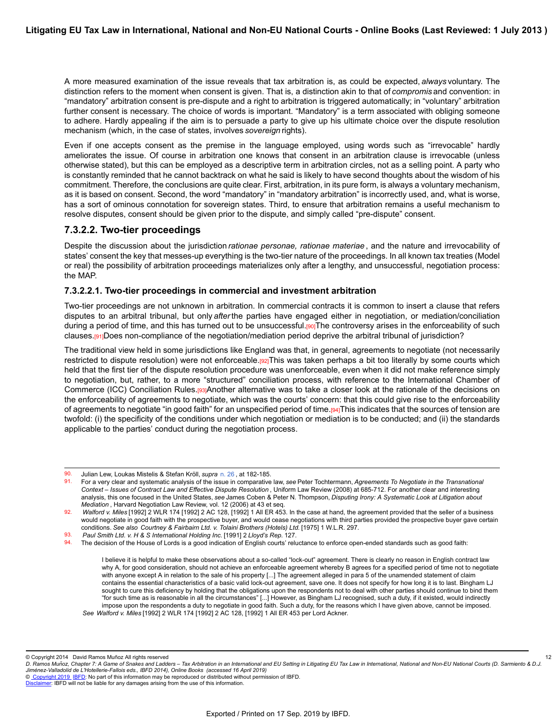A more measured examination of the issue reveals that tax arbitration is, as could be expected, *always* voluntary. The distinction refers to the moment when consent is given. That is, a distinction akin to that of *compromis* and convention: in "mandatory" arbitration consent is pre-dispute and a right to arbitration is triggered automatically; in "voluntary" arbitration further consent is necessary. The choice of words is important. "Mandatory" is a term associated with obliging someone to adhere. Hardly appealing if the aim is to persuade a party to give up his ultimate choice over the dispute resolution mechanism (which, in the case of states, involves *sovereign* rights).

Even if one accepts consent as the premise in the language employed, using words such as "irrevocable" hardly ameliorates the issue. Of course in arbitration one knows that consent in an arbitration clause is irrevocable (unless otherwise stated), but this can be employed as a descriptive term in arbitration circles, not as a selling point. A party who is constantly reminded that he cannot backtrack on what he said is likely to have second thoughts about the wisdom of his commitment. Therefore, the conclusions are quite clear. First, arbitration, in its pure form, is always a voluntary mechanism, as it is based on consent. Second, the word "mandatory" in "mandatory arbitration" is incorrectly used, and, what is worse, has a sort of ominous connotation for sovereign states. Third, to ensure that arbitration remains a useful mechanism to resolve disputes, consent should be given prior to the dispute, and simply called "pre-dispute" consent.

### **7.3.2.2. Two-tier proceedings**

Despite the discussion about the jurisdiction *rationae personae, rationae materiae* , and the nature and irrevocability of states' consent the key that messes-up everything is the two-tier nature of the proceedings. In all known tax treaties (Model or real) the possibility of arbitration proceedings materializes only after a lengthy, and unsuccessful, negotiation process: the MAP.

#### **7.3.2.2.1. Two-tier proceedings in commercial and investment arbitration**

Two-tier proceedings are not unknown in arbitration. In commercial contracts it is common to insert a clause that refers disputes to an arbitral tribunal, but only *after* the parties have engaged either in negotiation, or mediation/conciliation during a period of time, and this has turned out to be unsuccessful.[90]The controversy arises in the enforceability of such clauses.<sup>[91]</sup>Does non-compliance of the negotiation/mediation period deprive the arbitral tribunal of jurisdiction?

The traditional view held in some jurisdictions like England was that, in general, agreements to negotiate (not necessarily restricted to dispute resolution) were not enforceable.[92]This was taken perhaps a bit too literally by some courts which held that the first tier of the dispute resolution procedure was unenforceable, even when it did not make reference simply to negotiation, but, rather, to a more "structured" conciliation process, with reference to the International Chamber of Commerce (ICC) Conciliation Rules.<sup>[93]</sup>Another alternative was to take a closer look at the rationale of the decisions on the enforceability of agreements to negotiate, which was the courts' concern: that this could give rise to the enforceability of agreements to negotiate "in good faith" for an unspecified period of time.[94]This indicates that the sources of tension are twofold: (i) the specificity of the conditions under which negotiation or mediation is to be conducted; and (ii) the standards applicable to the parties' conduct during the negotiation process.

© Copyright 2014 David Ramos Muñoz All rights reserved

12

<sup>90.</sup> Julian Lew, Loukas Mistelis & Stefan Kröll, *supra* [n. 26](https://research.ibfd.org/#/doc?url=/linkresolver/static/letl_p04_c02_fn_0026#letl_p04_c02_fn_0026) , at 182-185.

<sup>91.</sup> For a very clear and systematic analysis of the issue in comparative law, *see* Peter Tochtermann, *Agreements To Negotiate in the Transnational Context – Issues of Contract Law and Effective Dispute Resolution* , Uniform Law Review (2008) at 685-712. For another clear and interesting analysis, this one focused in the United States, *see* James Coben & Peter N. Thompson, *Disputing Irony: A Systematic Look at Litigation about Mediation* , Harvard Negotiation Law Review, vol. 12 (2006) at 43 et seq.

<sup>92.</sup> *Walford v. Miles* [1992] 2 WLR 174 [1992] 2 AC 128, [1992] 1 All ER 453. In the case at hand, the agreement provided that the seller of a business would negotiate in good faith with the prospective buyer, and would cease negotiations with third parties provided the prospective buyer gave certain conditions. *See also Courtney & Fairbairn Ltd. v. Tolaini Brothers (Hotels) Ltd.* [1975] 1 W.L.R. 297.

<sup>93.</sup> *Paul Smith Ltd. v. H & S International Holding Inc.* [1991] 2 *Lloyd's Rep.* 127.

<sup>94.</sup> The decision of the House of Lords is a good indication of English courts' reluctance to enforce open-ended standards such as good faith:

I believe it is helpful to make these observations about a so-called "lock-out" agreement. There is clearly no reason in English contract law why A, for good consideration, should not achieve an enforceable agreement whereby B agrees for a specified period of time not to negotiate with anyone except A in relation to the sale of his property [...] The agreement alleged in para 5 of the unamended statement of claim contains the essential characteristics of a basic valid lock-out agreement, save one. It does not specify for how long it is to last. Bingham LJ sought to cure this deficiency by holding that the obligations upon the respondents not to deal with other parties should continue to bind them "for such time as is reasonable in all the circumstances" [...] However, as Bingham LJ recognised, such a duty, if it existed, would indirectly impose upon the respondents a duty to negotiate in good faith. Such a duty, for the reasons which I have given above, cannot be imposed. *See Walford v. Miles* [1992] 2 WLR 174 [1992] 2 AC 128, [1992] 1 All ER 453 per Lord Ackner.

*D. Ramos Munoz, Chapter 7: A Game of Snakes and Ladders – Tax Arbitration in an International and EU Setting in Litigating EU Tax Law in International, National and Non-EU National Courts (D. Sarmiento & D.J. ̃ Jimenez-Valladolid de L'Hotellerie-Fallois eds., IBFD 2014), Online Books (accessed 16 April 2019) ́*

[Disclaimer](http://www.ibfd.org/Disclaimer): IBFD will not be liable for any damages arising from the use of this information.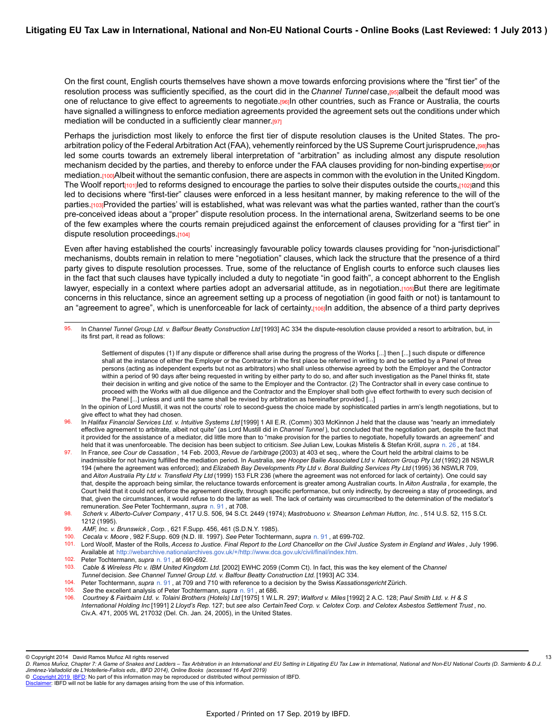On the first count, English courts themselves have shown a move towards enforcing provisions where the "first tier" of the resolution process was sufficiently specified, as the court did in the *Channel Tunnel* case, p<sub>si</sub>albeit the default mood was one of reluctance to give effect to agreements to negotiate.[96]In other countries, such as France or Australia, the courts have signalled a willingness to enforce mediation agreements provided the agreement sets out the conditions under which mediation will be conducted in a sufficiently clear manner.[97]

Perhaps the jurisdiction most likely to enforce the first tier of dispute resolution clauses is the United States. The proarbitration policy of the Federal Arbitration Act (FAA), vehemently reinforced by the US Supreme Court jurisprudence, [98]has led some courts towards an extremely liberal interpretation of "arbitration" as including almost any dispute resolution mechanism decided by the parties, and thereby to enforce under the FAA clauses providing for non-binding expertise[99]or mediation.<sub>[100]</sub>Albeit without the semantic confusion, there are aspects in common with the evolution in the United Kingdom. The Woolf report<sub>[101]</sub> led to reforms designed to encourage the parties to solve their disputes outside the courts, [102] and this led to decisions where "first-tier" clauses were enforced in a less hesitant manner, by making reference to the will of the parties.[103]Provided the parties' will is established, what was relevant was what the parties wanted, rather than the court's pre-conceived ideas about a "proper" dispute resolution process. In the international arena, Switzerland seems to be one of the few examples where the courts remain prejudiced against the enforcement of clauses providing for a "first tier" in dispute resolution proceedings.[104]

Even after having established the courts' increasingly favourable policy towards clauses providing for "non-jurisdictional" mechanisms, doubts remain in relation to mere "negotiation" clauses, which lack the structure that the presence of a third party gives to dispute resolution processes. True, some of the reluctance of English courts to enforce such clauses lies in the fact that such clauses have typically included a duty to negotiate "in good faith", a concept abhorrent to the English lawyer, especially in a context where parties adopt an adversarial attitude, as in negotiation.[105]But there are legitimate concerns in this reluctance, since an agreement setting up a process of negotiation (in good faith or not) is tantamount to an "agreement to agree", which is unenforceable for lack of certainty.[106]In addition, the absence of a third party deprives

95. In *Channel Tunnel Group Ltd. v. Balfour Beatty Construction Ltd* [1993] AC 334 the dispute-resolution clause provided a resort to arbitration, but, in its first part, it read as follows:

Settlement of disputes (1) If any dispute or difference shall arise during the progress of the Works [...] then [...] such dispute or difference shall at the instance of either the Employer or the Contractor in the first place be referred in writing to and be settled by a Panel of three persons (acting as independent experts but not as arbitrators) who shall unless otherwise agreed by both the Employer and the Contractor within a period of 90 days after being requested in writing by either party to do so, and after such investigation as the Panel thinks fit, state their decision in writing and give notice of the same to the Employer and the Contractor. (2) The Contractor shall in every case continue to proceed with the Works with all due diligence and the Contractor and the Employer shall both give effect forthwith to every such decision of the Panel [...] unless and until the same shall be revised by arbitration as hereinafter provided [...]

- 96. In *Halifax Financial Services Ltd. v. Intuitive Systems Ltd* [1999] 1 All E.R. (Comm) 303 McKinnon J held that the clause was "nearly an immediately effective agreement to arbitrate, albeit not quite" (as Lord Mustill did in *Channel Tunnel* ), but concluded that the negotiation part, despite the fact that it provided for the assistance of a mediator, did little more than to "make provision for the parties to negotiate, hopefully towards an agreement" and held that it was unenforceable. The decision has been subject to criticism. *See* Julian Lew, Loukas Mistelis & Stefan Kröll, *supra* [n. 26](https://research.ibfd.org/#/doc?url=/linkresolver/static/letl_p04_c02_fn_0026#letl_p04_c02_fn_0026) , at 184.
- 97. In France, *see Cour de Cassation* , 14 Feb. 2003, *Revue de l'arbitrage* (2003) at 403 et seq., where the Court held the arbitral claims to be inadmissible for not having fulfilled the mediation period. In Australia, *see Hooper Bailie Associated Ltd v. Natcom Group Pty Ltd* (1992) 28 NSWLR 194 (where the agreement was enforced); and *Elizabeth Bay Developments Pty Ltd v. Boral Building Services Pty Ltd* (1995) 36 NSWLR 709, and *Aiton Australia Pty Ltd v. Transfield Pty Ltd* (1999) 153 FLR 236 (where the agreement was not enforced for lack of certainty). One could say that, despite the approach being similar, the reluctance towards enforcement is greater among Australian courts. In *Aiton Australia* , for example, the Court held that it could not enforce the agreement directly, through specific performance, but only indirectly, by decreeing a stay of proceedings, and that, given the circumstances, it would refuse to do the latter as well. The lack of certainty was circumscribed to the determination of the mediator's remuneration. *See* Peter Tochtermann, *supra* [n. 91](https://research.ibfd.org/#/doc?url=/linkresolver/static/letl_p04_c02_fn_0091#letl_p04_c02_fn_0091) , at 708.
- 98. *Scherk v. Alberto-Culver Company* , 417 U.S. 506, 94 S.Ct. 2449 (1974); *Mastrobuono v. Shearson Lehman Hutton, Inc.* , 514 U.S. 52, 115 S.Ct. 1212 (1995).
- 99. *AMF, Inc. v. Brunswick* , *Corp.* , 621 F.Supp. 456, 461 (S.D.N.Y. 1985).
- 100. *Cecala v. Moore* , 982 F.Supp. 609 (N.D. Ill. 1997). *See* Peter Tochtermann, *supra* [n. 91](https://research.ibfd.org/#/doc?url=/linkresolver/static/letl_p04_c02_fn_0091#letl_p04_c02_fn_0091) , at 699-702.
- 101. Lord Woolf, Master of the Rolls, *Access to Justice. Final Report to the Lord Chancellor on the Civil Justice System in England and Wales* , July 1996. Available at <http://webarchive.nationalarchives.gov.uk/+/http://www.dca.gov.uk/civil/final/index.htm>.
- 102. Peter Tochtermann, *supra* [n. 91](https://research.ibfd.org/#/doc?url=/linkresolver/static/letl_p04_c02_fn_0091#letl_p04_c02_fn_0091) , at 690-692.
- 103. *Cable & Wireless Plc v. IBM United Kingdom Ltd.* [2002] EWHC 2059 (Comm Ct). In fact, this was the key element of the *Channel Tunnel* decision. *See Channel Tunnel Group Ltd. v. Balfour Beatty Construction Ltd.* [1993] AC 334.
- 104. Peter Tochtermann, *supra* [n. 91](https://research.ibfd.org/#/doc?url=/linkresolver/static/letl_p04_c02_fn_0091#letl_p04_c02_fn_0091) , at 709 and 710 with reference to a decision by the Swiss *Kassationsgericht* Zürich.
- See the excellent analysis of Peter Tochtermann, *supra* [n. 91](https://research.ibfd.org/#/doc?url=/linkresolver/static/letl_p04_c02_fn_0091#letl_p04_c02_fn_0091), at 686.
- 106. *Courtney & Fairbairn Ltd. v. Tolaini Brothers (Hotels) Ltd* [1975] 1 W.L.R. 297; *Walford v. Miles* [1992] 2 A.C. 128; *Paul Smith Ltd. v. H & S International Holding Inc* [1991] 2 *Lloyd's Rep.* 127; but *see also CertainTeed Corp. v. Celotex Corp. and Celotex Asbestos Settlement Trust* , no. Civ.A. 471, 2005 WL 217032 (Del. Ch. Jan. 24, 2005), in the United States.

13

In the opinion of Lord Mustill, it was not the courts' role to second-guess the choice made by sophisticated parties in arm's length negotiations, but to give effect to what they had chosen.

<sup>©</sup> Copyright 2014 David Ramos Muñoz All rights reserved

*D. Ramos Munoz, Chapter 7: A Game of Snakes and Ladders – Tax Arbitration in an International and EU Setting in Litigating EU Tax Law in International, National and Non-EU National Courts (D. Sarmiento & D.J. ̃ Jimenez-Valladolid de L'Hotellerie-Fallois eds., IBFD 2014), Online Books (accessed 16 April 2019) ́*

[Disclaimer](http://www.ibfd.org/Disclaimer): IBFD will not be liable for any damages arising from the use of this information.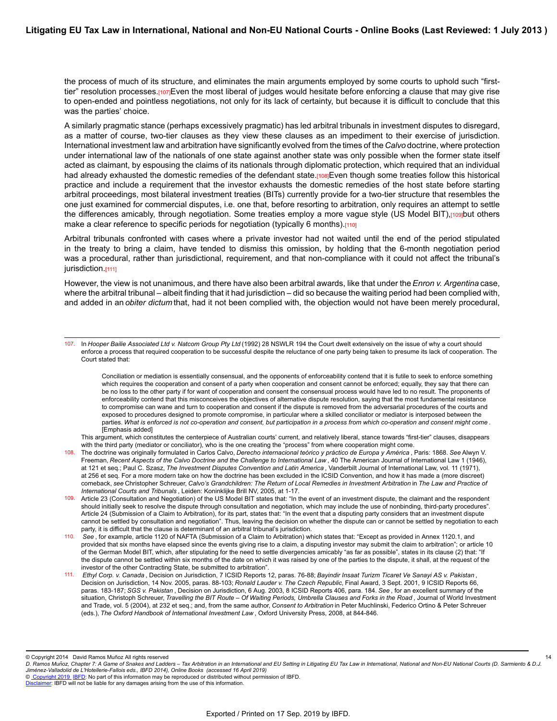the process of much of its structure, and eliminates the main arguments employed by some courts to uphold such "firsttier" resolution processes.<sub>[107]</sub>Even the most liberal of judges would hesitate before enforcing a clause that may give rise to open-ended and pointless negotiations, not only for its lack of certainty, but because it is difficult to conclude that this was the parties' choice.

A similarly pragmatic stance (perhaps excessively pragmatic) has led arbitral tribunals in investment disputes to disregard, as a matter of course, two-tier clauses as they view these clauses as an impediment to their exercise of jurisdiction. International investment law and arbitration have significantly evolved from the times of the *Calvo* doctrine, where protection under international law of the nationals of one state against another state was only possible when the former state itself acted as claimant, by espousing the claims of its nationals through diplomatic protection, which required that an individual had already exhausted the domestic remedies of the defendant state.[108]Even though some treaties follow this historical practice and include a requirement that the investor exhausts the domestic remedies of the host state before starting arbitral proceedings, most bilateral investment treaties (BITs) currently provide for a two-tier structure that resembles the one just examined for commercial disputes, i.e. one that, before resorting to arbitration, only requires an attempt to settle the differences amicably, through negotiation. Some treaties employ a more vague style (US Model BIT),[109]but others make a clear reference to specific periods for negotiation (typically 6 months).[110]

Arbitral tribunals confronted with cases where a private investor had not waited until the end of the period stipulated in the treaty to bring a claim, have tended to dismiss this omission, by holding that the 6-month negotiation period was a procedural, rather than jurisdictional, requirement, and that non-compliance with it could not affect the tribunal's jurisdiction.[111]

However, the view is not unanimous, and there have also been arbitral awards, like that under the*Enron v. Argentina* case, where the arbitral tribunal – albeit finding that it had jurisdiction – did so because the waiting period had been complied with, and added in an *obiter dictum* that, had it not been complied with, the objection would not have been merely procedural,

Conciliation or mediation is essentially consensual, and the opponents of enforceability contend that it is futile to seek to enforce something which requires the cooperation and consent of a party when cooperation and consent cannot be enforced; equally, they say that there can be no loss to the other party if for want of cooperation and consent the consensual process would have led to no result. The proponents of enforceability contend that this misconceives the objectives of alternative dispute resolution, saying that the most fundamental resistance to compromise can wane and turn to cooperation and consent if the dispute is removed from the adversarial procedures of the courts and exposed to procedures designed to promote compromise, in particular where a skilled conciliator or mediator is interposed between the parties. *What is enforced is not co-operation and consent, but participation in a process from which co-operation and consent might come* . [Emphasis added]

This argument, which constitutes the centerpiece of Australian courts' current, and relatively liberal, stance towards "first-tier" clauses, disappears with the third party (mediator or conciliator), who is the one creating the "process" from where cooperation might come.

- 108. The doctrine was originally formulated in Carlos Calvo, *Derecho internacional teórico y práctico de Europa y América* , Paris: 1868. *See* Alwyn V. Freeman, *Recent Aspects of the Calvo Doctrine and the Challenge to International Law* , 40 The American Journal of International Law 1 (1946), at 121 et seq.; Paul C. Szasz, *The Investment Disputes Convention and Latin America* , Vanderbilt Journal of International Law, vol. 11 (1971), at 256 et seq. For a more modern take on how the doctrine has been excluded in the ICSID Convention, and how it has made a (more discreet) comeback, *see* Christopher Schreuer, *Calvo's Grandchildren: The Return of Local Remedies in Investment Arbitration* in *The Law and Practice of International Courts and Tribunals* , Leiden: Koninklijke Brill NV, 2005, at 1-17.
- 109. Article 23 (Consultation and Negotiation) of the US Model BIT states that: "In the event of an investment dispute, the claimant and the respondent should initially seek to resolve the dispute through consultation and negotiation, which may include the use of nonbinding, third-party procedures". Article 24 (Submission of a Claim to Arbitration), for its part, states that: "In the event that a disputing party considers that an investment dispute cannot be settled by consultation and negotiation". Thus, leaving the decision on whether the dispute can or cannot be settled by negotiation to each party, it is difficult that the clause is determinant of an arbitral tribunal's jurisdiction.
- 110. *See* , for example, article 1120 of NAFTA (Submission of a Claim to Arbitration) which states that: "Except as provided in Annex 1120.1, and provided that six months have elapsed since the events giving rise to a claim, a disputing investor may submit the claim to arbitration"; or article 10 of the German Model BIT, which, after stipulating for the need to settle divergencies amicably "as far as possible", states in its clause (2) that: "If the dispute cannot be settled within six months of the date on which it was raised by one of the parties to the dispute, it shall, at the request of the investor of the other Contracting State, be submitted to arbitration".
- 111. *Ethyl Corp. v. Canada* , Decision on Jurisdiction, 7 ICSID Reports 12, paras. 76-88; *Bayindir Insaat Turizm Ticaret Ve Sanayi AS v. Pakistan* , Decision on Jurisdiction, 14 Nov. 2005, paras. 88-103; *Ronald Lauder v. The Czech Republic,* Final Award, 3 Sept. 2001, 9 ICSID Reports 66, paras. 183-187; *SGS v. Pakistan* , Decision on Jurisdiction, 6 Aug. 2003, 8 ICSID Reports 406, para. 184. *See* , for an excellent summary of the situation, Christoph Schreuer, *Travelling the BIT Route – Of Waiting Periods, Umbrella Clauses and Forks in the Road* , Journal of World Investment and Trade, vol. 5 (2004), at 232 et seq.; and, from the same author, *Consent to Arbitration* in Peter Muchlinski, Federico Ortino & Peter Schreuer (eds.), *The Oxford Handbook of International Investment Law* , Oxford University Press, 2008, at 844-846.

© Copyright 2014 David Ramos Muñoz All rights reserved

<sup>107.</sup> In *Hooper Bailie Associated Ltd v. Natcom Group Pty Ltd* (1992) 28 NSWLR 194 the Court dwelt extensively on the issue of why a court should enforce a process that required cooperation to be successful despite the reluctance of one party being taken to presume its lack of cooperation. The Court stated that:

*D. Ramos Munoz, Chapter 7: A Game of Snakes and Ladders – Tax Arbitration in an International and EU Setting in Litigating EU Tax Law in International, National and Non-EU National Courts (D. Sarmiento & D.J. ̃ Jimenez-Valladolid de L'Hotellerie-Fallois eds., IBFD 2014), Online Books (accessed 16 April 2019) ́* 14

[Disclaimer](http://www.ibfd.org/Disclaimer): IBFD will not be liable for any damages arising from the use of this information.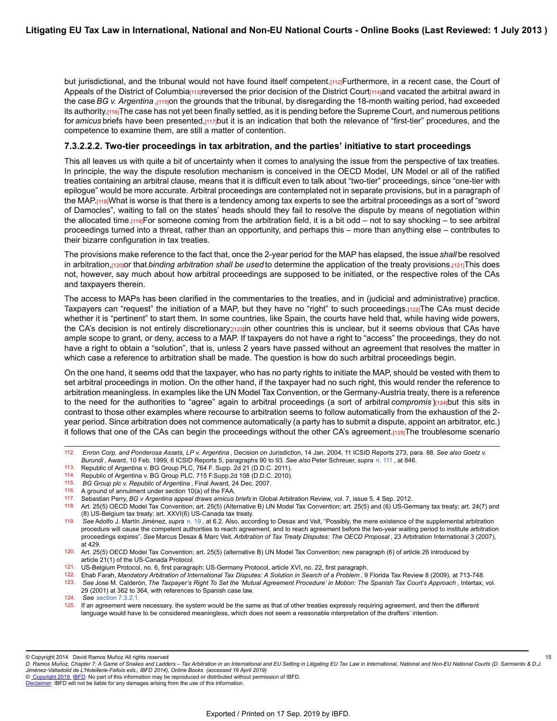but jurisdictional, and the tribunal would not have found itself competent.[112]Furthermore, in a recent case, the Court of Appeals of the District of Columbia<sub>[113]</sub>reversed the prior decision of the District Court<sub>[114]</sub>and vacated the arbitral award in the case *BG v. Argentina* ,[115]on the grounds that the tribunal, by disregarding the 18-month waiting period, had exceeded its authority.[116]The case has not yet been finally settled, as it is pending before the Supreme Court, and numerous petitions for *amicus* briefs have been presented,[117]but it is an indication that both the relevance of "first-tier" procedures, and the competence to examine them, are still a matter of contention.

#### **7.3.2.2.2. Two-tier proceedings in tax arbitration, and the parties' initiative to start proceedings**

This all leaves us with quite a bit of uncertainty when it comes to analysing the issue from the perspective of tax treaties. In principle, the way the dispute resolution mechanism is conceived in the OECD Model, UN Model or all of the ratified treaties containing an arbitral clause, means that it is difficult even to talk about "two-tier" proceedings, since "one-tier with epilogue" would be more accurate. Arbitral proceedings are contemplated not in separate provisions, but in a paragraph of the MAP.[118]What is worse is that there is a tendency among tax experts to see the arbitral proceedings as a sort of "sword of Damocles", waiting to fall on the states' heads should they fail to resolve the dispute by means of negotiation within the allocated time.[119]For someone coming from the arbitration field, it is a bit odd – not to say shocking – to see arbitral proceedings turned into a threat, rather than an opportunity, and perhaps this – more than anything else – contributes to their bizarre configuration in tax treaties.

The provisions make reference to the fact that, once the 2-year period for the MAP has elapsed, the issue *shall* be resolved in arbitration, [120] or that *binding arbitration shall be used* to determine the application of the treaty provisions.[121] This does not, however, say much about how arbitral proceedings are supposed to be initiated, or the respective roles of the CAs and taxpayers therein.

The access to MAPs has been clarified in the commentaries to the treaties, and in (judicial and administrative) practice. Taxpayers can "request" the initiation of a MAP, but they have no "right" to such proceedings.[122]The CAs must decide whether it is "pertinent" to start them. In some countries, like Spain, the courts have held that, while having wide powers, the CA's decision is not entirely discretionary;[123]in other countries this is unclear, but it seems obvious that CAs have ample scope to grant, or deny, access to a MAP. If taxpayers do not have a right to "access" the proceedings, they do not have a right to obtain a "solution", that is, unless 2 years have passed without an agreement that resolves the matter in which case a reference to arbitration shall be made. The question is how do such arbitral proceedings begin.

On the one hand, it seems odd that the taxpayer, who has no party rights to initiate the MAP, should be vested with them to set arbitral proceedings in motion. On the other hand, if the taxpayer had no such right, this would render the reference to arbitration meaningless. In examples like the UN Model Tax Convention, or the Germany-Austria treaty, there is a reference to the need for the authorities to "agree" again to arbitral proceedings (a sort of arbitral *compromis*)[124]but this sits in contrast to those other examples where recourse to arbitration seems to follow automatically from the exhaustion of the 2 year period. Since arbitration does not commence automatically (a party has to submit a dispute, appoint an arbitrator, etc.) it follows that one of the CAs can begin the proceedings without the other CA's agreement.[125]The troublesome scenario

115. *BG Group plc v. Republic of Argentina* , Final Award, 24 Dec. 2007.

15

© [Copyright 2019](http://www.ibfd.org/Copyright-IBFD) [IBFD:](http://www.ibfd.org) No part of this information may be reproduced or distributed without permission of IBFD.

<sup>112.</sup> *Enron Corp. and Ponderosa Assets, LP v. Argentina* , Decision on Jurisdiction, 14 Jan. 2004, 11 ICSID Reports 273, para. 88. *See also Goetz v. Burundi* , Award, 10 Feb. 1999, 6 ICSID Reports 5, paragraphs 90 to 93. *See also* Peter Schreuer, *supra* [n. 111](https://research.ibfd.org/#/doc?url=/linkresolver/static/letl_p04_c02_fn_0111#letl_p04_c02_fn_0111) , at 846.

<sup>113.</sup> Republic of Argentina v. BG Group PLC, 764 F. Supp. 2d 21 (D.D.C. 2011).<br>114 Republic of Argentina v. BG Group PLC, 715 F.Supp. 2d 108 (D.D.C. 2010).

Republic of Argentina v. BG Group PLC, 715 F.Supp.2d 108 (D.D.C. 2010).

<sup>116.</sup> A ground of annulment under section 10(a) of the FAA.

<sup>117.</sup> Sebastian Perry, *BG v Argentina appeal draws amicus briefs* in Global Arbitration Review, vol. 7, issue 5, 4 Sep. 2012.

<sup>118.</sup> Art. 25(5) OECD Model Tax Convention; art. 25(5) (Alternative B) UN Model Tax Convention; art. 25(5) and (6) US-Germany tax treaty; art. 24(7) and (8) US-Belgium tax treaty; art. XXVI(6) US-Canada tax treaty.

<sup>119.</sup> *See* Adolfo J. Martín Jiménez, *supra* [n. 19](https://research.ibfd.org/#/doc?url=/linkresolver/static/letl_p04_c02_fn_0019#letl_p04_c02_fn_0019) , at 6.2. Also, according to Desax and Veit, "Possibly, the mere existence of the supplemental arbitration procedure will cause the competent authorities to reach agreement, and to reach agreement before the two-year waiting period to institute arbitration proceedings expires". *See* Marcus Desax & Marc Veit, *Arbitration of Tax Treaty Disputes: The OECD Proposal* , 23 Arbitration International 3 (2007), at 429.

<sup>120.</sup> Art. 25(5) OECD Model Tax Convention; art. 25(5) (alternative B) UN Model Tax Convention; new paragraph (6) of article 26 introduced by article 21(1) of the US-Canada Protocol.

<sup>121.</sup> US-Belgium Protocol, no. 6, first paragraph; US-Germany Protocol, article XVI, no. 22, first paragraph.

<sup>122.</sup> Ehab Farah, *Mandatory Arbitration of International Tax Disputes: A Solution in Search of a Problem* , 9 Florida Tax Review 8 (2009), at 713-748.

<sup>123.</sup> *See* Jose M. Calderón, *The Taxpayer's Right To Set the 'Mutual Agreement Procedure' in Motion: The Spanish Tax Court's Approach* , Intertax, vol.

<sup>29 (2001)</sup> at 362 to 364, with references to Spanish case law.

<sup>124.</sup> *See* [section 7.3.2.1.](https://research.ibfd.org/#/doc?url=/linkresolver/static/letl_p04_c02_s_7.3.2.1.#letl_p04_c02_s_7.3.2.1.)

If an agreement were necessary, the system would be the same as that of other treaties expressly requiring agreement, and then the different language would have to be considered meaningless, which does not seem a reasonable interpretation of the drafters' intention.

<sup>©</sup> Copyright 2014 David Ramos Muñoz All rights reserved

*D. Ramos Munoz, Chapter 7: A Game of Snakes and Ladders – Tax Arbitration in an International and EU Setting in Litigating EU Tax Law in International, National and Non-EU National Courts (D. Sarmiento & D.J. ̃ Jimenez-Valladolid de L'Hotellerie-Fallois eds., IBFD 2014), Online Books (accessed 16 April 2019) ́*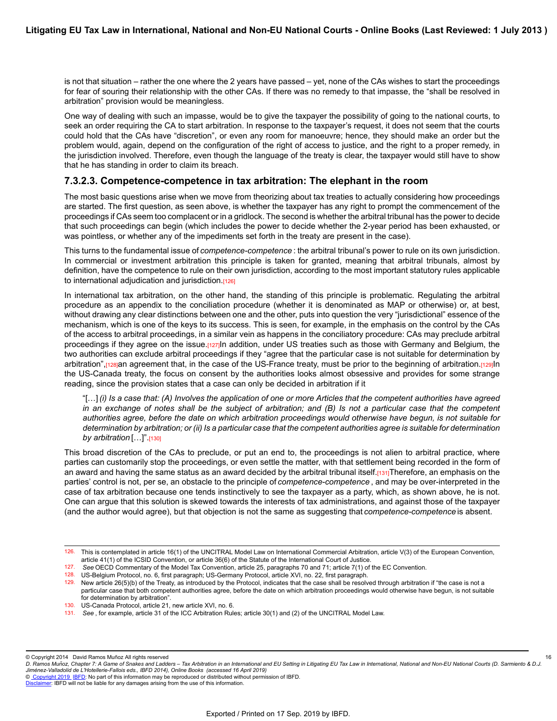is not that situation – rather the one where the 2 years have passed – yet, none of the CAs wishes to start the proceedings for fear of souring their relationship with the other CAs. If there was no remedy to that impasse, the "shall be resolved in arbitration" provision would be meaningless.

One way of dealing with such an impasse, would be to give the taxpayer the possibility of going to the national courts, to seek an order requiring the CA to start arbitration. In response to the taxpayer's request, it does not seem that the courts could hold that the CAs have "discretion", or even any room for manoeuvre; hence, they should make an order but the problem would, again, depend on the configuration of the right of access to justice, and the right to a proper remedy, in the jurisdiction involved. Therefore, even though the language of the treaty is clear, the taxpayer would still have to show that he has standing in order to claim its breach.

### **7.3.2.3. Competence-competence in tax arbitration: The elephant in the room**

The most basic questions arise when we move from theorizing about tax treaties to actually considering how proceedings are started. The first question, as seen above, is whether the taxpayer has any right to prompt the commencement of the proceedings if CAs seem too complacent or in a gridlock. The second is whether the arbitral tribunal has the power to decide that such proceedings can begin (which includes the power to decide whether the 2-year period has been exhausted, or was pointless, or whether any of the impediments set forth in the treaty are present in the case).

This turns to the fundamental issue of *competence-competence* : the arbitral tribunal's power to rule on its own jurisdiction. In commercial or investment arbitration this principle is taken for granted, meaning that arbitral tribunals, almost by definition, have the competence to rule on their own jurisdiction, according to the most important statutory rules applicable to international adjudication and jurisdiction.<sup>[126]</sup>

In international tax arbitration, on the other hand, the standing of this principle is problematic. Regulating the arbitral procedure as an appendix to the conciliation procedure (whether it is denominated as MAP or otherwise) or, at best, without drawing any clear distinctions between one and the other, puts into question the very "jurisdictional" essence of the mechanism, which is one of the keys to its success. This is seen, for example, in the emphasis on the control by the CAs of the access to arbitral proceedings, in a similar vein as happens in the conciliatory procedure: CAs may preclude arbitral proceedings if they agree on the issue.[127]In addition, under US treaties such as those with Germany and Belgium, the two authorities can exclude arbitral proceedings if they "agree that the particular case is not suitable for determination by arbitration",<sup>[128]</sup>an agreement that, in the case of the US-France treaty, must be prior to the beginning of arbitration.<sup>[129]</sup>In the US-Canada treaty, the focus on consent by the authorities looks almost obsessive and provides for some strange reading, since the provision states that a case can only be decided in arbitration if it

"[…] *(i) Is a case that: (A) Involves the application of one or more Articles that the competent authorities have agreed in an exchange of notes shall be the subject of arbitration; and (B) Is not a particular case that the competent authorities agree, before the date on which arbitration proceedings would otherwise have begun, is not suitable for determination by arbitration; or (ii) Is a particular case that the competent authorities agree is suitable for determination by arbitration* […]".[130]

This broad discretion of the CAs to preclude, or put an end to, the proceedings is not alien to arbitral practice, where parties can customarily stop the proceedings, or even settle the matter, with that settlement being recorded in the form of an award and having the same status as an award decided by the arbitral tribunal itself. $[131]$ Therefore, an emphasis on the parties' control is not, per se, an obstacle to the principle of *competence-competence* , and may be over-interpreted in the case of tax arbitration because one tends instinctively to see the taxpayer as a party, which, as shown above, he is not. One can argue that this solution is skewed towards the interests of tax administrations, and against those of the taxpayer (and the author would agree), but that objection is not the same as suggesting that *competence-competence* is absent.

© Copyright 2014 David Ramos Muñoz All rights reserved

16

© [Copyright 2019](http://www.ibfd.org/Copyright-IBFD) [IBFD:](http://www.ibfd.org) No part of this information may be reproduced or distributed without permission of IBFD.

<sup>126.</sup> This is contemplated in article 16(1) of the UNCITRAL Model Law on International Commercial Arbitration, article V(3) of the European Convention, article 41(1) of the ICSID Convention, or article 36(6) of the Statute of the International Court of Justice.

<sup>127.</sup> *See* OECD Commentary of the Model Tax Convention, article 25, paragraphs 70 and 71; article 7(1) of the EC Convention.

<sup>128.</sup> US-Belgium Protocol, no. 6, first paragraph; US-Germany Protocol, article XVI, no. 22, first paragraph.

 $129.$  New article 26(5)(b) of the Treaty, as introduced by the Protocol, indicates that the case shall be resolved through arbitration if "the case is not a particular case that both competent authorities agree, before the date on which arbitration proceedings would otherwise have begun, is not suitable for determination by arbitration".

<sup>130.</sup> US-Canada Protocol, article 21, new article XVI, no. 6.

<sup>131.</sup> *See* , for example, article 31 of the ICC Arbitration Rules; article 30(1) and (2) of the UNCITRAL Model Law.

*D. Ramos Munoz, Chapter 7: A Game of Snakes and Ladders – Tax Arbitration in an International and EU Setting in Litigating EU Tax Law in International, National and Non-EU National Courts (D. Sarmiento & D.J. ̃ Jimenez-Valladolid de L'Hotellerie-Fallois eds., IBFD 2014), Online Books (accessed 16 April 2019) ́*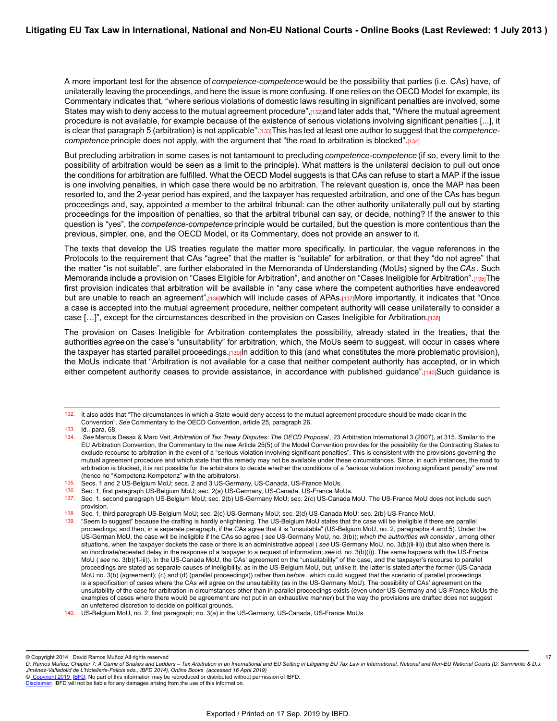A more important test for the absence of *competence-competence* would be the possibility that parties (i.e. CAs) have, of unilaterally leaving the proceedings, and here the issue is more confusing. If one relies on the OECD Model for example, its Commentary indicates that, *"* where serious violations of domestic laws resulting in significant penalties are involved, some States may wish to deny access to the mutual agreement procedure", [132]and later adds that, "Where the mutual agreement procedure is not available, for example because of the existence of serious violations involving significant penalties [...], it is clear that paragraph 5 (arbitration) is not applicable".[133]This has led at least one author to suggest that the *competencecompetence* principle does not apply, with the argument that "the road to arbitration is blocked".[134]

But precluding arbitration in some cases is not tantamount to precluding *competence-competence* (if so, every limit to the possibility of arbitration would be seen as a limit to the principle). What matters is the unilateral decision to pull out once the conditions for arbitration are fulfilled. What the OECD Model suggests is that CAs can refuse to start a MAP if the issue is one involving penalties, in which case there would be no arbitration. The relevant question is, once the MAP has been resorted to, and the 2-year period has expired, and the taxpayer has requested arbitration, and one of the CAs has begun proceedings and, say, appointed a member to the arbitral tribunal: can the other authority unilaterally pull out by starting proceedings for the imposition of penalties, so that the arbitral tribunal can say, or decide, nothing? If the answer to this question is "yes", the *competence-competence* principle would be curtailed, but the question is more contentious than the previous, simpler, one, and the OECD Model, or its Commentary, does not provide an answer to it.

The texts that develop the US treaties regulate the matter more specifically. In particular, the vague references in the Protocols to the requirement that CAs "agree" that the matter is "suitable" for arbitration, or that they "do not agree" that the matter "is not suitable", are further elaborated in the Memoranda of Understanding (MoUs) signed by the *CAs* . Such Memoranda include a provision on "Cases Eligible for Arbitration", and another on "Cases Ineligible for Arbitration".<sub>[135]</sub>The first provision indicates that arbitration will be available in "any case where the competent authorities have endeavored but are unable to reach an agreement", rasiwhich will include cases of APAs. razimore importantly, it indicates that "Once a case is accepted into the mutual agreement procedure, neither competent authority will cease unilaterally to consider a case [...]", except for the circumstances described in the provision on Cases Ineligible for Arbitration.[138]

The provision on Cases Ineligible for Arbitration contemplates the possibility, already stated in the treaties, that the authorities *agree* on the case's "unsuitability" for arbitration, which, the MoUs seem to suggest, will occur in cases where the taxpayer has started parallel proceedings.[139]In addition to this (and what constitutes the more problematic provision), the MoUs indicate that "Arbitration is not available for a case that neither competent authority has accepted, or in which either competent authority ceases to provide assistance, in accordance with published guidance".[140]Such guidance is

136. Sec. 1, first paragraph US-Belgium MoU; sec. 2(a) US-Germany, US-Canada, US-France MoUs.

<sup>132.</sup> It also adds that "The circumstances in which a State would deny access to the mutual agreement procedure should be made clear in the Convention". *See* Commentary to the OECD Convention, article 25, paragraph 26.

<sup>133.</sup> Id., para. 68.

<sup>134.</sup> *See* Marcus Desax & Marc Veit, *Arbitration of Tax Treaty Disputes: The OECD Proposal* , 23 Arbitration International 3 (2007), at 315. Similar to the EU Arbitration Convention, the Commentary to the new Article 25(5) of the Model Convention provides for the possibility for the Contracting States to exclude recourse to arbitration in the event of a "serious violation involving significant penalties". This is consistent with the provisions governing the mutual agreement procedure and which state that this remedy may not be available under these circumstances. Since, in such instances, the road to arbitration is blocked, it is not possible for the arbitrators to decide whether the conditions of a "serious violation involving significant penalty" are met (hence no "Kompetenz-Kompetenz" with the arbitrators).

<sup>135.</sup> Secs. 1 and 2 US-Belgium MoU; secs. 2 and 3 US-Germany, US-Canada, US-France MoUs.

<sup>137.</sup> Sec. 1, second paragraph US-Belgium MoU; sec. 2(b) US-Germany MoU; sec. 2(c) US-Canada MoU. The US-France MoU does not include such provision.

<sup>138.</sup> Sec. 1, third paragraph US-Belgium MoU; sec. 2(c) US-Germany MoU; sec. 2(d) US-Canada MoU; sec. 2(b) US-France MoU.

<sup>139. &</sup>quot;Seem to suggest" because the drafting is hardly enlightening. The US-Belgium MoU states that the case will be ineligible if there are parallel proceedings; and then, in a separate paragraph, if the CAs agree that it is "unsuitable" (US-Belgium MoU, no. 2, paragraphs 4 and 5). Under the US-German MoU, the case will be ineligible if the CAs so agree ( *see* US-Germany MoU, no. 3(b)); *which the authorities will consider* , among other situations, when the taxpayer dockets the case or there is an administrative appeal ( *see* US-Germany MoU, no. 3(b)(ii-iii)) (but also when there is an inordinate/repeated delay in the response of a taxpayer to a request of information; *see* id. no. 3(b)(i)). The same happens with the US-France MoU ( *see* no. 3(b)(1-iii)). In the US-Canada MoU, the CAs' agreement on the "unsuitability" of the case, and the taxpayer's recourse to parallel proceedings are stated as separate causes of ineligibility, as in the US-Belgium MoU, but, unlike it, the latter is stated *after* the former (US-Canada MoU no. 3(b) (agreement); (c) and (d) (parallel proceedings)) rather than *before* , which could suggest that the scenario of parallel proceedings is a specification of cases where the CAs will agree on the unsuitability (as in the US-Germany MoU). The possibility of CAs' agreement on the unsuitability of the case for arbitration in circumstances other than in parallel proceedings exists (even under US-Germany and US-France MoUs the examples of cases where there would be agreement are not put in an exhaustive manner) but the way the provisions are drafted does not suggest an unfettered discretion to decide on political grounds.

<sup>140.</sup> US-Belgium MoU, no. 2, first paragraph; no. 3(a) in the US-Germany, US-Canada, US-France MoUs.

<sup>©</sup> Copyright 2014 David Ramos Muñoz All rights reserved

*D. Ramos Munoz, Chapter 7: A Game of Snakes and Ladders – Tax Arbitration in an International and EU Setting in Litigating EU Tax Law in International, National and Non-EU National Courts (D. Sarmiento & D.J. ̃ Jimenez-Valladolid de L'Hotellerie-Fallois eds., IBFD 2014), Online Books (accessed 16 April 2019) ́* 17

[Disclaimer](http://www.ibfd.org/Disclaimer): IBFD will not be liable for any damages arising from the use of this information.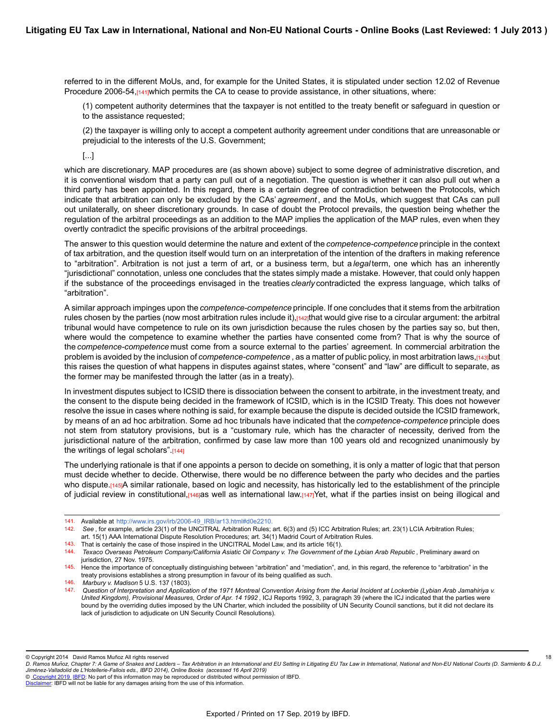referred to in the different MoUs, and, for example for the United States, it is stipulated under section 12.02 of Revenue Procedure 2006-54,<sup>[141]</sup>which permits the CA to cease to provide assistance, in other situations, where:

(1) competent authority determines that the taxpayer is not entitled to the treaty benefit or safeguard in question or to the assistance requested;

(2) the taxpayer is willing only to accept a competent authority agreement under conditions that are unreasonable or prejudicial to the interests of the U.S. Government;

[...]

which are discretionary. MAP procedures are (as shown above) subject to some degree of administrative discretion, and it is conventional wisdom that a party can pull out of a negotiation. The question is whether it can also pull out when a third party has been appointed. In this regard, there is a certain degree of contradiction between the Protocols, which indicate that arbitration can only be excluded by the CAs' *agreement* , and the MoUs, which suggest that CAs can pull out unilaterally, on sheer discretionary grounds. In case of doubt the Protocol prevails, the question being whether the regulation of the arbitral proceedings as an addition to the MAP implies the application of the MAP rules, even when they overtly contradict the specific provisions of the arbitral proceedings.

The answer to this question would determine the nature and extent of the *competence-competence* principle in the context of tax arbitration, and the question itself would turn on an interpretation of the intention of the drafters in making reference to "arbitration". Arbitration is not just a term of art, or a business term, but a *legal* term, one which has an inherently "jurisdictional" connotation, unless one concludes that the states simply made a mistake. However, that could only happen if the substance of the proceedings envisaged in the treaties *clearly* contradicted the express language, which talks of "arbitration".

A similar approach impinges upon the *competence-competence* principle. If one concludes that it stems from the arbitration rules chosen by the parties (now most arbitration rules include it), $[142]$ that would give rise to a circular argument: the arbitral tribunal would have competence to rule on its own jurisdiction because the rules chosen by the parties say so, but then, where would the competence to examine whether the parties have consented come from? That is why the source of the *competence-competence* must come from a source external to the parties' agreement. In commercial arbitration the problem is avoided by the inclusion of *competence-competence* , as a matter of public policy, in most arbitration laws,[143]but this raises the question of what happens in disputes against states, where "consent" and "law" are difficult to separate, as the former may be manifested through the latter (as in a treaty).

In investment disputes subject to ICSID there is dissociation between the consent to arbitrate, in the investment treaty, and the consent to the dispute being decided in the framework of ICSID, which is in the ICSID Treaty. This does not however resolve the issue in cases where nothing is said, for example because the dispute is decided outside the ICSID framework, by means of an ad hoc arbitration. Some ad hoc tribunals have indicated that the *competence-competence* principle does not stem from statutory provisions, but is a "customary rule, which has the character of necessity, derived from the jurisdictional nature of the arbitration, confirmed by case law more than 100 years old and recognized unanimously by the writings of legal scholars".[144]

The underlying rationale is that if one appoints a person to decide on something, it is only a matter of logic that that person must decide whether to decide. Otherwise, there would be no difference between the party who decides and the parties who dispute.[145]A similar rationale, based on logic and necessity, has historically led to the establishment of the principle of judicial review in constitutional, $[146]$ as well as international law. $[147]$ Yet, what if the parties insist on being illogical and

143. That is certainly the case of those inspired in the UNCITRAL Model Law, and its article 16(1).

18

<sup>141.</sup> Available at [http://www.irs.gov/irb/2006-49\\_IRB/ar13.html#d0e2210](http://www.irs.gov/irb/2006-49_IRB/ar13.html#d0e2210).

<sup>142.</sup> *See* , for example, article 23(1) of the UNCITRAL Arbitration Rules; art. 6(3) and (5) ICC Arbitration Rules; art. 23(1) LCIA Arbitration Rules; art. 15(1) AAA International Dispute Resolution Procedures; art. 34(1) Madrid Court of Arbitration Rules.

<sup>144.</sup> *Texaco Overseas Petroleum Company/California Asiatic Oil Company v. The Government of the Lybian Arab Republic* , Preliminary award on jurisdiction, 27 Nov. 1975.

<sup>145.</sup> Hence the importance of conceptually distinguishing between "arbitration" and "mediation", and, in this regard, the reference to "arbitration" in the treaty provisions establishes a strong presumption in favour of its being qualified as such.

<sup>146.</sup> *Marbury v. Madison* 5 U.S. 137 (1803).

<sup>147.</sup> *Question of Interpretation and Application of the 1971 Montreal Convention Arising from the Aerial Incident at Lockerbie (Lybian Arab Jamahiriya v. United Kingdom), Provisional Measures, Order of Apr. 14 1992* , ICJ Reports 1992, 3, paragraph 39 (where the ICJ indicated that the parties were bound by the overriding duties imposed by the UN Charter, which included the possibility of UN Security Council sanctions, but it did not declare its lack of jurisdiction to adjudicate on UN Security Council Resolutions).

<sup>©</sup> Copyright 2014 David Ramos Muñoz All rights reserved

*D. Ramos Munoz, Chapter 7: A Game of Snakes and Ladders – Tax Arbitration in an International and EU Setting in Litigating EU Tax Law in International, National and Non-EU National Courts (D. Sarmiento & D.J. ̃ Jimenez-Valladolid de L'Hotellerie-Fallois eds., IBFD 2014), Online Books (accessed 16 April 2019) ́*

[Disclaimer](http://www.ibfd.org/Disclaimer): IBFD will not be liable for any damages arising from the use of this information.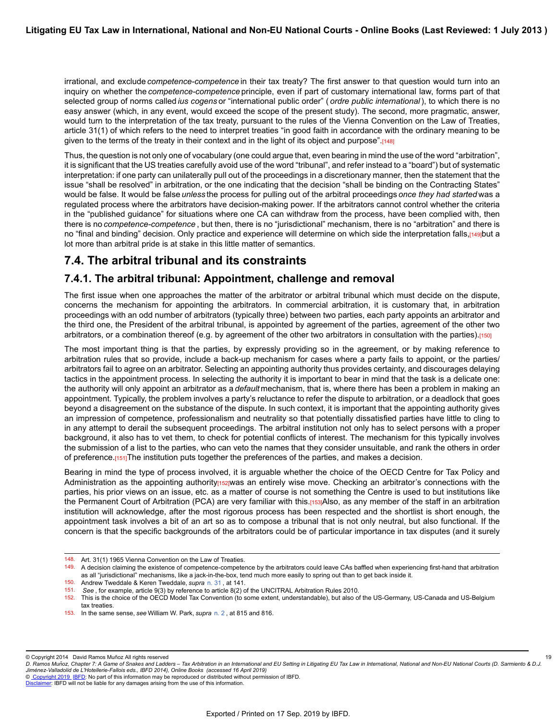irrational, and exclude *competence-competence* in their tax treaty? The first answer to that question would turn into an inquiry on whether the *competence-competence* principle, even if part of customary international law, forms part of that selected group of norms called *ius cogens* or "international public order" ( *ordre public international* ), to which there is no easy answer (which, in any event, would exceed the scope of the present study). The second, more pragmatic, answer, would turn to the interpretation of the tax treaty, pursuant to the rules of the Vienna Convention on the Law of Treaties, article 31(1) of which refers to the need to interpret treaties "in good faith in accordance with the ordinary meaning to be given to the terms of the treaty in their context and in the light of its object and purpose".[148]

Thus, the question is not only one of vocabulary (one could argue that, even bearing in mind the use of the word "arbitration", it is significant that the US treaties carefully avoid use of the word "tribunal", and refer instead to a "board") but of systematic interpretation: if one party can unilaterally pull out of the proceedings in a discretionary manner, then the statement that the issue "shall be resolved" in arbitration, or the one indicating that the decision "shall be binding on the Contracting States" would be false. It would be false *unless* the process for pulling out of the arbitral proceedings *once they had started* was a regulated process where the arbitrators have decision-making power. If the arbitrators cannot control whether the criteria in the "published guidance" for situations where one CA can withdraw from the process, have been complied with, then there is no *competence-competence* , but then, there is no "jurisdictional" mechanism, there is no "arbitration" and there is no "final and binding" decision. Only practice and experience will determine on which side the interpretation falls,[149]but a lot more than arbitral pride is at stake in this little matter of semantics.

## **7.4. The arbitral tribunal and its constraints**

### **7.4.1. The arbitral tribunal: Appointment, challenge and removal**

The first issue when one approaches the matter of the arbitrator or arbitral tribunal which must decide on the dispute, concerns the mechanism for appointing the arbitrators. In commercial arbitration, it is customary that, in arbitration proceedings with an odd number of arbitrators (typically three) between two parties, each party appoints an arbitrator and the third one, the President of the arbitral tribunal, is appointed by agreement of the parties, agreement of the other two arbitrators, or a combination thereof (e.g. by agreement of the other two arbitrators in consultation with the parties).[150]

The most important thing is that the parties, by expressly providing so in the agreement, or by making reference to arbitration rules that so provide, include a back-up mechanism for cases where a party fails to appoint, or the parties/ arbitrators fail to agree on an arbitrator. Selecting an appointing authority thus provides certainty, and discourages delaying tactics in the appointment process. In selecting the authority it is important to bear in mind that the task is a delicate one: the authority will only appoint an arbitrator as a *default* mechanism, that is, where there has been a problem in making an appointment. Typically, the problem involves a party's reluctance to refer the dispute to arbitration, or a deadlock that goes beyond a disagreement on the substance of the dispute. In such context, it is important that the appointing authority gives an impression of competence, professionalism and neutrality so that potentially dissatisfied parties have little to cling to in any attempt to derail the subsequent proceedings. The arbitral institution not only has to select persons with a proper background, it also has to vet them, to check for potential conflicts of interest. The mechanism for this typically involves the submission of a list to the parties, who can veto the names that they consider unsuitable, and rank the others in order of preference.[151]The institution puts together the preferences of the parties, and makes a decision.

Bearing in mind the type of process involved, it is arguable whether the choice of the OECD Centre for Tax Policy and Administration as the appointing authority<sub>[152]</sub>was an entirely wise move. Checking an arbitrator's connections with the parties, his prior views on an issue, etc. as a matter of course is not something the Centre is used to but institutions like the Permanent Court of Arbitration (PCA) are very familiar with this.[153]Also, as any member of the staff in an arbitration institution will acknowledge, after the most rigorous process has been respected and the shortlist is short enough, the appointment task involves a bit of an art so as to compose a tribunal that is not only neutral, but also functional. If the concern is that the specific backgrounds of the arbitrators could be of particular importance in tax disputes (and it surely

© Copyright 2014 David Ramos Muñoz All rights reserved

19

© [Copyright 2019](http://www.ibfd.org/Copyright-IBFD) [IBFD:](http://www.ibfd.org) No part of this information may be reproduced or distributed without permission of IBFD.

<sup>148.</sup> Art. 31(1) 1965 Vienna Convention on the Law of Treaties.<br>149. A decision claiming the existence of competence-compete

<sup>149.</sup> A decision claiming the existence of competence-competence by the arbitrators could leave CAs baffled when experiencing first-hand that arbitration as all "jurisdictional" mechanisms, like a jack-in-the-box, tend much more easily to spring out than to get back inside it.

<sup>150.</sup> Andrew Tweddale & Keren Tweddale, *supra* [n. 31](https://research.ibfd.org/#/doc?url=/linkresolver/static/letl_p04_c02_fn_0031#letl_p04_c02_fn_0031) , at 141.

See, for example, article 9(3) by reference to article 8(2) of the UNCITRAL Arbitration Rules 2010.

<sup>152.</sup> This is the choice of the OECD Model Tax Convention (to some extent, understandable), but also of the US-Germany, US-Canada and US-Belgium tax treaties.

<sup>153.</sup> In the same sense, *see* William W. Park, *supra* [n. 2](https://research.ibfd.org/#/doc?url=/linkresolver/static/letl_p04_c02_fn_0002#letl_p04_c02_fn_0002) , at 815 and 816.

*D. Ramos Munoz, Chapter 7: A Game of Snakes and Ladders – Tax Arbitration in an International and EU Setting in Litigating EU Tax Law in International, National and Non-EU National Courts (D. Sarmiento & D.J. ̃ Jimenez-Valladolid de L'Hotellerie-Fallois eds., IBFD 2014), Online Books (accessed 16 April 2019) ́*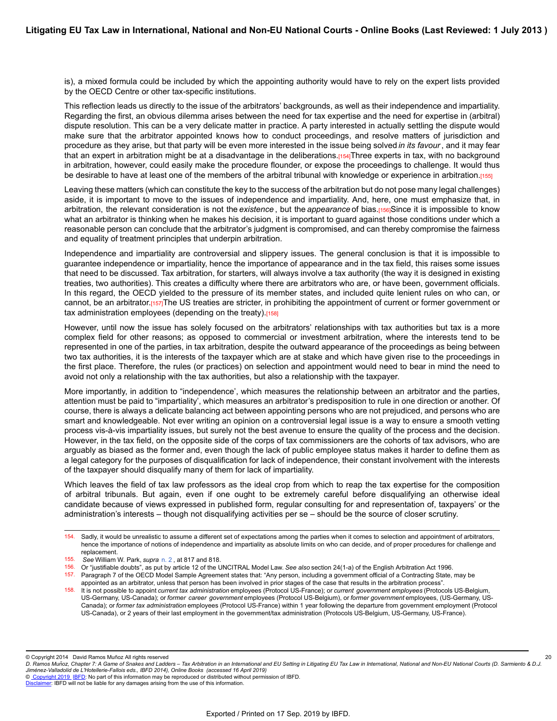is), a mixed formula could be included by which the appointing authority would have to rely on the expert lists provided by the OECD Centre or other tax-specific institutions.

This reflection leads us directly to the issue of the arbitrators' backgrounds, as well as their independence and impartiality. Regarding the first, an obvious dilemma arises between the need for tax expertise and the need for expertise in (arbitral) dispute resolution. This can be a very delicate matter in practice. A party interested in actually settling the dispute would make sure that the arbitrator appointed knows how to conduct proceedings, and resolve matters of jurisdiction and procedure as they arise, but that party will be even more interested in the issue being solved *in its favour* , and it may fear that an expert in arbitration might be at a disadvantage in the deliberations.[154]Three experts in tax, with no background in arbitration, however, could easily make the procedure flounder, or expose the proceedings to challenge. It would thus be desirable to have at least one of the members of the arbitral tribunal with knowledge or experience in arbitration.[155]

Leaving these matters (which can constitute the key to the success of the arbitration but do not pose many legal challenges) aside, it is important to move to the issues of independence and impartiality. And, here, one must emphasize that, in arbitration, the relevant consideration is not the *existence* , but the *appearance* of bias.[156]Since it is impossible to know what an arbitrator is thinking when he makes his decision, it is important to guard against those conditions under which a reasonable person can conclude that the arbitrator's judgment is compromised, and can thereby compromise the fairness and equality of treatment principles that underpin arbitration.

Independence and impartiality are controversial and slippery issues. The general conclusion is that it is impossible to guarantee independence or impartiality, hence the importance of appearance and in the tax field, this raises some issues that need to be discussed. Tax arbitration, for starters, will always involve a tax authority (the way it is designed in existing treaties, two authorities). This creates a difficulty where there are arbitrators who are, or have been, government officials. In this regard, the OECD yielded to the pressure of its member states, and included quite lenient rules on who can, or cannot, be an arbitrator.[157]The US treaties are stricter, in prohibiting the appointment of current or former government or tax administration employees (depending on the treaty).[158]

However, until now the issue has solely focused on the arbitrators' relationships with tax authorities but tax is a more complex field for other reasons; as opposed to commercial or investment arbitration, where the interests tend to be represented in one of the parties, in tax arbitration, despite the outward appearance of the proceedings as being between two tax authorities, it is the interests of the taxpayer which are at stake and which have given rise to the proceedings in the first place. Therefore, the rules (or practices) on selection and appointment would need to bear in mind the need to avoid not only a relationship with the tax authorities, but also a relationship with the taxpayer.

More importantly, in addition to "independence', which measures the relationship between an arbitrator and the parties, attention must be paid to "impartiality', which measures an arbitrator's predisposition to rule in one direction or another. Of course, there is always a delicate balancing act between appointing persons who are not prejudiced, and persons who are smart and knowledgeable. Not ever writing an opinion on a controversial legal issue is a way to ensure a smooth vetting process vis-à-vis impartiality issues, but surely not the best avenue to ensure the quality of the process and the decision. However, in the tax field, on the opposite side of the corps of tax commissioners are the cohorts of tax advisors, who are arguably as biased as the former and, even though the lack of public employee status makes it harder to define them as a legal category for the purposes of disqualification for lack of independence, their constant involvement with the interests of the taxpayer should disqualify many of them for lack of impartiality.

Which leaves the field of tax law professors as the ideal crop from which to reap the tax expertise for the composition of arbitral tribunals. But again, even if one ought to be extremely careful before disqualifying an otherwise ideal candidate because of views expressed in published form, regular consulting for and representation of, taxpayers' or the administration's interests – though not disqualifying activities per se – should be the source of closer scrutiny.

© Copyright 2014 David Ramos Muñoz All rights reserved

20

<sup>154.</sup> Sadly, it would be unrealistic to assume a different set of expectations among the parties when it comes to selection and appointment of arbitrators, hence the importance of notions of independence and impartiality as absolute limits on who can decide, and of proper procedures for challenge and replacement.

<sup>155.</sup> *See* William W. Park, *supra* [n. 2](https://research.ibfd.org/#/doc?url=/linkresolver/static/letl_p04_c02_fn_0002#letl_p04_c02_fn_0002) , at 817 and 818.

<sup>156.</sup> Or "justifiable doubts", as put by article 12 of the UNCITRAL Model Law. *See also* section 24(1-a) of the English Arbitration Act 1996.

<sup>157.</sup> Paragraph 7 of the OECD Model Sample Agreement states that: "Any person, including a government official of a Contracting State, may be appointed as an arbitrator, unless that person has been involved in prior stages of the case that results in the arbitration process".

<sup>158.</sup> It is not possible to appoint *current tax administration* employees (Protocol US-France); or *current government employees* (Protocols US-Belgium, US-Germany, US-Canada); or *former career government* employees (Protocol US-Belgium), or *former government* employees, (US-Germany, US-Canada); or *former tax administration* employees (Protocol US-France) within 1 year following the departure from government employment (Protocol US-Canada), or 2 years of their last employment in the government/tax administration (Protocols US-Belgium, US-Germany, US-France).

*D. Ramos Munoz, Chapter 7: A Game of Snakes and Ladders – Tax Arbitration in an International and EU Setting in Litigating EU Tax Law in International, National and Non-EU National Courts (D. Sarmiento & D.J. ̃ Jimenez-Valladolid de L'Hotellerie-Fallois eds., IBFD 2014), Online Books (accessed 16 April 2019) ́*

[Disclaimer](http://www.ibfd.org/Disclaimer): IBFD will not be liable for any damages arising from the use of this information.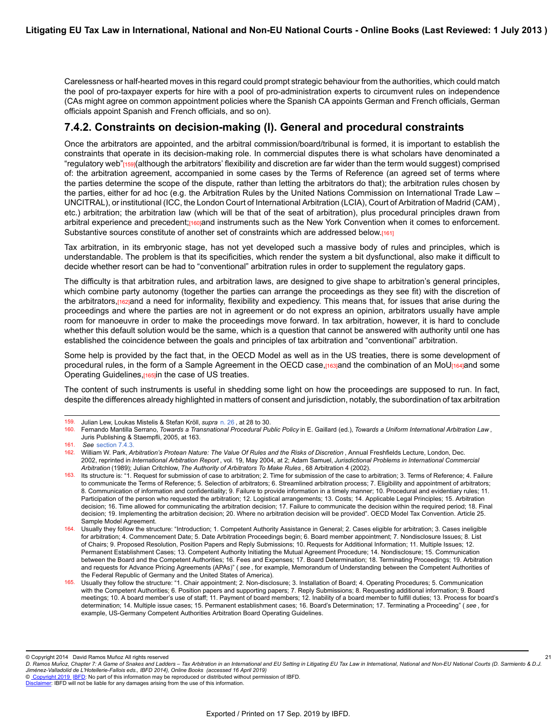Carelessness or half-hearted moves in this regard could prompt strategic behaviour from the authorities, which could match the pool of pro-taxpayer experts for hire with a pool of pro-administration experts to circumvent rules on independence (CAs might agree on common appointment policies where the Spanish CA appoints German and French officials, German officials appoint Spanish and French officials, and so on).

### **7.4.2. Constraints on decision-making (I). General and procedural constraints**

Once the arbitrators are appointed, and the arbitral commission/board/tribunal is formed, it is important to establish the constraints that operate in its decision-making role. In commercial disputes there is what scholars have denominated a "regulatory web"<sub>[159]</sub>(although the arbitrators' flexibility and discretion are far wider than the term would suggest) comprised of: the arbitration agreement, accompanied in some cases by the Terms of Reference (an agreed set of terms where the parties determine the scope of the dispute, rather than letting the arbitrators do that); the arbitration rules chosen by the parties, either for ad hoc (e.g. the Arbitration Rules by the United Nations Commission on International Trade Law – UNCITRAL), or institutional (ICC, the London Court of International Arbitration (LCIA), Court of Arbitration of Madrid (CAM) , etc.) arbitration; the arbitration law (which will be that of the seat of arbitration), plus procedural principles drawn from arbitral experience and precedent;<sup>[160]</sup>and instruments such as the New York Convention when it comes to enforcement. Substantive sources constitute of another set of constraints which are addressed below.[161]

Tax arbitration, in its embryonic stage, has not yet developed such a massive body of rules and principles, which is understandable. The problem is that its specificities, which render the system a bit dysfunctional, also make it difficult to decide whether resort can be had to "conventional" arbitration rules in order to supplement the regulatory gaps.

The difficulty is that arbitration rules, and arbitration laws, are designed to give shape to arbitration's general principles, which combine party autonomy (together the parties can arrange the proceedings as they see fit) with the discretion of the arbitrators,<sup>[162]</sup>and a need for informality, flexibility and expediency. This means that, for issues that arise during the proceedings and where the parties are not in agreement or do not express an opinion, arbitrators usually have ample room for manoeuvre in order to make the proceedings move forward. In tax arbitration, however, it is hard to conclude whether this default solution would be the same, which is a question that cannot be answered with authority until one has established the coincidence between the goals and principles of tax arbitration and "conventional" arbitration.

Some help is provided by the fact that, in the OECD Model as well as in the US treaties, there is some development of procedural rules, in the form of a Sample Agreement in the OECD case, [163]and the combination of an MoU<sub>[164]</sub>and some Operating Guidelines, [165]in the case of US treaties.

The content of such instruments is useful in shedding some light on how the proceedings are supposed to run. In fact, despite the differences already highlighted in matters of consent and jurisdiction, notably, the subordination of tax arbitration

© Copyright 2014 David Ramos Muñoz All rights reserved

© [Copyright 2019](http://www.ibfd.org/Copyright-IBFD) [IBFD:](http://www.ibfd.org) No part of this information may be reproduced or distributed without permission of IBFD.

<sup>159.</sup> Julian Lew, Loukas Mistelis & Stefan Kröll, *supra* [n. 26](https://research.ibfd.org/#/doc?url=/linkresolver/static/letl_p04_c02_fn_0026#letl_p04_c02_fn_0026) , at 28 to 30.

<sup>160.</sup> Fernando Mantilla Serrano, *Towards a Transnational Procedural Public Policy* in E. Gaillard (ed.), *Towards a Uniform International Arbitration Law* , Juris Publishing & Staempfli, 2005, at 163.

<sup>161.</sup> *See* [section 7.4.3.](https://research.ibfd.org/#/doc?url=/linkresolver/static/letl_p04_c02_s_7.4.3.#letl_p04_c02_s_7.4.3.)

<sup>162.</sup> William W. Park, *Arbitration's Protean Nature: The Value Of Rules and the Risks of Discretion*, Annual Freshfields Lecture, London, Dec. 2002, reprinted in *International Arbitration Report* , vol. 19, May 2004, at 2; Adam Samuel, *Jurisdictional Problems in International Commercial Arbitration* (1989); Julian Critchlow, *The Authority of Arbitrators To Make Rules* , 68 Arbitration 4 (2002).

<sup>163.</sup> Its structure is: "1. Request for submission of case to arbitration; 2. Time for submission of the case to arbitration; 3. Terms of Reference; 4. Failure to communicate the Terms of Reference; 5. Selection of arbitrators; 6. Streamlined arbitration process; 7. Eligibility and appointment of arbitrators; 8. Communication of information and confidentiality; 9. Failure to provide information in a timely manner; 10. Procedural and evidentiary rules; 11. Participation of the person who requested the arbitration; 12. Logistical arrangements; 13. Costs; 14. Applicable Legal Principles; 15. Arbitration decision; 16. Time allowed for communicating the arbitration decision; 17. Failure to communicate the decision within the required period; 18. Final decision; 19. Implementing the arbitration decision; 20. Where no arbitration decision will be provided". OECD Model Tax Convention. Article 25. Sample Model Agreement.

<sup>164.</sup> Usually they follow the structure: "Introduction; 1. Competent Authority Assistance in General; 2. Cases eligible for arbitration; 3. Cases ineligible for arbitration; 4. Commencement Date; 5. Date Arbitration Proceedings begin; 6. Board member appointment; 7. Nondisclosure Issues; 8. List of Chairs; 9. Proposed Resolution, Position Papers and Reply Submissions; 10. Requests for Additional Information; 11. Multiple Issues; 12. Permanent Establishment Cases; 13. Competent Authority Initiating the Mutual Agreement Procedure; 14. Nondisclosure; 15. Communication between the Board and the Competent Authorities; 16. Fees and Expenses; 17. Board Determination; 18. Terminating Proceedings; 19. Arbitration and requests for Advance Pricing Agreements (APAs)" ( *see* , for example, Memorandum of Understanding between the Competent Authorities of the Federal Republic of Germany and the United States of America).

<sup>165.</sup> Usually they follow the structure: "1. Chair appointment; 2. Non-disclosure; 3. Installation of Board; 4. Operating Procedures; 5. Communication with the Competent Authorities; 6. Position papers and supporting papers; 7. Reply Submissions; 8. Requesting additional information; 9. Board meetings; 10. A board member's use of staff; 11. Payment of board members; 12. Inability of a board member to fulfill duties; 13. Process for board's determination; 14. Multiple issue cases; 15. Permanent establishment cases; 16. Board's Determination; 17. Terminating a Proceeding" ( *see* , for example, US-Germany Competent Authorities Arbitration Board Operating Guidelines.

*D. Ramos Munoz, Chapter 7: A Game of Snakes and Ladders – Tax Arbitration in an International and EU Setting in Litigating EU Tax Law in International, National and Non-EU National Courts (D. Sarmiento & D.J. ̃ Jimenez-Valladolid de L'Hotellerie-Fallois eds., IBFD 2014), Online Books (accessed 16 April 2019) ́* 21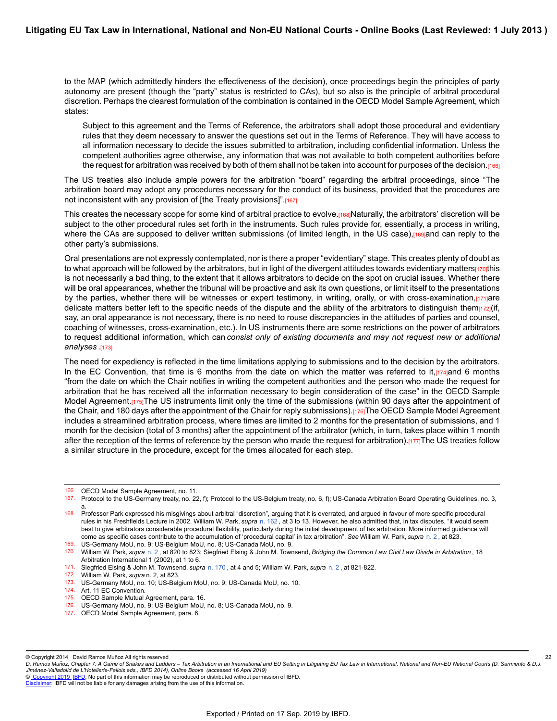to the MAP (which admittedly hinders the effectiveness of the decision), once proceedings begin the principles of party autonomy are present (though the "party" status is restricted to CAs), but so also is the principle of arbitral procedural discretion. Perhaps the clearest formulation of the combination is contained in the OECD Model Sample Agreement, which states:

Subject to this agreement and the Terms of Reference, the arbitrators shall adopt those procedural and evidentiary rules that they deem necessary to answer the questions set out in the Terms of Reference. They will have access to all information necessary to decide the issues submitted to arbitration, including confidential information. Unless the competent authorities agree otherwise, any information that was not available to both competent authorities before the request for arbitration was received by both of them shall not be taken into account for purposes of the decision.[166]

The US treaties also include ample powers for the arbitration "board" regarding the arbitral proceedings, since "The arbitration board may adopt any procedures necessary for the conduct of its business, provided that the procedures are not inconsistent with any provision of [the Treaty provisions]".[167]

This creates the necessary scope for some kind of arbitral practice to evolve.[168]Naturally, the arbitrators' discretion will be subject to the other procedural rules set forth in the instruments. Such rules provide for, essentially, a process in writing, where the CAs are supposed to deliver written submissions (of limited length, in the US case),[169]and can reply to the other party's submissions.

Oral presentations are not expressly contemplated, nor is there a proper "evidentiary" stage. This creates plenty of doubt as to what approach will be followed by the arbitrators, but in light of the divergent attitudes towards evidentiary matters[170]this is not necessarily a bad thing, to the extent that it allows arbitrators to decide on the spot on crucial issues. Whether there will be oral appearances, whether the tribunal will be proactive and ask its own questions, or limit itself to the presentations by the parties, whether there will be witnesses or expert testimony, in writing, orally, or with cross-examination,  $171$ are delicate matters better left to the specific needs of the dispute and the ability of the arbitrators to distinguish them $\frac{1}{2}$ if. say, an oral appearance is not necessary, there is no need to rouse discrepancies in the attitudes of parties and counsel, coaching of witnesses, cross-examination, etc.). In US instruments there are some restrictions on the power of arbitrators to request additional information, which can *consist only of existing documents and may not request new or additional analyses* .[173]

The need for expediency is reflected in the time limitations applying to submissions and to the decision by the arbitrators. In the EC Convention, that time is 6 months from the date on which the matter was referred to it, $[174]$ and 6 months "from the date on which the Chair notifies in writing the competent authorities and the person who made the request for arbitration that he has received all the information necessary to begin consideration of the case" in the OECD Sample Model Agreement.[175]The US instruments limit only the time of the submissions (within 90 days after the appointment of the Chair, and 180 days after the appointment of the Chair for reply submissions).[176]The OECD Sample Model Agreement includes a streamlined arbitration process, where times are limited to 2 months for the presentation of submissions, and 1 month for the decision (total of 3 months) after the appointment of the arbitrator (which, in turn, takes place within 1 month after the reception of the terms of reference by the person who made the request for arbitration).[177]The US treaties follow a similar structure in the procedure, except for the times allocated for each step.

177. OECD Model Sample Agreement, para. 6.

22

© [Copyright 2019](http://www.ibfd.org/Copyright-IBFD) [IBFD:](http://www.ibfd.org) No part of this information may be reproduced or distributed without permission of IBFD.

<sup>166.</sup> OECD Model Sample Agreement, no. 11.

<sup>167.</sup> Protocol to the US-Germany treaty, no. 22, f); Protocol to the US-Belgium treaty, no. 6, f); US-Canada Arbitration Board Operating Guidelines, no. 3, a.

<sup>168.</sup> Professor Park expressed his misgivings about arbitral "discretion", arguing that it is overrated, and argued in favour of more specific procedural rules in his Freshfields Lecture in 2002. William W. Park, *supra* [n. 162](https://research.ibfd.org/#/doc?url=/linkresolver/static/letl_p04_c02_fn_0162#letl_p04_c02_fn_0162) , at 3 to 13. However, he also admitted that, in tax disputes, "it would seem best to give arbitrators considerable procedural flexibility, particularly during the initial development of tax arbitration. More informed quidance will come as specific cases contribute to the accumulation of 'procedural capital' in tax arbitration". *See* William W. Park, *supra* [n. 2](https://research.ibfd.org/#/doc?url=/linkresolver/static/letl_p04_c02_fn_0002#letl_p04_c02_fn_0002) , at 823.

<sup>169.</sup> US-Germany MoU, no. 9; US-Belgium MoU, no. 8; US-Canada MoU, no. 9.

<sup>170.</sup> William W. Park, *supra* [n. 2](https://research.ibfd.org/#/doc?url=/linkresolver/static/letl_p04_c02_fn_0002#letl_p04_c02_fn_0002) , at 820 to 823; Siegfried Elsing & John M. Townsend, *Bridging the Common Law Civil Law Divide in Arbitration* , 18 Arbitration International 1 (2002), at 1 to 6.

<sup>171.</sup> Siegfried Elsing & John M. Townsend, *supra* [n. 170](https://research.ibfd.org/#/doc?url=/linkresolver/static/letl_p04_c02_fn_0170#letl_p04_c02_fn_0170) , at 4 and 5; William W. Park, *supra* [n. 2](https://research.ibfd.org/#/doc?url=/linkresolver/static/letl_p04_c02_fn_0002#letl_p04_c02_fn_0002) , at 821-822.

<sup>172.</sup> William W. Park, *supra* n. 2, at 823.

<sup>173.</sup> US-Germany MoU, no. 10; US-Belgium MoU, no. 9; US-Canada MoU, no. 10.

<sup>174.</sup> Art. 11 EC Convention.

<sup>175.</sup> OECD Sample Mutual Agreement, para. 16.

<sup>176.</sup> US-Germany MoU, no. 9; US-Belgium MoU, no. 8; US-Canada MoU, no. 9.

<sup>©</sup> Copyright 2014 David Ramos Muñoz All rights reserved

*D. Ramos Munoz, Chapter 7: A Game of Snakes and Ladders – Tax Arbitration in an International and EU Setting in Litigating EU Tax Law in International, National and Non-EU National Courts (D. Sarmiento & D.J. ̃ Jimenez-Valladolid de L'Hotellerie-Fallois eds., IBFD 2014), Online Books (accessed 16 April 2019) ́*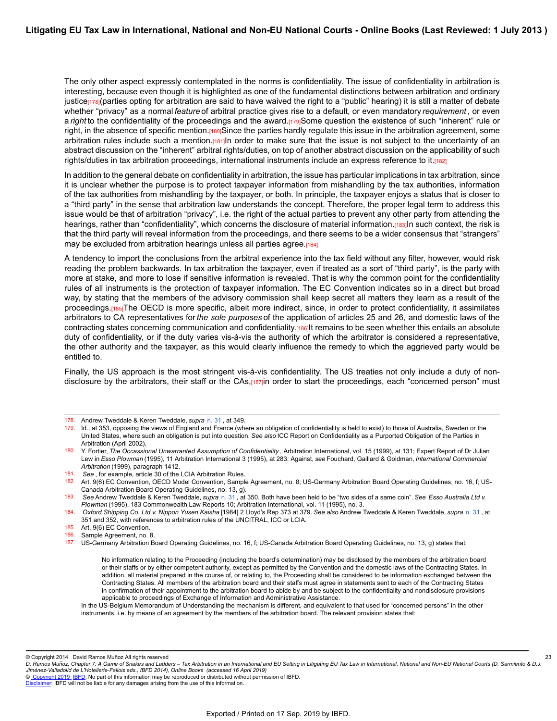The only other aspect expressly contemplated in the norms is confidentiality. The issue of confidentiality in arbitration is interesting, because even though it is highlighted as one of the fundamental distinctions between arbitration and ordinary justice<sup>[178]</sup>(parties opting for arbitration are said to have waived the right to a "public" hearing) it is still a matter of debate whether "privacy" as a normal *feature* of arbitral practice gives rise to a default, or even mandatory *requirement* , or even a *right* to the confidentiality of the proceedings and the award.[179]Some question the existence of such "inherent" rule or right, in the absence of specific mention.[180]Since the parties hardly regulate this issue in the arbitration agreement, some arbitration rules include such a mention.[181]In order to make sure that the issue is not subject to the uncertainty of an abstract discussion on the "inherent" arbitral rights/duties, on top of another abstract discussion on the applicability of such rights/duties in tax arbitration proceedings, international instruments include an express reference to it.[182]

In addition to the general debate on confidentiality in arbitration, the issue has particular implications in tax arbitration, since it is unclear whether the purpose is to protect taxpayer information from mishandling by the tax authorities, information of the tax authorities from mishandling by the taxpayer, or both. In principle, the taxpayer enjoys a status that is closer to a "third party" in the sense that arbitration law understands the concept. Therefore, the proper legal term to address this issue would be that of arbitration "privacy", i.e. the right of the actual parties to prevent any other party from attending the hearings, rather than "confidentiality", which concerns the disclosure of material information.[183]In such context, the risk is that the third party will reveal information from the proceedings, and there seems to be a wider consensus that "strangers" may be excluded from arbitration hearings unless all parties agree.[184]

A tendency to import the conclusions from the arbitral experience into the tax field without any filter, however, would risk reading the problem backwards. In tax arbitration the taxpayer, even if treated as a sort of "third party", is the party with more at stake, and more to lose if sensitive information is revealed. That is why the common point for the confidentiality rules of all instruments is the protection of taxpayer information. The EC Convention indicates so in a direct but broad way, by stating that the members of the advisory commission shall keep secret all matters they learn as a result of the proceedings.[185]The OECD is more specific, albeit more indirect, since, in order to protect confidentiality, it assimilates arbitrators to CA representatives for *the sole purposes* of the application of articles 25 and 26, and domestic laws of the contracting states concerning communication and confidentiality.[186]It remains to be seen whether this entails an absolute duty of confidentiality, or if the duty varies vis-à-vis the authority of which the arbitrator is considered a representative, the other authority and the taxpayer, as this would clearly influence the remedy to which the aggrieved party would be entitled to.

Finally, the US approach is the most stringent vis-à-vis confidentiality. The US treaties not only include a duty of nondisclosure by the arbitrators, their staff or the CAs,<sup>[187]</sup>in order to start the proceedings, each "concerned person" must

23

<sup>178.</sup> Andrew Tweddale & Keren Tweddale, *supra* [n. 31](https://research.ibfd.org/#/doc?url=/linkresolver/static/letl_p04_c02_fn_0031#letl_p04_c02_fn_0031) , at 349.

<sup>179.</sup> Id., at 353, opposing the views of England and France (where an obligation of confidentiality is held to exist) to those of Australia, Sweden or the United States, where such an obligation is put into question. *See also* ICC Report on Confidentiality as a Purported Obligation of the Parties in Arbitration (April 2002).

<sup>180.</sup> Y. Fortier, *The Occassional Unwarranted Assumption of Confidentiality* , Arbitration International, vol. 15 (1999), at 131; Expert Report of Dr Julian Lew in *Esso Plowman* (1995), 11 Arbitration International 3 (1995), at 283. Against, *see* Fouchard, Gaillard & Goldman, *International Commercial Arbitration* (1999), paragraph 1412.

<sup>181.</sup> *See* , for example, article 30 of the LCIA Arbitration Rules.

<sup>182.</sup> Art. 9(6) EC Convention, OECD Model Convention, Sample Agreement, no. 8; US-Germany Arbitration Board Operating Guidelines, no. 16, f; US-Canada Arbitration Board Operating Guidelines, no. 13, g).

<sup>183.</sup> *See* Andrew Tweddale & Keren Tweddale, *supra* [n. 31](https://research.ibfd.org/#/doc?url=/linkresolver/static/letl_p04_c02_fn_0031#letl_p04_c02_fn_0031) , at 350. Both have been held to be "two sides of a same coin". *See Esso Australia Ltd v. Plowman* (1995), 183 Commonwealth Law Reports 10; Arbitration International, vol. 11 (1995), no. 3.

<sup>184.</sup> *Oxford Shipping Co. Ltd v. Nippon Yusen Kaisha* [1984] 2 Lloyd's Rep 373 at 379. *See also* Andrew Tweddale & Keren Tweddale, *supra* [n. 31](https://research.ibfd.org/#/doc?url=/linkresolver/static/letl_p04_c02_fn_0031#letl_p04_c02_fn_0031) , at 351 and 352, with references to arbitration rules of the UNCITRAL, ICC or LCIA.

<sup>185.</sup> Art. 9(6) EC Convention.<br>186. Sample Agreement no. 8

Sample Agreement, no. 8.

<sup>187.</sup> US-Germany Arbitration Board Operating Guidelines, no. 16, f; US-Canada Arbitration Board Operating Guidelines, no. 13, g) states that:

No information relating to the Proceeding (including the board's determination) may be disclosed by the members of the arbitration board or their staffs or by either competent authority, except as permitted by the Convention and the domestic laws of the Contracting States. In addition, all material prepared in the course of, or relating to, the Proceeding shall be considered to be information exchanged between the Contracting States. All members of the arbitration board and their staffs must agree in statements sent to each of the Contracting States in confirmation of their appointment to the arbitration board to abide by and be subject to the confidentiality and nondisclosure provisions applicable to proceedings of Exchange of Information and Administrative Assistance.

In the US-Belgium Memorandum of Understanding the mechanism is different, and equivalent to that used for "concerned persons" in the other instruments, i.e. by means of an agreement by the members of the arbitration board. The relevant provision states that:

<sup>©</sup> Copyright 2014 David Ramos Muñoz All rights reserved

*D. Ramos Munoz, Chapter 7: A Game of Snakes and Ladders – Tax Arbitration in an International and EU Setting in Litigating EU Tax Law in International, National and Non-EU National Courts (D. Sarmiento & D.J. ̃ Jimenez-Valladolid de L'Hotellerie-Fallois eds., IBFD 2014), Online Books (accessed 16 April 2019) ́*

[Disclaimer](http://www.ibfd.org/Disclaimer): IBFD will not be liable for any damages arising from the use of this information.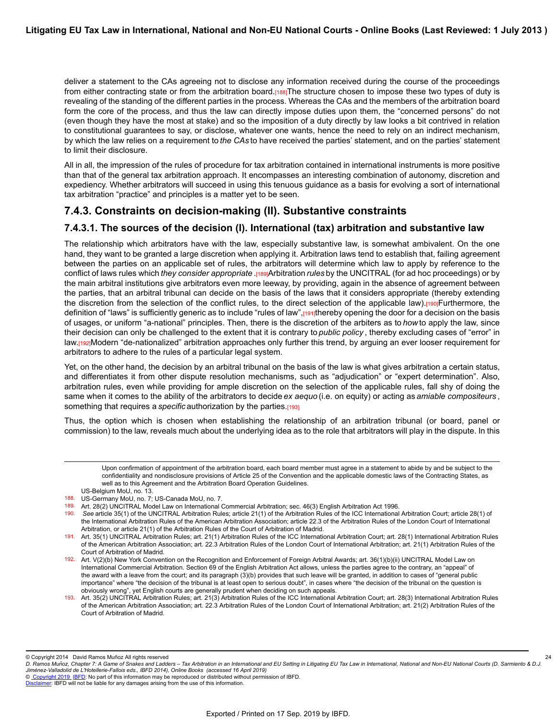deliver a statement to the CAs agreeing not to disclose any information received during the course of the proceedings from either contracting state or from the arbitration board.[188]The structure chosen to impose these two types of duty is revealing of the standing of the different parties in the process. Whereas the CAs and the members of the arbitration board form the core of the process, and thus the law can directly impose duties upon them, the "concerned persons" do not (even though they have the most at stake) and so the imposition of a duty directly by law looks a bit contrived in relation to constitutional guarantees to say, or disclose, whatever one wants, hence the need to rely on an indirect mechanism, by which the law relies on a requirement to *the CAs* to have received the parties' statement, and on the parties' statement to limit their disclosure.

All in all, the impression of the rules of procedure for tax arbitration contained in international instruments is more positive than that of the general tax arbitration approach. It encompasses an interesting combination of autonomy, discretion and expediency. Whether arbitrators will succeed in using this tenuous guidance as a basis for evolving a sort of international tax arbitration "practice" and principles is a matter yet to be seen.

### **7.4.3. Constraints on decision-making (II). Substantive constraints**

### **7.4.3.1. The sources of the decision (I). International (tax) arbitration and substantive law**

The relationship which arbitrators have with the law, especially substantive law, is somewhat ambivalent. On the one hand, they want to be granted a large discretion when applying it. Arbitration laws tend to establish that, failing agreement between the parties on an applicable set of rules, the arbitrators will determine which law to apply by reference to the conflict of laws rules which *they consider appropriate* .[189]Arbitration *rules* by the UNCITRAL (for ad hoc proceedings) or by the main arbitral institutions give arbitrators even more leeway, by providing, again in the absence of agreement between the parties, that an arbitral tribunal can decide on the basis of the laws that it considers appropriate (thereby extending the discretion from the selection of the conflict rules, to the direct selection of the applicable law).[190]Furthermore, the definition of "laws" is sufficiently generic as to include "rules of law", [191]thereby opening the door for a decision on the basis of usages, or uniform "a-national" principles. Then, there is the discretion of the arbiters as to *how* to apply the law, since their decision can only be challenged to the extent that it is contrary to *public policy* , thereby excluding cases of "error" in law.[192]Modern "de-nationalized" arbitration approaches only further this trend, by arguing an ever looser requirement for arbitrators to adhere to the rules of a particular legal system.

Yet, on the other hand, the decision by an arbitral tribunal on the basis of the law is what gives arbitration a certain status, and differentiates it from other dispute resolution mechanisms, such as "adjudication" or "expert determination". Also, arbitration rules, even while providing for ample discretion on the selection of the applicable rules, fall shy of doing the same when it comes to the ability of the arbitrators to decide *ex aequo* (i.e. on equity) or acting as *amiable compositeurs* , something that requires a *specific* authorization by the parties.[193]

Thus, the option which is chosen when establishing the relationship of an arbitration tribunal (or board, panel or commission) to the law, reveals much about the underlying idea as to the role that arbitrators will play in the dispute. In this

Upon confirmation of appointment of the arbitration board, each board member must agree in a statement to abide by and be subject to the confidentiality and nondisclosure provisions of Article 25 of the Convention and the applicable domestic laws of the Contracting States, as well as to this Agreement and the Arbitration Board Operation Guidelines.

US-Belgium MoU, no. 13.

193. Art. 35(2) UNCITRAL Arbitration Rules; art. 21(3) Arbitration Rules of the ICC International Arbitration Court; art. 28(3) International Arbitration Rules of the American Arbitration Association; art. 22.3 Arbitration Rules of the London Court of International Arbitration; art. 21(2) Arbitration Rules of the Court of Arbitration of Madrid.

© Copyright 2014 David Ramos Muñoz All rights reserved

© [Copyright 2019](http://www.ibfd.org/Copyright-IBFD) [IBFD:](http://www.ibfd.org) No part of this information may be reproduced or distributed without permission of IBFD.

<sup>188.</sup> US-Germany MoU, no. 7; US-Canada MoU, no. 7.

<sup>189.</sup> Art. 28(2) UNCITRAL Model Law on International Commercial Arbitration; sec. 46(3) English Arbitration Act 1996.

<sup>190.</sup> *See* article 35(1) of the UNCITRAL Arbitration Rules; article 21(1) of the Arbitration Rules of the ICC International Arbitration Court; article 28(1) of the International Arbitration Rules of the American Arbitration Association; article 22.3 of the Arbitration Rules of the London Court of International Arbitration, or article 21(1) of the Arbitration Rules of the Court of Arbitration of Madrid.

<sup>191.</sup> Art. 35(1) UNCITRAL Arbitration Rules; art. 21(1) Arbitration Rules of the ICC International Arbitration Court; art. 28(1) International Arbitration Rules of the American Arbitration Association; art. 22.3 Arbitration Rules of the London Court of International Arbitration; art. 21(1) Arbitration Rules of the Court of Arbitration of Madrid.

<sup>192.</sup> Art. V(2)(b) New York Convention on the Recognition and Enforcement of Foreign Arbitral Awards; art. 36(1)(b)(ii) UNCITRAL Model Law on International Commercial Arbitration. Section 69 of the English Arbitration Act allows, unless the parties agree to the contrary, an "appeal" of the award with a leave from the court; and its paragraph (3)(b) provides that such leave will be granted, in addition to cases of "general public importance" where "the decision of the tribunal is at least open to serious doubt", in cases where "the decision of the tribunal on the question is obviously wrong", yet English courts are generally prudent when deciding on such appeals.

*D. Ramos Munoz, Chapter 7: A Game of Snakes and Ladders – Tax Arbitration in an International and EU Setting in Litigating EU Tax Law in International, National and Non-EU National Courts (D. Sarmiento & D.J. ̃ Jimenez-Valladolid de L'Hotellerie-Fallois eds., IBFD 2014), Online Books (accessed 16 April 2019) ́* 24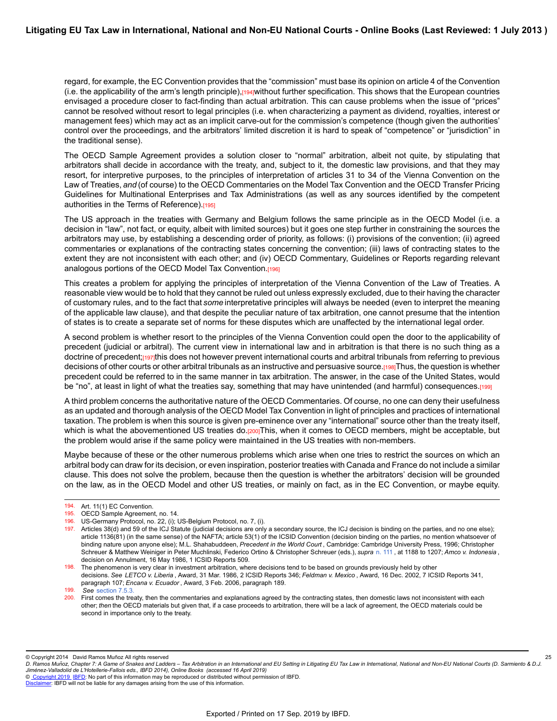regard, for example, the EC Convention provides that the "commission" must base its opinion on article 4 of the Convention (i.e. the applicability of the arm's length principle),[194]without further specification. This shows that the European countries envisaged a procedure closer to fact-finding than actual arbitration. This can cause problems when the issue of "prices" cannot be resolved without resort to legal principles (i.e. when characterizing a payment as dividend, royalties, interest or management fees) which may act as an implicit carve-out for the commission's competence (though given the authorities' control over the proceedings, and the arbitrators' limited discretion it is hard to speak of "competence" or "jurisdiction" in the traditional sense).

The OECD Sample Agreement provides a solution closer to "normal" arbitration, albeit not quite, by stipulating that arbitrators shall decide in accordance with the treaty, and, subject to it, the domestic law provisions, and that they may resort, for interpretive purposes, to the principles of interpretation of articles 31 to 34 of the Vienna Convention on the Law of Treaties, *and* (of course) to the OECD Commentaries on the Model Tax Convention and the OECD Transfer Pricing Guidelines for Multinational Enterprises and Tax Administrations (as well as any sources identified by the competent authorities in the Terms of Reference).[195]

The US approach in the treaties with Germany and Belgium follows the same principle as in the OECD Model (i.e. a decision in "law", not fact, or equity, albeit with limited sources) but it goes one step further in constraining the sources the arbitrators may use, by establishing a descending order of priority, as follows: (i) provisions of the convention; (ii) agreed commentaries or explanations of the contracting states concerning the convention; (iii) laws of contracting states to the extent they are not inconsistent with each other; and (iv) OECD Commentary, Guidelines or Reports regarding relevant analogous portions of the OECD Model Tax Convention.[196]

This creates a problem for applying the principles of interpretation of the Vienna Convention of the Law of Treaties. A reasonable view would be to hold that they cannot be ruled out unless expressly excluded, due to their having the character of customary rules, and to the fact that *some* interpretative principles will always be needed (even to interpret the meaning of the applicable law clause), and that despite the peculiar nature of tax arbitration, one cannot presume that the intention of states is to create a separate set of norms for these disputes which are unaffected by the international legal order.

A second problem is whether resort to the principles of the Vienna Convention could open the door to the applicability of precedent (judicial or arbitral). The current view in international law and in arbitration is that there is no such thing as a doctrine of precedent;[197]this does not however prevent international courts and arbitral tribunals from referring to previous decisions of other courts or other arbitral tribunals as an instructive and persuasive source.[198]Thus, the question is whether precedent could be referred to in the same manner in tax arbitration. The answer, in the case of the United States, would be "no", at least in light of what the treaties say, something that may have unintended (and harmful) consequences.[199]

A third problem concerns the authoritative nature of the OECD Commentaries. Of course, no one can deny their usefulness as an updated and thorough analysis of the OECD Model Tax Convention in light of principles and practices of international taxation. The problem is when this source is given pre-eminence over any "international" source other than the treaty itself, which is what the abovementioned US treaties do.[200]This, when it comes to OECD members, might be acceptable, but the problem would arise if the same policy were maintained in the US treaties with non-members.

Maybe because of these or the other numerous problems which arise when one tries to restrict the sources on which an arbitral body can draw for its decision, or even inspiration, posterior treaties with Canada and France do not include a similar clause. This does not solve the problem, because then the question is whether the arbitrators' decision will be grounded on the law, as in the OECD Model and other US treaties, or mainly on fact, as in the EC Convention, or maybe equity.

200. First comes the treaty, then the commentaries and explanations agreed by the contracting states, then domestic laws not inconsistent with each other; *then* the OECD materials but given that, if a case proceeds to arbitration, there will be a lack of agreement, the OECD materials could be second in importance only to the treaty.

25

© [Copyright 2019](http://www.ibfd.org/Copyright-IBFD) [IBFD:](http://www.ibfd.org) No part of this information may be reproduced or distributed without permission of IBFD.

<sup>194.</sup> Art. 11(1) EC Convention.

<sup>195.</sup> OECD Sample Agreement, no. 14.

<sup>196.</sup> US-Germany Protocol, no. 22, (i); US-Belgium Protocol, no. 7, (i).

<sup>197.</sup> Articles 38(d) and 59 of the ICJ Statute (judicial decisions are only a secondary source, the ICJ decision is binding on the parties, and no one else); article 1136(81) (in the same sense) of the NAFTA; article 53(1) of the ICSID Convention (decision binding on the parties, no mention whatsoever of binding nature upon anyone else); M.L. Shahabuddeen, *Precedent in the World Court* , Cambridge: Cambridge University Press, 1996; Christopher Schreuer & Matthew Weiniger in Peter Muchlinski, Federico Ortino & Christopher Schreuer (eds.), *supra* [n. 111](https://research.ibfd.org/#/doc?url=/linkresolver/static/letl_p04_c02_fn_0111#letl_p04_c02_fn_0111) , at 1188 to 1207; *Amco v. Indonesia* , decision on Annulment, 16 May 1986, 1 ICSID Reports 509.

<sup>198.</sup> The phenomenon is very clear in investment arbitration, where decisions tend to be based on grounds previously held by other decisions. *See LETCO v. Liberia* , Award, 31 Mar. 1986, 2 ICSID Reports 346; *Feldman v. Mexico* , Award, 16 Dec. 2002, 7 ICSID Reports 341, paragraph 107; *Encana v. Ecuador* , Award, 3 Feb. 2006, paragraph 189.

<sup>199.</sup> *See* [section 7.5.3.](https://research.ibfd.org/#/doc?url=/linkresolver/static/letl_p04_c02_s_7.5.3.#letl_p04_c02_s_7.5.3.)

<sup>©</sup> Copyright 2014 David Ramos Muñoz All rights reserved

*D. Ramos Munoz, Chapter 7: A Game of Snakes and Ladders – Tax Arbitration in an International and EU Setting in Litigating EU Tax Law in International, National and Non-EU National Courts (D. Sarmiento & D.J. ̃ Jimenez-Valladolid de L'Hotellerie-Fallois eds., IBFD 2014), Online Books (accessed 16 April 2019) ́*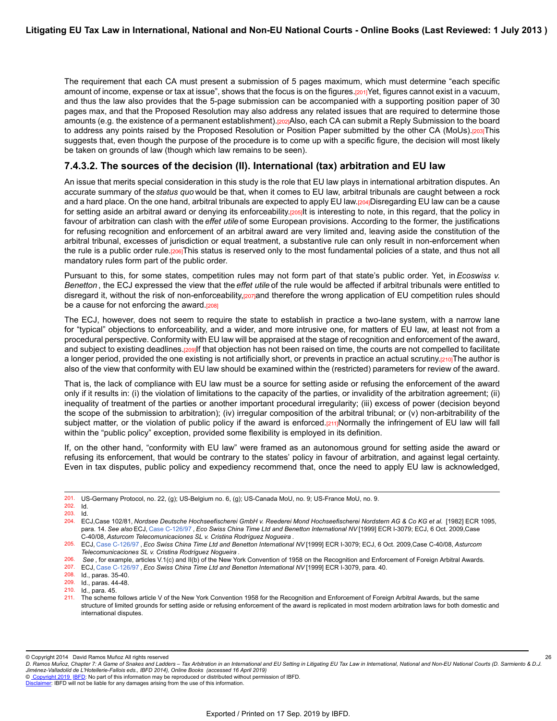The requirement that each CA must present a submission of 5 pages maximum, which must determine "each specific amount of income, expense or tax at issue", shows that the focus is on the figures.[201]Yet, figures cannot exist in a vacuum, and thus the law also provides that the 5-page submission can be accompanied with a supporting position paper of 30 pages max, and that the Proposed Resolution may also address any related issues that are required to determine those amounts (e.g. the existence of a permanent establishment).[202]Also, each CA can submit a Reply Submission to the board to address any points raised by the Proposed Resolution or Position Paper submitted by the other CA (MoUs).[203]This suggests that, even though the purpose of the procedure is to come up with a specific figure, the decision will most likely be taken on grounds of law (though which law remains to be seen).

### **7.4.3.2. The sources of the decision (II). International (tax) arbitration and EU law**

An issue that merits special consideration in this study is the role that EU law plays in international arbitration disputes. An accurate summary of the *status quo* would be that, when it comes to EU law, arbitral tribunals are caught between a rock and a hard place. On the one hand, arbitral tribunals are expected to apply EU law.[204]Disregarding EU law can be a cause for setting aside an arbitral award or denying its enforceability.[205]It is interesting to note, in this regard, that the policy in favour of arbitration can clash with the *effet utile* of some European provisions. According to the former, the justifications for refusing recognition and enforcement of an arbitral award are very limited and, leaving aside the constitution of the arbitral tribunal, excesses of jurisdiction or equal treatment, a substantive rule can only result in non-enforcement when the rule is a public order rule.[206]This status is reserved only to the most fundamental policies of a state, and thus not all mandatory rules form part of the public order.

Pursuant to this, for some states, competition rules may not form part of that state's public order. Yet, in *Ecoswiss v. Benetton* , the ECJ expressed the view that the *effet utile* of the rule would be affected if arbitral tribunals were entitled to disregard it, without the risk of non-enforceability,[207]and therefore the wrong application of EU competition rules should be a cause for not enforcing the award.[208]

The ECJ, however, does not seem to require the state to establish in practice a two-lane system, with a narrow lane for "typical" objections to enforceability, and a wider, and more intrusive one, for matters of EU law, at least not from a procedural perspective. Conformity with EU law will be appraised at the stage of recognition and enforcement of the award, and subject to existing deadlines.[209]If that objection has not been raised on time, the courts are not compelled to facilitate a longer period, provided the one existing is not artificially short, or prevents in practice an actual scrutiny.[210]The author is also of the view that conformity with EU law should be examined within the (restricted) parameters for review of the award.

That is, the lack of compliance with EU law must be a source for setting aside or refusing the enforcement of the award only if it results in: (i) the violation of limitations to the capacity of the parties, or invalidity of the arbitration agreement; (ii) inequality of treatment of the parties or another important procedural irregularity; (iii) excess of power (decision beyond the scope of the submission to arbitration); (iv) irregular composition of the arbitral tribunal; or (v) non-arbitrability of the subject matter, or the violation of public policy if the award is enforced.[211]Normally the infringement of EU law will fall within the "public policy" exception, provided some flexibility is employed in its definition.

If, on the other hand, "conformity with EU law" were framed as an autonomous ground for setting aside the award or refusing its enforcement, that would be contrary to the states' policy in favour of arbitration, and against legal certainty. Even in tax disputes, public policy and expediency recommend that, once the need to apply EU law is acknowledged,

208. Id., paras. 35-40.

26

© [Copyright 2019](http://www.ibfd.org/Copyright-IBFD) [IBFD:](http://www.ibfd.org) No part of this information may be reproduced or distributed without permission of IBFD.

<sup>201.</sup> US-Germany Protocol, no. 22, (g); US-Belgium no. 6, (g); US-Canada MoU, no. 9; US-France MoU, no. 9.

<sup>202.</sup> Id. 203. Id.

<sup>204.</sup> ECJ,Case 102/81, Nordsee Deutsche Hochseefischerei GmbH v. Reederei Mond Hochseefischerei Nordstern AG & Co KG et al. [1982] ECR 1095, para. 14. *See also* ECJ, [Case C-126/97](https://research.ibfd.org/#/doc?url=/linkresolver/static/ecj_c_126_97#ecj_c_126_97) , *Eco Swiss China Time Ltd and Benetton International NV* [1999] ECR I-3079; ECJ, 6 Oct. 2009,Case C-40/08, *Asturcom Telecomunicaciones SL v. Cristina Rodríguez Nogueira* .

<sup>205.</sup> ECJ, [Case C-126/97](https://research.ibfd.org/#/doc?url=/linkresolver/static/ecj_c_126_97#ecj_c_126_97) , *Eco Swiss China Time Ltd and Benetton International NV* [1999] ECR I-3079; ECJ, 6 Oct. 2009,Case C-40/08, *Asturcom Telecomunicaciones SL v. Cristina Rodríguez Nogueira* .

<sup>206.</sup> *See*, for example, articles V.1(c) and II(b) of the New York Convention of 1958 on the Recognition and Enforcement of Foreign Arbitral Awards.<br>207. FCJ Case C-126/97, *Fco Swiss China Time Ltd and Benetton Internatio* 

<sup>207.</sup> ECJ, [Case C-126/97](https://research.ibfd.org/#/doc?url=/linkresolver/static/ecj_c_126_97#ecj_c_126_97) , *Eco Swiss China Time Ltd and Benetton International NV* [1999] ECR I-3079, para. 40.

<sup>209.</sup> Id., paras. 44-48.

<sup>210.</sup> Id., para. 45.

<sup>211.</sup> The scheme follows article V of the New York Convention 1958 for the Recognition and Enforcement of Foreign Arbitral Awards, but the same structure of limited grounds for setting aside or refusing enforcement of the award is replicated in most modern arbitration laws for both domestic and international disputes.

<sup>©</sup> Copyright 2014 David Ramos Muñoz All rights reserved

*D. Ramos Munoz, Chapter 7: A Game of Snakes and Ladders – Tax Arbitration in an International and EU Setting in Litigating EU Tax Law in International, National and Non-EU National Courts (D. Sarmiento & D.J. ̃ Jimenez-Valladolid de L'Hotellerie-Fallois eds., IBFD 2014), Online Books (accessed 16 April 2019) ́*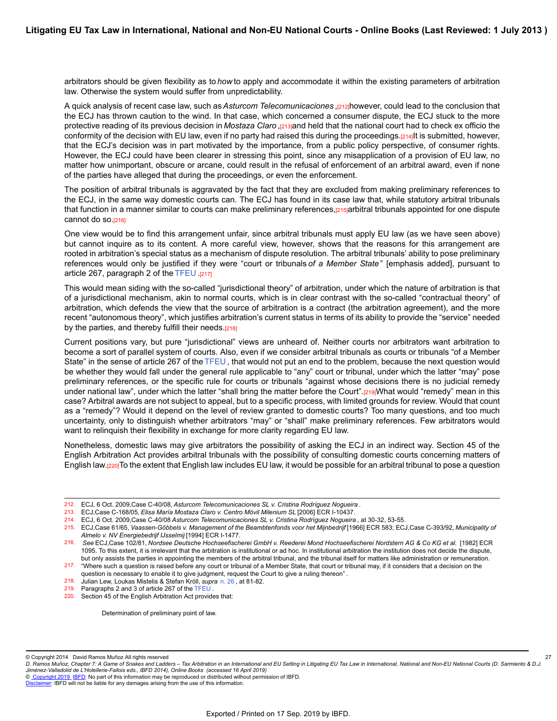arbitrators should be given flexibility as to *how* to apply and accommodate it within the existing parameters of arbitration law. Otherwise the system would suffer from unpredictability.

A quick analysis of recent case law, such as*Asturcom Telecomunicaciones* ,[212]however, could lead to the conclusion that the ECJ has thrown caution to the wind. In that case, which concerned a consumer dispute, the ECJ stuck to the more protective reading of its previous decision in *Mostaza Claro* ,[213]and held that the national court had to check ex officio the conformity of the decision with EU law, even if no party had raised this during the proceedings.[214]It is submitted, however, that the ECJ's decision was in part motivated by the importance, from a public policy perspective, of consumer rights. However, the ECJ could have been clearer in stressing this point, since any misapplication of a provision of EU law, no matter how unimportant, obscure or arcane, could result in the refusal of enforcement of an arbitral award, even if none of the parties have alleged that during the proceedings, or even the enforcement.

The position of arbitral tribunals is aggravated by the fact that they are excluded from making preliminary references to the ECJ, in the same way domestic courts can. The ECJ has found in its case law that, while statutory arbitral tribunals that function in a manner similar to courts can make preliminary references,[215]arbitral tribunals appointed for one dispute cannot do so.<sup>[216]</sup>

One view would be to find this arrangement unfair, since arbitral tribunals must apply EU law (as we have seen above) but cannot inquire as to its content. A more careful view, however, shows that the reasons for this arrangement are rooted in arbitration's special status as a mechanism of dispute resolution. The arbitral tribunals' ability to pose preliminary references would only be justified if they were "court or tribunals *of a Member State* " [emphasis added], pursuant to article 267, paragraph 2 of the [TFEU](https://research.ibfd.org/#/doc?url=/linkresolver/static/tt_e2_00_eng_1992_tt#tt_e2_00_eng_1992_tt) .[217]

This would mean siding with the so-called "jurisdictional theory" of arbitration, under which the nature of arbitration is that of a jurisdictional mechanism, akin to normal courts, which is in clear contrast with the so-called "contractual theory" of arbitration, which defends the view that the source of arbitration is a contract (the arbitration agreement), and the more recent "autonomous theory", which justifies arbitration's current status in terms of its ability to provide the "service" needed by the parties, and thereby fulfill their needs.[218]

Current positions vary, but pure "jurisdictional" views are unheard of. Neither courts nor arbitrators want arbitration to become a sort of parallel system of courts. Also, even if we consider arbitral tribunals as courts or tribunals "of a Member State" in the sense of article 267 of the [TFEU](https://research.ibfd.org/#/doc?url=/linkresolver/static/tt_e2_00_eng_1992_tt#tt_e2_00_eng_1992_tt), that would not put an end to the problem, because the next question would be whether they would fall under the general rule applicable to "any" court or tribunal, under which the latter "may" pose preliminary references, or the specific rule for courts or tribunals "against whose decisions there is no judicial remedy under national law", under which the latter "shall bring the matter before the Court".[219]What would "remedy" mean in this case? Arbitral awards are not subject to appeal, but to a specific process, with limited grounds for review. Would that count as a "remedy"? Would it depend on the level of review granted to domestic courts? Too many questions, and too much uncertainty, only to distinguish whether arbitrators "may" or "shall" make preliminary references. Few arbitrators would want to relinquish their flexibility in exchange for more clarity regarding EU law.

Nonetheless, domestic laws may give arbitrators the possibility of asking the ECJ in an indirect way. Section 45 of the English Arbitration Act provides arbitral tribunals with the possibility of consulting domestic courts concerning matters of English law.[220]To the extent that English law includes EU law, it would be possible for an arbitral tribunal to pose a question

Determination of preliminary point of law.

27

© [Copyright 2019](http://www.ibfd.org/Copyright-IBFD) [IBFD:](http://www.ibfd.org) No part of this information may be reproduced or distributed without permission of IBFD.

<sup>212.</sup> ECJ, 6 Oct. 2009,Case C-40/08, *Asturcom Telecomunicaciones SL v. Cristina Rodríguez Nogueira* .

<sup>213.</sup> ECJ,Case C-168/05, *Elisa María Mostaza Claro v. Centro Móvil Milenium SL* [2006] ECR I-10437.

<sup>214.</sup> ECJ, 6 Oct. 2009,Case C-40/08 *Asturcom Telecomunicaciones SL v. Cristina Rodríguez Nogueira* , at 30-32, 53-55.

<sup>215.</sup> ECJ,Case 61/65, *Vaassen-Göbbels v. Management of the Beambtenfonds voor het Mijnbedrijf* [1966] ECR 583; ECJ,Case C-393/92, *Municipality of Almelo v. NV Energiebedrijf IJsselmij* [1994] ECR I-1477.

<sup>216.</sup> *See* ECJ,Case 102/81, *Nordsee Deutsche Hochseefischerei GmbH v. Reederei Mond Hochseefischerei Nordstern AG & Co KG et al.* [1982] ECR 1095. To this extent, it is irrelevant that the arbitration is institutional or ad hoc. In institutional arbitration the institution does not decide the dispute, but only assists the parties in appointing the members of the arbitral tribunal, and the tribunal itself for matters like administration or remuneration. 217. "Where such a question is raised before any court or tribunal of a Member State, that court or tribunal may, if it considers that a decision on the

question is necessary to enable it to give judgment, request the Court to give a ruling thereon" *.*

<sup>218.</sup> Julian Lew, Loukas Mistelis & Stefan Kröll, *supra* [n. 26](https://research.ibfd.org/#/doc?url=/linkresolver/static/letl_p04_c02_fn_0026#letl_p04_c02_fn_0026) , at 81-82.

<sup>219.</sup> Paragraphs 2 and 3 of article 267 of the [TFEU](https://research.ibfd.org/#/doc?url=/linkresolver/static/tt_e2_00_eng_1992_tt#tt_e2_00_eng_1992_tt) .

<sup>220.</sup> Section 45 of the English Arbitration Act provides that:

<sup>©</sup> Copyright 2014 David Ramos Muñoz All rights reserved

*D. Ramos Munoz, Chapter 7: A Game of Snakes and Ladders – Tax Arbitration in an International and EU Setting in Litigating EU Tax Law in International, National and Non-EU National Courts (D. Sarmiento & D.J. ̃ Jimenez-Valladolid de L'Hotellerie-Fallois eds., IBFD 2014), Online Books (accessed 16 April 2019) ́*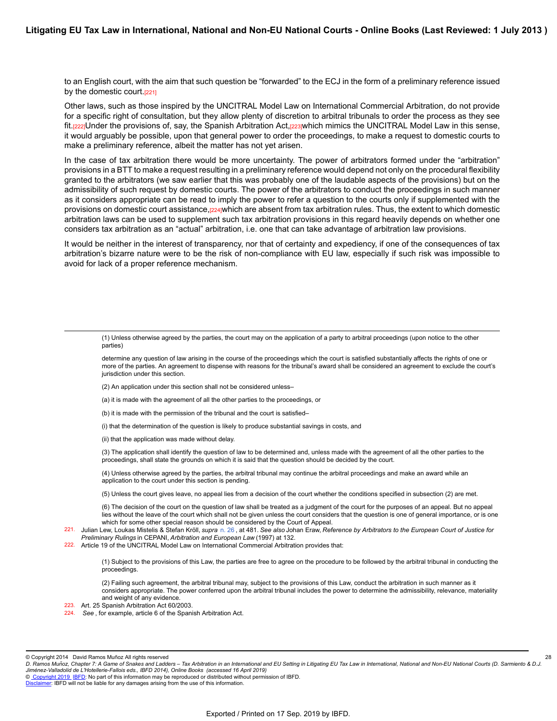to an English court, with the aim that such question be "forwarded" to the ECJ in the form of a preliminary reference issued by the domestic court.<sup>[221]</sup>

Other laws, such as those inspired by the UNCITRAL Model Law on International Commercial Arbitration, do not provide for a specific right of consultation, but they allow plenty of discretion to arbitral tribunals to order the process as they see fit.[222]Under the provisions of, say, the Spanish Arbitration Act,[223]which mimics the UNCITRAL Model Law in this sense, it would arguably be possible, upon that general power to order the proceedings, to make a request to domestic courts to make a preliminary reference, albeit the matter has not yet arisen.

In the case of tax arbitration there would be more uncertainty. The power of arbitrators formed under the "arbitration" provisions in a BTT to make a request resulting in a preliminary reference would depend not only on the procedural flexibility granted to the arbitrators (we saw earlier that this was probably one of the laudable aspects of the provisions) but on the admissibility of such request by domestic courts. The power of the arbitrators to conduct the proceedings in such manner as it considers appropriate can be read to imply the power to refer a question to the courts only if supplemented with the provisions on domestic court assistance,[224]which are absent from tax arbitration rules. Thus, the extent to which domestic arbitration laws can be used to supplement such tax arbitration provisions in this regard heavily depends on whether one considers tax arbitration as an "actual" arbitration, i.e. one that can take advantage of arbitration law provisions.

It would be neither in the interest of transparency, nor that of certainty and expediency, if one of the consequences of tax arbitration's bizarre nature were to be the risk of non-compliance with EU law, especially if such risk was impossible to avoid for lack of a proper reference mechanism.

determine any question of law arising in the course of the proceedings which the court is satisfied substantially affects the rights of one or more of the parties. An agreement to dispense with reasons for the tribunal's award shall be considered an agreement to exclude the court's jurisdiction under this section.

- (2) An application under this section shall not be considered unless–
- (a) it is made with the agreement of all the other parties to the proceedings, or
- (b) it is made with the permission of the tribunal and the court is satisfied–
- (i) that the determination of the question is likely to produce substantial savings in costs, and
- (ii) that the application was made without delay.

(3) The application shall identify the question of law to be determined and, unless made with the agreement of all the other parties to the proceedings, shall state the grounds on which it is said that the question should be decided by the court.

(4) Unless otherwise agreed by the parties, the arbitral tribunal may continue the arbitral proceedings and make an award while an application to the court under this section is pending.

(5) Unless the court gives leave, no appeal lies from a decision of the court whether the conditions specified in subsection (2) are met.

(6) The decision of the court on the question of law shall be treated as a judgment of the court for the purposes of an appeal. But no appeal lies without the leave of the court which shall not be given unless the court considers that the question is one of general importance, or is one which for some other special reason should be considered by the Court of Appeal.

- 221. Julian Lew, Loukas Mistelis & Stefan Kröll, *supra* [n. 26](https://research.ibfd.org/#/doc?url=/linkresolver/static/letl_p04_c02_fn_0026#letl_p04_c02_fn_0026) , at 481. *See also* Johan Eraw, *Reference by Arbitrators to the European Court of Justice for Preliminary Rulings* in CEPANI, *Arbitration and European Law* (1997) at 132.
- 222. Article 19 of the UNCITRAL Model Law on International Commercial Arbitration provides that:

(1) Subject to the provisions of this Law, the parties are free to agree on the procedure to be followed by the arbitral tribunal in conducting the proceedings.

(2) Failing such agreement, the arbitral tribunal may, subject to the provisions of this Law, conduct the arbitration in such manner as it considers appropriate. The power conferred upon the arbitral tribunal includes the power to determine the admissibility, relevance, materiality and weight of any evidence.

28

- 223. Art. 25 Spanish Arbitration Act 60/2003.
- 224. *See* , for example, article 6 of the Spanish Arbitration Act.

© Copyright 2014 David Ramos Muñoz All rights reserved

<sup>(1)</sup> Unless otherwise agreed by the parties, the court may on the application of a party to arbitral proceedings (upon notice to the other parties)

*D. Ramos Munoz, Chapter 7: A Game of Snakes and Ladders – Tax Arbitration in an International and EU Setting in Litigating EU Tax Law in International, National and Non-EU National Courts (D. Sarmiento & D.J. ̃ Jimenez-Valladolid de L'Hotellerie-Fallois eds., IBFD 2014), Online Books (accessed 16 April 2019) ́*

[Disclaimer](http://www.ibfd.org/Disclaimer): IBFD will not be liable for any damages arising from the use of this information.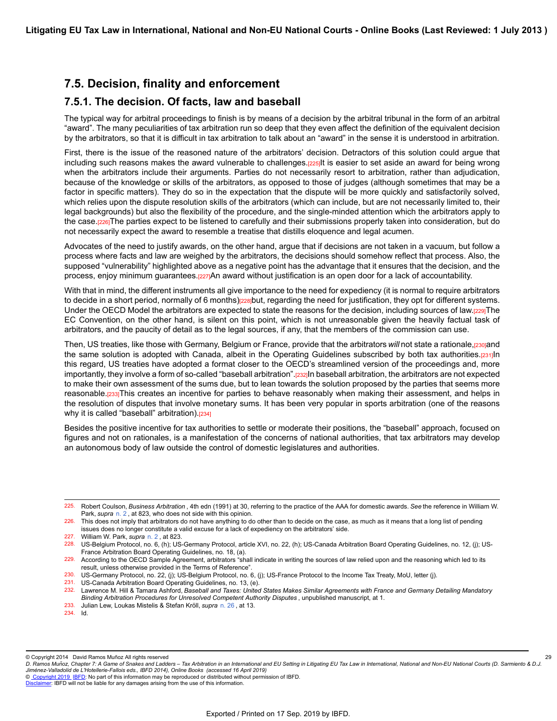## **7.5. Decision, finality and enforcement**

### **7.5.1. The decision. Of facts, law and baseball**

The typical way for arbitral proceedings to finish is by means of a decision by the arbitral tribunal in the form of an arbitral "award". The many peculiarities of tax arbitration run so deep that they even affect the definition of the equivalent decision by the arbitrators, so that it is difficult in tax arbitration to talk about an "award" in the sense it is understood in arbitration.

First, there is the issue of the reasoned nature of the arbitrators' decision. Detractors of this solution could argue that including such reasons makes the award vulnerable to challenges.[225]It is easier to set aside an award for being wrong when the arbitrators include their arguments. Parties do not necessarily resort to arbitration, rather than adjudication, because of the knowledge or skills of the arbitrators, as opposed to those of judges (although sometimes that may be a factor in specific matters). They do so in the expectation that the dispute will be more quickly and satisfactorily solved, which relies upon the dispute resolution skills of the arbitrators (which can include, but are not necessarily limited to, their legal backgrounds) but also the flexibility of the procedure, and the single-minded attention which the arbitrators apply to the case.[226]The parties expect to be listened to carefully and their submissions properly taken into consideration, but do not necessarily expect the award to resemble a treatise that distills eloquence and legal acumen.

Advocates of the need to justify awards, on the other hand, argue that if decisions are not taken in a vacuum, but follow a process where facts and law are weighed by the arbitrators, the decisions should somehow reflect that process. Also, the supposed "vulnerability" highlighted above as a negative point has the advantage that it ensures that the decision, and the process, enjoy minimum guarantees.[227]An award without justification is an open door for a lack of accountability.

With that in mind, the different instruments all give importance to the need for expediency (it is normal to require arbitrators to decide in a short period, normally of 6 months) $228$  put, regarding the need for justification, they opt for different systems. Under the OECD Model the arbitrators are expected to state the reasons for the decision, including sources of law.[229]The EC Convention, on the other hand, is silent on this point, which is not unreasonable given the heavily factual task of arbitrators, and the paucity of detail as to the legal sources, if any, that the members of the commission can use.

Then, US treaties, like those with Germany, Belgium or France, provide that the arbitrators will not state a rationale,[230]and the same solution is adopted with Canada, albeit in the Operating Guidelines subscribed by both tax authorities.[231]In this regard, US treaties have adopted a format closer to the OECD's streamlined version of the proceedings and, more importantly, they involve a form of so-called "baseball arbitration".[232]In baseball arbitration, the arbitrators are not expected to make their own assessment of the sums due, but to lean towards the solution proposed by the parties that seems more reasonable.<sup>[233]</sup>This creates an incentive for parties to behave reasonably when making their assessment, and helps in the resolution of disputes that involve monetary sums. It has been very popular in sports arbitration (one of the reasons why it is called "baseball" arbitration).[234]

Besides the positive incentive for tax authorities to settle or moderate their positions, the "baseball" approach, focused on figures and not on rationales, is a manifestation of the concerns of national authorities, that tax arbitrators may develop an autonomous body of law outside the control of domestic legislatures and authorities.

229. According to the OECD Sample Agreement, arbitrators "shall indicate in writing the sources of law relied upon and the reasoning which led to its result, unless otherwise provided in the Terms of Reference".

231. US-Canada Arbitration Board Operating Guidelines, no. 13, (e).<br>232. Lawrence M. Hill & Tamara Ashford Baseball and Taxes: Uniter

232. Lawrence M. Hill & Tamara Ashford, *Baseball and Taxes: United States Makes Similar Agreements with France and Germany Detailing Mandatory Binding Arbitration Procedures for Unresolved Competent Authority Disputes* , unpublished manuscript, at 1.

© Copyright 2014 David Ramos Muñoz All rights reserved

29

© [Copyright 2019](http://www.ibfd.org/Copyright-IBFD) [IBFD:](http://www.ibfd.org) No part of this information may be reproduced or distributed without permission of IBFD.

<sup>225.</sup> Robert Coulson, *Business Arbitration* , 4th edn (1991) at 30, referring to the practice of the AAA for domestic awards. *See* the reference in William W. Park, *supra* [n. 2](https://research.ibfd.org/#/doc?url=/linkresolver/static/letl_p04_c02_fn_0002#letl_p04_c02_fn_0002) , at 823, who does not side with this opinion.

<sup>226.</sup> This does not imply that arbitrators do not have anything to do other than to decide on the case, as much as it means that a long list of pending issues does no longer constitute a valid excuse for a lack of expediency on the arbitrators' side.

<sup>227.</sup> William W. Park, *supra* [n. 2](https://research.ibfd.org/#/doc?url=/linkresolver/static/letl_p04_c02_fn_0002#letl_p04_c02_fn_0002) , at 823.

<sup>228.</sup> US-Belgium Protocol, no. 6, (h); US-Germany Protocol, article XVI, no. 22, (h); US-Canada Arbitration Board Operating Guidelines, no. 12, (j); US-France Arbitration Board Operating Guidelines, no. 18, (a).

<sup>230.</sup> US-Germany Protocol, no. 22, (j); US-Belgium Protocol, no. 6, (j); US-France Protocol to the Income Tax Treaty, MoU, letter (j).

<sup>233.</sup> Julian Lew, Loukas Mistelis & Stefan Kröll, *supra* [n. 26](https://research.ibfd.org/#/doc?url=/linkresolver/static/letl_p04_c02_fn_0026#letl_p04_c02_fn_0026) , at 13.

<sup>234.</sup> Id.

*D. Ramos Munoz, Chapter 7: A Game of Snakes and Ladders – Tax Arbitration in an International and EU Setting in Litigating EU Tax Law in International, National and Non-EU National Courts (D. Sarmiento & D.J. ̃ Jimenez-Valladolid de L'Hotellerie-Fallois eds., IBFD 2014), Online Books (accessed 16 April 2019) ́*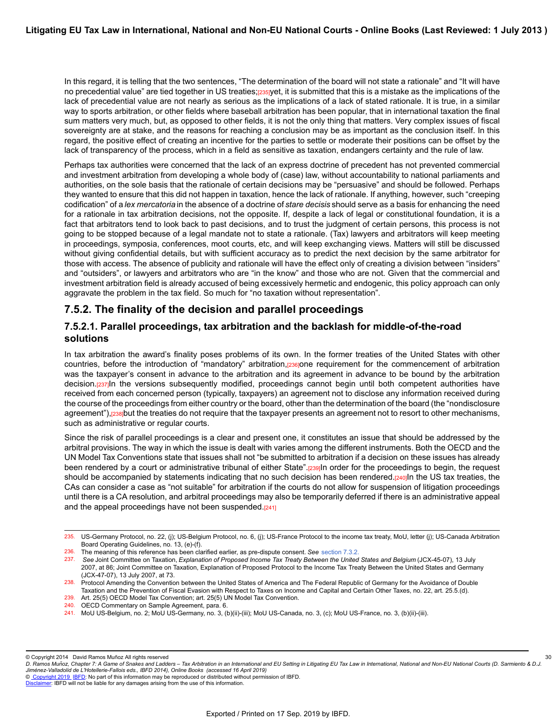In this regard, it is telling that the two sentences, "The determination of the board will not state a rationale" and "It will have no precedential value" are tied together in US treaties;[235]yet, it is submitted that this is a mistake as the implications of the lack of precedential value are not nearly as serious as the implications of a lack of stated rationale. It is true, in a similar way to sports arbitration, or other fields where baseball arbitration has been popular, that in international taxation the final sum matters very much, but, as opposed to other fields, it is not the only thing that matters. Very complex issues of fiscal sovereignty are at stake, and the reasons for reaching a conclusion may be as important as the conclusion itself. In this regard, the positive effect of creating an incentive for the parties to settle or moderate their positions can be offset by the lack of transparency of the process, which in a field as sensitive as taxation, endangers certainty and the rule of law.

Perhaps tax authorities were concerned that the lack of an express doctrine of precedent has not prevented commercial and investment arbitration from developing a whole body of (case) law, without accountability to national parliaments and authorities, on the sole basis that the rationale of certain decisions may be "persuasive" and should be followed. Perhaps they wanted to ensure that this did not happen in taxation, hence the lack of rationale. If anything, however, such "creeping codification" of a *lex mercatoria* in the absence of a doctrine of *stare decisis* should serve as a basis for enhancing the need for a rationale in tax arbitration decisions, not the opposite. If, despite a lack of legal or constitutional foundation, it is a fact that arbitrators tend to look back to past decisions, and to trust the judgment of certain persons, this process is not going to be stopped because of a legal mandate not to state a rationale. (Tax) lawyers and arbitrators will keep meeting in proceedings, symposia, conferences, moot courts, etc, and will keep exchanging views. Matters will still be discussed without giving confidential details, but with sufficient accuracy as to predict the next decision by the same arbitrator for those with access. The absence of publicity and rationale will have the effect only of creating a division between "insiders" and "outsiders", or lawyers and arbitrators who are "in the know" and those who are not. Given that the commercial and investment arbitration field is already accused of being excessively hermetic and endogenic, this policy approach can only aggravate the problem in the tax field. So much for "no taxation without representation".

### **7.5.2. The finality of the decision and parallel proceedings**

### **7.5.2.1. Parallel proceedings, tax arbitration and the backlash for middle-of-the-road solutions**

In tax arbitration the award's finality poses problems of its own. In the former treaties of the United States with other countries, before the introduction of "mandatory" arbitration,[236]one requirement for the commencement of arbitration was the taxpayer's consent in advance to the arbitration and its agreement in advance to be bound by the arbitration decision.[237]In the versions subsequently modified, proceedings cannot begin until both competent authorities have received from each concerned person (typically, taxpayers) an agreement not to disclose any information received during the course of the proceedings from either country or the board, other than the determination of the board (the "nondisclosure agreement"), [238]but the treaties do not require that the taxpayer presents an agreement not to resort to other mechanisms, such as administrative or regular courts.

Since the risk of parallel proceedings is a clear and present one, it constitutes an issue that should be addressed by the arbitral provisions. The way in which the issue is dealt with varies among the different instruments. Both the OECD and the UN Model Tax Conventions state that issues shall not "be submitted to arbitration if a decision on these issues has already been rendered by a court or administrative tribunal of either State".<sub>[239]</sub>In order for the proceedings to begin, the request should be accompanied by statements indicating that no such decision has been rendered.[240]In the US tax treaties, the CAs can consider a case as "not suitable" for arbitration if the courts do not allow for suspension of litigation proceedings until there is a CA resolution, and arbitral proceedings may also be temporarily deferred if there is an administrative appeal and the appeal proceedings have not been suspended.[241]

30

<sup>235.</sup> US-Germany Protocol, no. 22, (j); US-Belgium Protocol, no. 6, (j); US-France Protocol to the income tax treaty, MoU, letter (j); US-Canada Arbitration Board Operating Guidelines, no. 13, (e)-(f).

<sup>236.</sup> The meaning of this reference has been clarified earlier, as pre-dispute consent. *See* [section 7.3.2.](https://research.ibfd.org/#/doc?url=/linkresolver/static/letl_p04_c02_s_7.3.2.#letl_p04_c02_s_7.3.2.)<br>237. See Joint Committee on Taxation *Explanation of Proposed Income Tax Treaty Between the United* 

<sup>237.</sup> *See* Joint Committee on Taxation, *Explanation of Proposed Income Tax Treaty Between the United States and Belgium* (JCX-45-07), 13 July 2007, at 86; Joint Committee on Taxation, Explanation of Proposed Protocol to the Income Tax Treaty Between the United States and Germany (JCX-47-07), 13 July 2007, at 73.

<sup>238.</sup> Protocol Amending the Convention between the United States of America and The Federal Republic of Germany for the Avoidance of Double Taxation and the Prevention of Fiscal Evasion with Respect to Taxes on Income and Capital and Certain Other Taxes, no. 22, art. 25.5.(d).

<sup>239.</sup> Art. 25(5) OECD Model Tax Convention; art. 25(5) UN Model Tax Convention.

<sup>240.</sup> OECD Commentary on Sample Agreement, para. 6.

<sup>241.</sup> MoU US-Belgium, no. 2; MoU US-Germany, no. 3, (b)(ii)-(iii); MoU US-Canada, no. 3, (c); MoU US-France, no. 3, (b)(ii)-(iii).

<sup>©</sup> Copyright 2014 David Ramos Muñoz All rights reserved

*D. Ramos Munoz, Chapter 7: A Game of Snakes and Ladders – Tax Arbitration in an International and EU Setting in Litigating EU Tax Law in International, National and Non-EU National Courts (D. Sarmiento & D.J. ̃ Jimenez-Valladolid de L'Hotellerie-Fallois eds., IBFD 2014), Online Books (accessed 16 April 2019) ́*

[Disclaimer](http://www.ibfd.org/Disclaimer): IBFD will not be liable for any damages arising from the use of this information.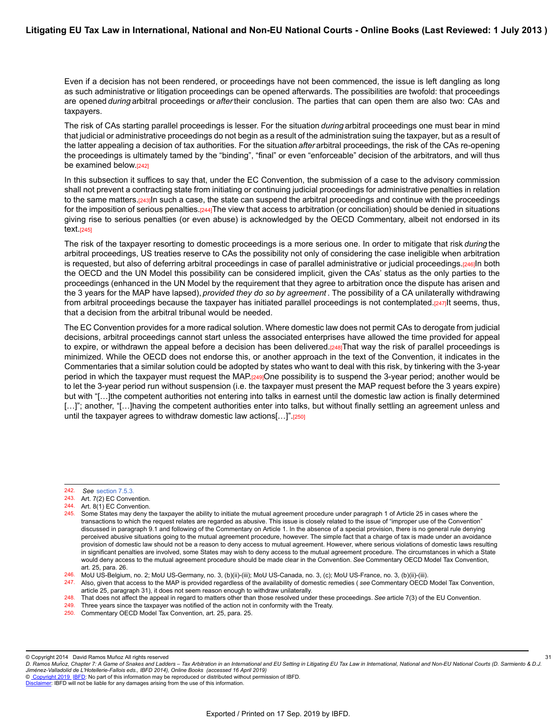Even if a decision has not been rendered, or proceedings have not been commenced, the issue is left dangling as long as such administrative or litigation proceedings can be opened afterwards. The possibilities are twofold: that proceedings are opened *during* arbitral proceedings or *after* their conclusion. The parties that can open them are also two: CAs and taxpayers.

The risk of CAs starting parallel proceedings is lesser. For the situation *during* arbitral proceedings one must bear in mind that judicial or administrative proceedings do not begin as a result of the administration suing the taxpayer, but as a result of the latter appealing a decision of tax authorities. For the situation *after* arbitral proceedings, the risk of the CAs re-opening the proceedings is ultimately tamed by the "binding", "final" or even "enforceable" decision of the arbitrators, and will thus be examined below.[242]

In this subsection it suffices to say that, under the EC Convention, the submission of a case to the advisory commission shall not prevent a contracting state from initiating or continuing judicial proceedings for administrative penalties in relation to the same matters.[243]In such a case, the state can suspend the arbitral proceedings and continue with the proceedings for the imposition of serious penalties.[244]The view that access to arbitration (or conciliation) should be denied in situations giving rise to serious penalties (or even abuse) is acknowledged by the OECD Commentary, albeit not endorsed in its text.[245]

The risk of the taxpayer resorting to domestic proceedings is a more serious one. In order to mitigate that risk *during* the arbitral proceedings, US treaties reserve to CAs the possibility not only of considering the case ineligible when arbitration is requested, but also of deferring arbitral proceedings in case of parallel administrative or judicial proceedings.[246]In both the OECD and the UN Model this possibility can be considered implicit, given the CAs' status as the only parties to the proceedings (enhanced in the UN Model by the requirement that they agree to arbitration once the dispute has arisen and the 3 years for the MAP have lapsed), *provided they do so by agreement* . The possibility of a CA unilaterally withdrawing from arbitral proceedings because the taxpayer has initiated parallel proceedings is not contemplated. $[247]$ It seems, thus, that a decision from the arbitral tribunal would be needed.

The EC Convention provides for a more radical solution. Where domestic law does not permit CAs to derogate from judicial decisions, arbitral proceedings cannot start unless the associated enterprises have allowed the time provided for appeal to expire, or withdrawn the appeal before a decision has been delivered. $[248]$ That way the risk of parallel proceedings is minimized. While the OECD does not endorse this, or another approach in the text of the Convention, it indicates in the Commentaries that a similar solution could be adopted by states who want to deal with this risk, by tinkering with the 3-year period in which the taxpayer must request the MAP.[249]One possibility is to suspend the 3-year period; another would be to let the 3-year period run without suspension (i.e. the taxpayer must present the MAP request before the 3 years expire) but with "[…]the competent authorities not entering into talks in earnest until the domestic law action is finally determined [...]"; another, "[...]having the competent authorities enter into talks, but without finally settling an agreement unless and until the taxpayer agrees to withdraw domestic law actions[...]".[250]

244. Art. 8(1) EC Convention.

© Copyright 2014 David Ramos Muñoz All rights reserved

© [Copyright 2019](http://www.ibfd.org/Copyright-IBFD) [IBFD:](http://www.ibfd.org) No part of this information may be reproduced or distributed without permission of IBFD.

<sup>242.</sup> *See* [section 7.5.3.](https://research.ibfd.org/#/doc?url=/linkresolver/static/letl_p04_c02_s_7.5.3.#letl_p04_c02_s_7.5.3.)

<sup>243.</sup> Art. 7(2) EC Convention.

<sup>245.</sup> Some States may deny the taxpayer the ability to initiate the mutual agreement procedure under paragraph 1 of Article 25 in cases where the transactions to which the request relates are regarded as abusive. This issue is closely related to the issue of "improper use of the Convention" discussed in paragraph 9.1 and following of the Commentary on Article 1. In the absence of a special provision, there is no general rule denying perceived abusive situations going to the mutual agreement procedure, however. The simple fact that a charge of tax is made under an avoidance provision of domestic law should not be a reason to deny access to mutual agreement. However, where serious violations of domestic laws resulting in significant penalties are involved, some States may wish to deny access to the mutual agreement procedure. The circumstances in which a State would deny access to the mutual agreement procedure should be made clear in the Convention. *See* Commentary OECD Model Tax Convention, art. 25, para. 26.

<sup>246.</sup> MoU US-Belgium, no. 2; MoU US-Germany, no. 3, (b)(ii)-(iii); MoU US-Canada, no. 3, (c); MoU US-France, no. 3, (b)(ii)-(iii).

<sup>247.</sup> Also, given that access to the MAP is provided regardless of the availability of domestic remedies ( *see* Commentary OECD Model Tax Convention, article 25, paragraph 31), it does not seem reason enough to withdraw unilaterally.

<sup>248.</sup> That does not affect the appeal in regard to matters other than those resolved under these proceedings. See article 7(3) of the EU Convention.<br>249. Three vears since the taxpayer was potified of the action not in conf

Three years since the taxpayer was notified of the action not in conformity with the Treaty.

<sup>250.</sup> Commentary OECD Model Tax Convention, art. 25, para. 25.

*D. Ramos Munoz, Chapter 7: A Game of Snakes and Ladders – Tax Arbitration in an International and EU Setting in Litigating EU Tax Law in International, National and Non-EU National Courts (D. Sarmiento & D.J. ̃ Jimenez-Valladolid de L'Hotellerie-Fallois eds., IBFD 2014), Online Books (accessed 16 April 2019) ́* 31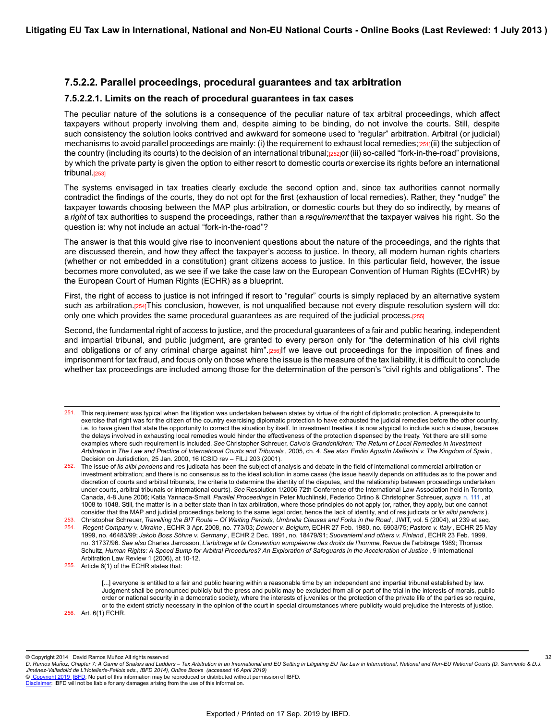### **7.5.2.2. Parallel proceedings, procedural guarantees and tax arbitration**

#### **7.5.2.2.1. Limits on the reach of procedural guarantees in tax cases**

The peculiar nature of the solutions is a consequence of the peculiar nature of tax arbitral proceedings, which affect taxpayers without properly involving them and, despite aiming to be binding, do not involve the courts. Still, despite such consistency the solution looks contrived and awkward for someone used to "regular" arbitration. Arbitral (or judicial) mechanisms to avoid parallel proceedings are mainly: (i) the requirement to exhaust local remedies;[251](ii) the subjection of the country (including its courts) to the decision of an international tribunal;[252]or (iii) so-called "fork-in-the-road" provisions, by which the private party is given the option to either resort to domestic courts *or* exercise its rights before an international tribunal.<sub>[253]</sub>

The systems envisaged in tax treaties clearly exclude the second option and, since tax authorities cannot normally contradict the findings of the courts, they do not opt for the first (exhaustion of local remedies). Rather, they "nudge" the taxpayer towards choosing between the MAP plus arbitration, or domestic courts but they do so indirectly, by means of a *right* of tax authorities to suspend the proceedings, rather than a *requirement* that the taxpayer waives his right. So the question is: why not include an actual "fork-in-the-road"?

The answer is that this would give rise to inconvenient questions about the nature of the proceedings, and the rights that are discussed therein, and how they affect the taxpayer's access to justice. In theory, all modern human rights charters (whether or not embedded in a constitution) grant citizens access to justice. In this particular field, however, the issue becomes more convoluted, as we see if we take the case law on the European Convention of Human Rights (ECvHR) by the European Court of Human Rights (ECHR) as a blueprint.

First, the right of access to justice is not infringed if resort to "regular" courts is simply replaced by an alternative system such as arbitration.[254]This conclusion, however, is not unqualified because not every dispute resolution system will do: only one which provides the same procedural guarantees as are required of the judicial process.[255]

Second, the fundamental right of access to justice, and the procedural guarantees of a fair and public hearing, independent and impartial tribunal, and public judgment, are granted to every person only for "the determination of his civil rights and obligations or of any criminal charge against him".[256]If we leave out proceedings for the imposition of fines and imprisonment for tax fraud, and focus only on those where the issue is the measure of the tax liability, it is difficult to conclude whether tax proceedings are included among those for the determination of the person's "civil rights and obligations". The

[...] everyone is entitled to a fair and public hearing within a reasonable time by an independent and impartial tribunal established by law. Judgment shall be pronounced publicly but the press and public may be excluded from all or part of the trial in the interests of morals, public order or national security in a democratic society, where the interests of juveniles or the protection of the private life of the parties so require, or to the extent strictly necessary in the opinion of the court in special circumstances where publicity would prejudice the interests of justice. 256. Art. 6(1) ECHR.

© Copyright 2014 David Ramos Muñoz All rights reserved

<sup>251.</sup> This requirement was typical when the litigation was undertaken between states by virtue of the right of diplomatic protection. A prerequisite to exercise that right was for the citizen of the country exercising diplomatic protection to have exhausted the judicial remedies before the other country, i.e. to have given that state the opportunity to correct the situation by itself. In investment treaties it is now atypical to include such a clause, because the delays involved in exhausting local remedies would hinder the effectiveness of the protection dispensed by the treaty. Yet there are still some examples where such requirement is included. *See* Christopher Schreuer, *Calvo's Grandchildren: The Return of Local Remedies in Investment Arbitration* in *The Law and Practice of International Courts and Tribunals* , 2005, ch. 4. *See also Emilio Agustín Maffezini v. The Kingdom of Spain* , Decision on Jurisdiction, 25 Jan. 2000, 16 ICSID rev – FILJ 203 (2001).

<sup>252.</sup> The issue of *lis alibi pendens* and res judicata has been the subject of analysis and debate in the field of international commercial arbitration or investment arbitration; and there is no consensus as to the ideal solution in some cases (the issue heavily depends on attitudes as to the power and discretion of courts and arbitral tribunals, the criteria to determine the identity of the disputes, and the relationship between proceedings undertaken under courts, arbitral tribunals or international courts). *See* Resolution 1/2006 72th Conference of the International Law Association held in Toronto, Canada, 4-8 June 2006; Katia Yannaca-Small, *Parallel Proceedings* in Peter Muchlinski, Federico Ortino & Christopher Schreuer, *supra* [n. 111](https://research.ibfd.org/#/doc?url=/linkresolver/static/letl_p04_c02_fn_0111#letl_p04_c02_fn_0111) , at 1008 to 1048. Still, the matter is in a better state than in tax arbitration, where those principles do not apply (or, rather, they apply, but one cannot consider that the MAP and judicial proceedings belong to the same legal order, hence the lack of identity, and of res judicata or *lis alibi pendens* ).

<sup>253.</sup> Christopher Schreuer, *Travelling the BIT Route – Of Waiting Periods, Umbrella Clauses and Forks in the Road* , JWIT, vol. 5 (2004), at 239 et seq. 254. *Regent Company v. Ukraine* , ECHR 3 Apr. 2008, no. 773/03; *Deweer v. Belgium,* ECHR 27 Feb. 1980, no. 6903/75; *Pastore v. Italy* , ECHR 25 May 1999, no. 46483/99; *Jakob Boss Söhne v. Germany* , ECHR 2 Dec. 1991, no. 18479/91; *Suovaniemi and others v. Finland* , ECHR 23 Feb. 1999, no. 31737/96. *See also* Charles Jarrosson, *L'arbitrage et la Convention européenne des droits de l'homme,* Revue de l'arbitrage 1989; Thomas Schultz, *Human Rights: A Speed Bump for Arbitral Procedures? An Exploration of Safeguards in the Acceleration of Justice* , 9 International Arbitration Law Review 1 (2006), at 10-12.

<sup>255.</sup> Article 6(1) of the ECHR states that:

*D. Ramos Munoz, Chapter 7: A Game of Snakes and Ladders – Tax Arbitration in an International and EU Setting in Litigating EU Tax Law in International, National and Non-EU National Courts (D. Sarmiento & D.J. ̃ Jimenez-Valladolid de L'Hotellerie-Fallois eds., IBFD 2014), Online Books (accessed 16 April 2019) ́* 32

[Disclaimer](http://www.ibfd.org/Disclaimer): IBFD will not be liable for any damages arising from the use of this information.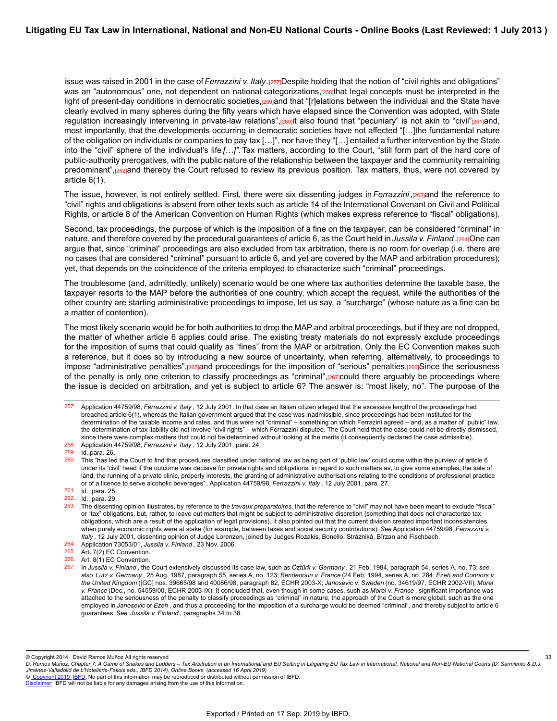issue was raised in 2001 in the case of *Ferrazzini v. Italy* .[257]Despite holding that the notion of "civil rights and obligations" was an "autonomous" one, not dependent on national categorizations, reserthat legal concepts must be interpreted in the light of present-day conditions in democratic societies,[259]and that "[r]elations between the individual and the State have clearly evolved in many spheres during the fifty years which have elapsed since the Convention was adopted, with State regulation increasingly intervening in private-law relations",[260]it also found that "pecuniary" is not akin to "civil"[261]and, most importantly, that the developments occurring in democratic societies have not affected "[…]the fundamental nature of the obligation on individuals or companies to pay tax […]", nor have they "[…] entailed a further intervention by the State into the "civil" sphere of the individual's life *[…]".* Tax matters, according to the Court, "still form part of the hard core of public-authority prerogatives, with the public nature of the relationship between the taxpayer and the community remaining predominant",[262]and thereby the Court refused to review its previous position. Tax matters, thus, were not covered by article 6(1).

The issue, however, is not entirely settled. First, there were six dissenting judges in *Ferrazzini* ,[263]and the reference to "civil" rights and obligations is absent from other texts such as article 14 of the International Covenant on Civil and Political Rights, or article 8 of the American Convention on Human Rights (which makes express reference to "fiscal" obligations).

Second, tax proceedings, the purpose of which is the imposition of a fine on the taxpayer, can be considered "criminal" in nature, and therefore covered by the procedural guarantees of article 6, as the Court held in *Jussila v. Finland* .[264]One can argue that, since "criminal" proceedings are also excluded from tax arbitration, there is no room for overlap (i.e. there are no cases that are considered "criminal" pursuant to article 6, and yet are covered by the MAP and arbitration procedures); yet, that depends on the coincidence of the criteria employed to characterize such "criminal" proceedings.

The troublesome (and, admittedly, unlikely) scenario would be one where tax authorities determine the taxable base, the taxpayer resorts to the MAP before the authorities of one country, which accept the request, while the authorities of the other country are starting administrative proceedings to impose, let us say, a "surcharge" (whose nature as a fine can be a matter of contention).

The most likely scenario would be for both authorities to drop the MAP and arbitral proceedings, but if they are not dropped, the matter of whether article 6 applies could arise. The existing treaty materials do not expressly exclude proceedings for the imposition of sums that could qualify as "fines" from the MAP or arbitration. Only the EC Convention makes such a reference, but it does so by introducing a new source of uncertainty, when referring, alternatively, to proceedings to impose "administrative penalties", [265]and proceedings for the imposition of "serious" penalties. [266]Since the seriousness of the penalty is only one criterion to classify proceedings as "criminal",[267]could there arguably be proceedings where the issue is decided on arbitration, and yet is subject to article 6? The answer is: "most likely, no". The purpose of the

<sup>257.</sup> Application 44759/98, *Ferrazzini v. Italy* , 12 July 2001. In that case an Italian citizen alleged that the excessive length of the proceedings had breached article 6(1), whereas the Italian government argued that the case was inadmissible, since proceedings had been instituted for the determination of the taxable income and rates, and thus were not "criminal" – something on which Ferrazini agreed – and, as a matter of "public" law, the determination of tax liability did not involve "civil rights" – which Ferrazzini disputed. The Court held that the case could not be directly dismissed, since there were complex matters that could not be determined without looking at the merits (it consequently declared the case admissible). 258. Application 44759/98, *Ferrazzini v. Italy* , 12 July 2001, para. 24.

<sup>259.</sup> Id.,para. 26.

<sup>260.</sup> This "has led the Court to find that procedures classified under national law as being part of 'public law' could come within the purview of article 6 under its 'civil' head if the outcome was decisive for private rights and obligations, in regard to such matters as, to give some examples, the sale of land, the running of a private clinic, property interests, the granting of administrative authorisations relating to the conditions of professional practice or of a licence to serve alcoholic beverages" *.* Application 44759/98, *Ferrazzini v. Italy* , 12 July 2001, para. 27.

<sup>261.</sup> Id., para. 25.

<sup>262.</sup> Id., para. 29.

<sup>263.</sup> The dissenting opinion illustrates, by reference to the *travaux préparatoires,* that the reference to "civil" may not have been meant to exclude "fiscal" or "tax" obligations, but, rather, to leave out matters that might be subject to administrative discretion (something that does not characterize tax obligations, which are a result of the application of legal provisions). It also pointed out that the current division created important inconsistencies when purely economic rights were at stake (for example, between taxes and social security contributions). *See* Application 44759/98, *Ferrazzini v. Italy* , 12 July 2001, dissenting opinion of Judge Lorenzen, joined by Judges Rozakis, Bonello, Strázniká, Bîrzan and Fischbach.

<sup>264.</sup> Application 73053/01, *Jussila v. Finland* , 23 Nov. 2006.

<sup>265.</sup> Art. 7(2) EC Convention.

<sup>266.</sup> Art. 8(1) EC Convention.

<sup>267.</sup> In *Jussila v. Finland* , the Court extensively discussed its case law, such as *Öztürk v. Germany* , 21 Feb. 1984, paragraph 54, series A, no. 73; *see also Lutz v. Germany* , 25 Aug. 1987, paragraph 55, series A, no. 123; *Bendenoun v. France* (24 Feb. 1994, series A, no. 284; *Ezeh and Connors v. the United Kingdom* ([GC] nos. 39665/98 and 40086/98, paragraph 82, ECHR 2003-X; *Janosevic v. Sweden* (no. 34619/97, ECHR 2002-VII); *Morel v. France* (Dec., no. 54559/00, ECHR 2003-IX). It concluded that, even though in some cases, such as *Morel v. France* , significant importance was attached to the seriousness of the penalty to classify proceedings as "criminal" in nature, the approach of the Court is more global, such as the one employed in *Janosevic* or *Ezeh* , and thus a proceeding for the imposition of a surcharge would be deemed "criminal", and thereby subject to article 6 guarantees. *See Jussila v. Finland* , paragraphs 34 to 38.

<sup>©</sup> Copyright 2014 David Ramos Muñoz All rights reserved

*D. Ramos Munoz, Chapter 7: A Game of Snakes and Ladders – Tax Arbitration in an International and EU Setting in Litigating EU Tax Law in International, National and Non-EU National Courts (D. Sarmiento & D.J. ̃ Jimenez-Valladolid de L'Hotellerie-Fallois eds., IBFD 2014), Online Books (accessed 16 April 2019) ́*

<sup>©</sup> [Copyright 2019](http://www.ibfd.org/Copyright-IBFD) [IBFD:](http://www.ibfd.org) No part of this information may be reproduced or distributed without permission of IBFD.

[Disclaimer](http://www.ibfd.org/Disclaimer): IBFD will not be liable for any damages arising from the use of this information.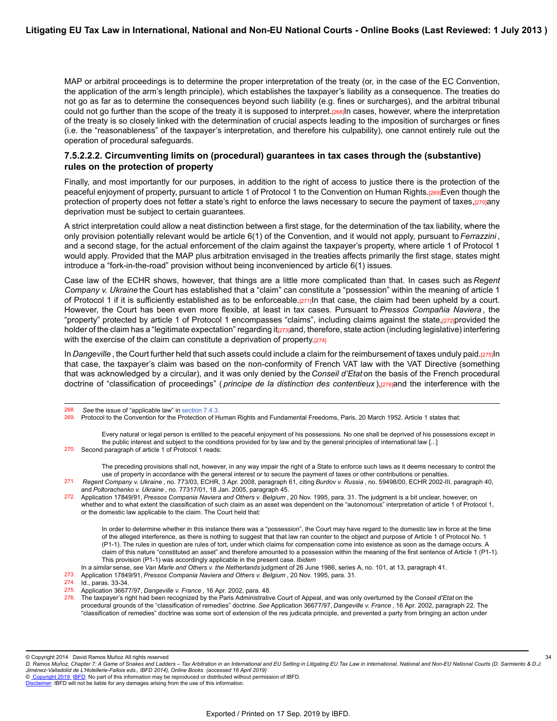MAP or arbitral proceedings is to determine the proper interpretation of the treaty (or, in the case of the EC Convention, the application of the arm's length principle), which establishes the taxpayer's liability as a consequence. The treaties do not go as far as to determine the consequences beyond such liability (e.g. fines or surcharges), and the arbitral tribunal could not go further than the scope of the treaty it is supposed to interpret.[268]In cases, however, where the interpretation of the treaty is so closely linked with the determination of crucial aspects leading to the imposition of surcharges or fines (i.e. the "reasonableness" of the taxpayer's interpretation, and therefore his culpability), one cannot entirely rule out the operation of procedural safeguards.

#### **7.5.2.2.2. Circumventing limits on (procedural) guarantees in tax cases through the (substantive) rules on the protection of property**

Finally, and most importantly for our purposes, in addition to the right of access to justice there is the protection of the peaceful enjoyment of property, pursuant to article 1 of Protocol 1 to the Convention on Human Rights.[269]Even though the protection of property does not fetter a state's right to enforce the laws necessary to secure the payment of taxes,[270]any deprivation must be subject to certain guarantees.

A strict interpretation could allow a neat distinction between a first stage, for the determination of the tax liability, where the only provision potentially relevant would be article 6(1) of the Convention, and it would not apply, pursuant to *Ferrazzini* , and a second stage, for the actual enforcement of the claim against the taxpayer's property, where article 1 of Protocol 1 would apply. Provided that the MAP plus arbitration envisaged in the treaties affects primarily the first stage, states might introduce a "fork-in-the-road" provision without being inconvenienced by article 6(1) issues.

Case law of the ECHR shows, however, that things are a little more complicated than that. In cases such as *Regent Company v. Ukraine* the Court has established that a "claim" can constitute a "possession" within the meaning of article 1 of Protocol 1 if it is sufficiently established as to be enforceable.[271]In that case, the claim had been upheld by a court. However, the Court has been even more flexible, at least in tax cases. Pursuant to *Pressos Compañia Naviera* , the "property" protected by article 1 of Protocol 1 encompasses "claims", including claims against the state,[272]provided the holder of the claim has a "legitimate expectation" regarding it<sub>[273]</sub>and, therefore, state action (including legislative) interfering with the exercise of the claim can constitute a deprivation of property.[274]

In *Dangeville* , the Court further held that such assets could include a claim for the reimbursement of taxes unduly paid.[275]In that case, the taxpayer's claim was based on the non-conformity of French VAT law with the VAT Directive (something that was acknowledged by a circular), and it was only denied by the *Conseil d'Etat* on the basis of the French procedural doctrine of "classification of proceedings" (*principe de la distinction des contentieux*),[276]and the interference with the

Every natural or legal person is entitled to the peaceful enjoyment of his possessions. No one shall be deprived of his possessions except in the public interest and subject to the conditions provided for by law and by the general principles of international law [...] 270. Second paragraph of article 1 of Protocol 1 reads:

The preceding provisions shall not, however, in any way impair the right of a State to enforce such laws as it deems necessary to control the use of property in accordance with the general interest or to secure the payment of taxes or other contributions or penalties.

272. Application 17849/91, *Pressos Compania Naviera and Others v. Belgium* , 20 Nov. 1995, para. 31. The judgment is a bit unclear, however, on whether and to what extent the classification of such claim as an asset was dependent on the "autonomous" interpretation of article 1 of Protocol 1, or the domestic law applicable to the claim. The Court held that:

In order to determine whether in this instance there was a "possession", the Court may have regard to the domestic law in force at the time of the alleged interference, as there is nothing to suggest that that law ran counter to the object and purpose of Article 1 of Protocol No. 1 (P1-1). The rules in question are rules of tort, under which claims for compensation come into existence as soon as the damage occurs. A claim of this nature "constituted an asset" and therefore amounted to a possession within the meaning of the first sentence of Article 1 (P1-1). This provision (P1-1) was accordingly applicable in the present case. *Ibidem*

In a *similar* sense, *see Van Marle and Others v. the Netherlands* judgment of 26 June 1986, series A, no. 101, at 13, paragraph 41.

273. Application 17849/91, *Pressos Compania Naviera and Others v. Belgium* , 20 Nov. 1995, para. 31.

- 275. Application 36677/97, *Dangeville v. France* , 16 Apr. 2002, para. 48.
- 276. The taxpayer's right had been recognized by the Paris Administrative Court of Appeal, and was only overturned by the *Conseil d'Etat* on the procedural grounds of the "classification of remedies" doctrine. *See* Application 36677/97, *Dangeville v. France* , 16 Apr. 2002, paragraph 22. The "classification of remedies" doctrine was some sort of extension of the res judicata principle, and prevented a party from bringing an action under

© [Copyright 2019](http://www.ibfd.org/Copyright-IBFD) [IBFD:](http://www.ibfd.org) No part of this information may be reproduced or distributed without permission of IBFD.

<sup>268.</sup> *See* the issue of "applicable law" in [section 7.4.3.](https://research.ibfd.org/#/doc?url=/linkresolver/static/letl_p04_c02_s_7.4.3.#letl_p04_c02_s_7.4.3.)

Protocol to the Convention for the Protection of Human Rights and Fundamental Freedoms, Paris, 20 March 1952. Article 1 states that:

<sup>271.</sup> *Regent Company v. Ukraine* , no. 773/03, ECHR, 3 Apr. 2008, paragraph 61, citing *Burdov v. Russia* , no. 59498/00, ECHR 2002-III, paragraph 40, and *Poltorachenko v. Ukraine* , no. 77317/01, 18 Jan. 2005, paragraph 45.

<sup>274.</sup> Id., paras. 33-34.

<sup>©</sup> Copyright 2014 David Ramos Muñoz All rights reserved

*D. Ramos Munoz, Chapter 7: A Game of Snakes and Ladders – Tax Arbitration in an International and EU Setting in Litigating EU Tax Law in International, National and Non-EU National Courts (D. Sarmiento & D.J. ̃ Jimenez-Valladolid de L'Hotellerie-Fallois eds., IBFD 2014), Online Books (accessed 16 April 2019) ́* 34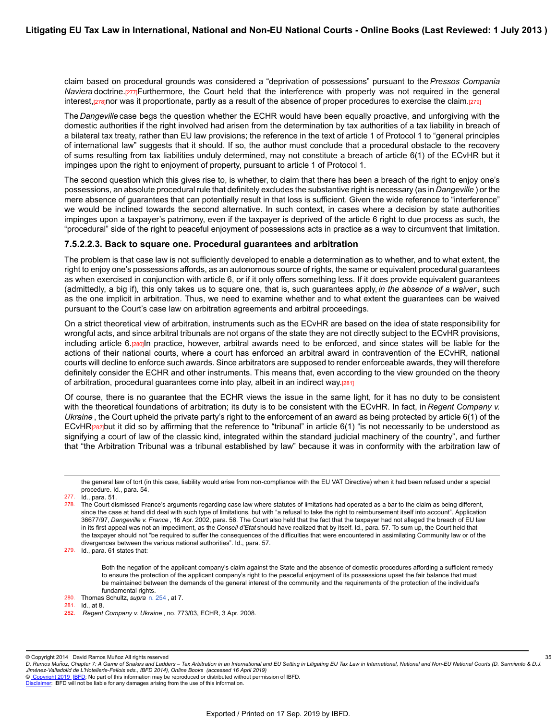claim based on procedural grounds was considered a "deprivation of possessions" pursuant to the *Pressos Compania Naviera* doctrine.[277]Furthermore, the Court held that the interference with property was not required in the general interest,[278]nor was it proportionate, partly as a result of the absence of proper procedures to exercise the claim.[279]

The *Dangeville* case begs the question whether the ECHR would have been equally proactive, and unforgiving with the domestic authorities if the right involved had arisen from the determination by tax authorities of a tax liability in breach of a bilateral tax treaty, rather than EU law provisions; the reference in the text of article 1 of Protocol 1 to "general principles of international law" suggests that it should. If so, the author must conclude that a procedural obstacle to the recovery of sums resulting from tax liabilities unduly determined, may not constitute a breach of article 6(1) of the ECvHR but it impinges upon the right to enjoyment of property, pursuant to article 1 of Protocol 1.

The second question which this gives rise to, is whether, to claim that there has been a breach of the right to enjoy one's possessions, an absolute procedural rule that definitely excludes the substantive right is necessary (as in *Dangeville* ) or the mere absence of quarantees that can potentially result in that loss is sufficient. Given the wide reference to "interference" we would be inclined towards the second alternative. In such context, in cases where a decision by state authorities impinges upon a taxpayer's patrimony, even if the taxpayer is deprived of the article 6 right to due process as such, the "procedural" side of the right to peaceful enjoyment of possessions acts in practice as a way to circumvent that limitation.

#### **7.5.2.2.3. Back to square one. Procedural guarantees and arbitration**

The problem is that case law is not sufficiently developed to enable a determination as to whether, and to what extent, the right to enjoy one's possessions affords, as an autonomous source of rights, the same or equivalent procedural guarantees as when exercised in conjunction with article 6, or if it only offers something less. If it does provide equivalent guarantees (admittedly, a big if), this only takes us to square one, that is, such guarantees apply, *in the absence of a waiver* , such as the one implicit in arbitration. Thus, we need to examine whether and to what extent the guarantees can be waived pursuant to the Court's case law on arbitration agreements and arbitral proceedings.

On a strict theoretical view of arbitration, instruments such as the ECvHR are based on the idea of state responsibility for wrongful acts, and since arbitral tribunals are not organs of the state they are not directly subject to the ECvHR provisions, including article 6.[280]In practice, however, arbitral awards need to be enforced, and since states will be liable for the actions of their national courts, where a court has enforced an arbitral award in contravention of the ECvHR, national courts will decline to enforce such awards. Since arbitrators are supposed to render enforceable awards, they will therefore definitely consider the ECHR and other instruments. This means that, even according to the view grounded on the theory of arbitration, procedural guarantees come into play, albeit in an indirect way.[281]

Of course, there is no guarantee that the ECHR views the issue in the same light, for it has no duty to be consistent with the theoretical foundations of arbitration; its duty is to be consistent with the ECvHR. In fact, in *Regent Company v. Ukraine* , the Court upheld the private party's right to the enforcement of an award as being protected by article 6(1) of the ECvHR[282]but it did so by affirming that the reference to "tribunal" in article 6(1) "is not necessarily to be understood as signifying a court of law of the classic kind, integrated within the standard judicial machinery of the country", and further that "the Arbitration Tribunal was a tribunal established by law" because it was in conformity with the arbitration law of

277. Id., para. 51.

279. Id., para. 61 states that:

Both the negation of the applicant company's claim against the State and the absence of domestic procedures affording a sufficient remedy to ensure the protection of the applicant company's right to the peaceful enjoyment of its possessions upset the fair balance that must be maintained between the demands of the general interest of the community and the requirements of the protection of the individual's fundamental rights.

35

© Copyright 2014 David Ramos Muñoz All rights reserved

the general law of tort (in this case, liability would arise from non-compliance with the EU VAT Directive) when it had been refused under a special procedure. Id., para. 54.

<sup>278.</sup> The Court dismissed France's arguments regarding case law where statutes of limitations had operated as a bar to the claim as being different, since the case at hand did deal with such type of limitations, but with "a refusal to take the right to reimbursement itself into account". Application 36677/97, *Dangeville v. France* , 16 Apr. 2002, para. 56. The Court also held that the fact that the taxpayer had not alleged the breach of EU law in its first appeal was not an impediment, as the *Conseil d'Etat* should have realized that by itself. Id., para. 57. To sum up, the Court held that the taxpayer should not "be required to suffer the consequences of the difficulties that were encountered in assimilating Community law or of the divergences between the various national authorities". Id., para. 57.

<sup>280.</sup> Thomas Schultz, *supra* [n. 254](https://research.ibfd.org/#/doc?url=/linkresolver/static/letl_p04_c02_fn_0254#letl_p04_c02_fn_0254) , at 7.

 $Id$ ., at 8.

<sup>282.</sup> *Regent Company v. Ukraine* , no. 773/03, ECHR, 3 Apr. 2008.

*D. Ramos Munoz, Chapter 7: A Game of Snakes and Ladders – Tax Arbitration in an International and EU Setting in Litigating EU Tax Law in International, National and Non-EU National Courts (D. Sarmiento & D.J. ̃ Jimenez-Valladolid de L'Hotellerie-Fallois eds., IBFD 2014), Online Books (accessed 16 April 2019) ́*

[Disclaimer](http://www.ibfd.org/Disclaimer): IBFD will not be liable for any damages arising from the use of this information.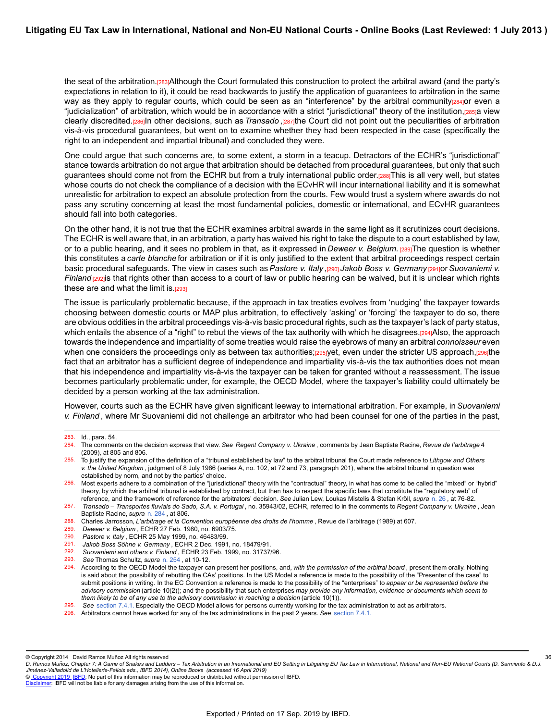the seat of the arbitration.[283]Although the Court formulated this construction to protect the arbitral award (and the party's expectations in relation to it), it could be read backwards to justify the application of guarantees to arbitration in the same way as they apply to regular courts, which could be seen as an "interference" by the arbitral community[284]or even a "judicialization" of arbitration, which would be in accordance with a strict "jurisdictional" theory of the institution,[285]a view clearly discredited.[286]In other decisions, such as *Transado* ,[287]the Court did not point out the peculiarities of arbitration vis-à-vis procedural guarantees, but went on to examine whether they had been respected in the case (specifically the right to an independent and impartial tribunal) and concluded they were.

One could argue that such concerns are, to some extent, a storm in a teacup. Detractors of the ECHR's "jurisdictional" stance towards arbitration do not argue that arbitration should be detached from procedural guarantees, but only that such guarantees should come not from the ECHR but from a truly international public order.[288]This is all very well, but states whose courts do not check the compliance of a decision with the ECvHR will incur international liability and it is somewhat unrealistic for arbitration to expect an absolute protection from the courts. Few would trust a system where awards do not pass any scrutiny concerning at least the most fundamental policies, domestic or international, and ECvHR guarantees should fall into both categories.

On the other hand, it is not true that the ECHR examines arbitral awards in the same light as it scrutinizes court decisions. The ECHR is well aware that, in an arbitration, a party has waived his right to take the dispute to a court established by law, or to a public hearing, and it sees no problem in that, as it expressed in *Deweer v. Belgium.* [289]The question is whether this constitutes a *carte blanche* for arbitration or if it is only justified to the extent that arbitral proceedings respect certain basic procedural safeguards. The view in cases such as *Pastore v. Italy* ,[290] *Jakob Boss v. Germany* [291]or *Suovaniemi v. Finland* [292] is that rights other than access to a court of law or public hearing can be waived, but it is unclear which rights these are and what the limit is. $[293]$ 

The issue is particularly problematic because, if the approach in tax treaties evolves from 'nudging' the taxpayer towards choosing between domestic courts or MAP plus arbitration, to effectively 'asking' or 'forcing' the taxpayer to do so, there are obvious oddities in the arbitral proceedings vis-à-vis basic procedural rights, such as the taxpayer's lack of party status, which entails the absence of a "right" to rebut the views of the tax authority with which he disagrees.[294]Also, the approach towards the independence and impartiality of some treaties would raise the eyebrows of many an arbitral *connoisseur* even when one considers the proceedings only as between tax authorities;[295]yet, even under the stricter US approach,[296]the fact that an arbitrator has a sufficient degree of independence and impartiality vis-à-vis the tax authorities does not mean that his independence and impartiality vis-à-vis the taxpayer can be taken for granted without a reassessment. The issue becomes particularly problematic under, for example, the OECD Model, where the taxpayer's liability could ultimately be decided by a person working at the tax administration.

However, courts such as the ECHR have given significant leeway to international arbitration. For example, in*Suovaniemi v. Finland* , where Mr Suovaniemi did not challenge an arbitrator who had been counsel for one of the parties in the past,

285. To justify the expansion of the definition of a "tribunal established by law" to the arbitral tribunal the Court made reference to *Lithgow and Others v. the United Kingdom* , judgment of 8 July 1986 (series A, no. 102, at 72 and 73, paragraph 201), where the arbitral tribunal in question was established by norm, and not by the parties' choice.

36

<sup>283.</sup> Id., para. 54.<br>284. The commer

<sup>284.</sup> The comments on the decision express that view. *See Regent Company v. Ukraine* , comments by Jean Baptiste Racine, *Revue de l'arbitrage* 4 (2009), at 805 and 806.

<sup>286.</sup> Most experts adhere to a combination of the "jurisdictional" theory with the "contractual" theory, in what has come to be called the "mixed" or "hybrid" theory, by which the arbitral tribunal is established by contract, but then has to respect the specific laws that constitute the "regulatory web" of reference, and the framework of reference for the arbitrators' decision. *See* Julian Lew, Loukas Mistelis & Stefan Kröll, *supra* [n. 26](https://research.ibfd.org/#/doc?url=/linkresolver/static/letl_p04_c02_fn_0026#letl_p04_c02_fn_0026) , at 76-82.

<sup>287.</sup> *Transado – Transportes fluviais do Sado, S.A. v. Portugal* , no. 35943/02, ECHR, referred to in the comments to *Regent Company v. Ukraine* , Jean Baptiste Racine, *supra* [n. 284](https://research.ibfd.org/#/doc?url=/linkresolver/static/letl_p04_c02_fn_0284#letl_p04_c02_fn_0284) , at 806.

<sup>288.</sup> Charles Jarrosson, *L'arbitrage et la Convention européenne des droits de l'homme* , Revue de l'arbitrage (1989) at 607.

<sup>289.</sup> *Deweer v. Belgium* , ECHR 27 Feb. 1980, no. 6903/75.

<sup>290.</sup> *Pastore v. Italy* , ECHR 25 May 1999, no. 46483/99.

<sup>291.</sup> *Jakob Boss Söhne v. Germany* , ECHR 2 Dec. 1991, no. 18479/91.

Suovaniemi and others v. Finland, ECHR 23 Feb. 1999, no. 31737/96.

<sup>293.</sup> *See* Thomas Schultz, *supra* [n. 254](https://research.ibfd.org/#/doc?url=/linkresolver/static/letl_p04_c02_fn_0254#letl_p04_c02_fn_0254) , at 10-12.

<sup>294.</sup> According to the OECD Model the taxpayer can present her positions, and, *with the permission of the arbitral board* , present them orally. Nothing is said about the possibility of rebutting the CAs' positions. In the US Model a reference is made to the possibility of the "Presenter of the case" to submit positions in writing. In the EC Convention a reference is made to the possibility of the "enterprises" to *appear or be represented before the advisory commission* (article 10(2)); and the possibility that such enterprises *may provide any information, evidence or documents which seem to them likely to be of any use to the advisory commission in reaching a decision* (article 10(1)).

<sup>295.</sup> *See* [section 7.4.1.](https://research.ibfd.org/#/doc?url=/linkresolver/static/letl_p04_c02_s_7.4.1.#letl_p04_c02_s_7.4.1.) Especially the OECD Model allows for persons currently working for the tax administration to act as arbitrators.

<sup>296.</sup> Arbitrators cannot have worked for any of the tax administrations in the past 2 years. *See* [section 7.4.1.](https://research.ibfd.org/#/doc?url=/linkresolver/static/letl_p04_c02_s_7.4.1.#letl_p04_c02_s_7.4.1.)

<sup>©</sup> Copyright 2014 David Ramos Muñoz All rights reserved

*D. Ramos Munoz, Chapter 7: A Game of Snakes and Ladders – Tax Arbitration in an International and EU Setting in Litigating EU Tax Law in International, National and Non-EU National Courts (D. Sarmiento & D.J. ̃ Jimenez-Valladolid de L'Hotellerie-Fallois eds., IBFD 2014), Online Books (accessed 16 April 2019) ́*

[Disclaimer](http://www.ibfd.org/Disclaimer): IBFD will not be liable for any damages arising from the use of this information.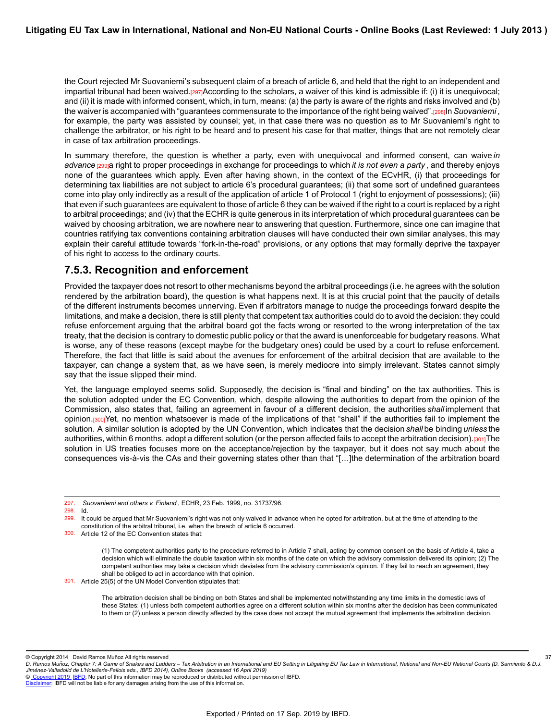the Court rejected Mr Suovaniemi's subsequent claim of a breach of article 6, and held that the right to an independent and impartial tribunal had been waived.<sup>[297]</sup>According to the scholars, a waiver of this kind is admissible if: (i) it is unequivocal; and (ii) it is made with informed consent, which, in turn, means: (a) the party is aware of the rights and risks involved and (b) the waiver is accompanied with "guarantees commensurate to the importance of the right being waived".<sub>[298]</sub>In *Suovaniemi*, for example, the party was assisted by counsel; yet, in that case there was no question as to Mr Suovaniemi's right to challenge the arbitrator, or his right to be heard and to present his case for that matter, things that are not remotely clear in case of tax arbitration proceedings.

In summary therefore, the question is whether a party, even with unequivocal and informed consent, can waive *in advance* [299]a right to proper proceedings in exchange for proceedings to which *it is not even a party* , and thereby enjoys none of the guarantees which apply. Even after having shown, in the context of the ECvHR, (i) that proceedings for determining tax liabilities are not subject to article 6's procedural guarantees; (ii) that some sort of undefined guarantees come into play only indirectly as a result of the application of article 1 of Protocol 1 (right to enjoyment of possessions); (iii) that even if such guarantees are equivalent to those of article 6 they can be waived if the right to a court is replaced by a right to arbitral proceedings; and (iv) that the ECHR is quite generous in its interpretation of which procedural guarantees can be waived by choosing arbitration, we are nowhere near to answering that question. Furthermore, since one can imagine that countries ratifying tax conventions containing arbitration clauses will have conducted their own similar analyses, this may explain their careful attitude towards "fork-in-the-road" provisions, or any options that may formally deprive the taxpayer of his right to access to the ordinary courts.

### **7.5.3. Recognition and enforcement**

Provided the taxpayer does not resort to other mechanisms beyond the arbitral proceedings (i.e. he agrees with the solution rendered by the arbitration board), the question is what happens next. It is at this crucial point that the paucity of details of the different instruments becomes unnerving. Even if arbitrators manage to nudge the proceedings forward despite the limitations, and make a decision, there is still plenty that competent tax authorities could do to avoid the decision: they could refuse enforcement arguing that the arbitral board got the facts wrong or resorted to the wrong interpretation of the tax treaty, that the decision is contrary to domestic public policy or that the award is unenforceable for budgetary reasons. What is worse, any of these reasons (except maybe for the budgetary ones) could be used by a court to refuse enforcement. Therefore, the fact that little is said about the avenues for enforcement of the arbitral decision that are available to the taxpayer, can change a system that, as we have seen, is merely mediocre into simply irrelevant. States cannot simply say that the issue slipped their mind.

Yet, the language employed seems solid. Supposedly, the decision is "final and binding" on the tax authorities. This is the solution adopted under the EC Convention, which, despite allowing the authorities to depart from the opinion of the Commission, also states that, failing an agreement in favour of a different decision, the authorities *shall* implement that opinion.[300]Yet, no mention whatsoever is made of the implications of that "shall" if the authorities fail to implement the solution. A similar solution is adopted by the UN Convention, which indicates that the decision *shall* be binding *unless* the authorities, within 6 months, adopt a different solution (or the person affected fails to accept the arbitration decision).[301]The solution in US treaties focuses more on the acceptance/rejection by the taxpayer, but it does not say much about the consequences vis-à-vis the CAs and their governing states other than that "[…]the determination of the arbitration board

(1) The competent authorities party to the procedure referred to in Article 7 shall, acting by common consent on the basis of Article 4, take a decision which will eliminate the double taxation within six months of the date on which the advisory commission delivered its opinion; (2) The competent authorities may take a decision which deviates from the advisory commission's opinion. If they fail to reach an agreement, they shall be obliged to act in accordance with that opinion.

301. Article 25(5) of the UN Model Convention stipulates that:

<sup>297.</sup> *Suovaniemi and others v. Finland* , ECHR, 23 Feb. 1999, no. 31737/96.

 $298.$  Id.<br> $299.$  It of

It could be argued that Mr Suovaniemi's right was not only waived in advance when he opted for arbitration, but at the time of attending to the constitution of the arbitral tribunal, i.e. when the breach of article 6 occurred.

<sup>300.</sup> Article 12 of the EC Convention states that:

The arbitration decision shall be binding on both States and shall be implemented notwithstanding any time limits in the domestic laws of these States: (1) unless both competent authorities agree on a different solution within six months after the decision has been communicated to them or (2) unless a person directly affected by the case does not accept the mutual agreement that implements the arbitration decision.

<sup>©</sup> Copyright 2014 David Ramos Muñoz All rights reserved

*D. Ramos Munoz, Chapter 7: A Game of Snakes and Ladders – Tax Arbitration in an International and EU Setting in Litigating EU Tax Law in International, National and Non-EU National Courts (D. Sarmiento & D.J. ̃ Jimenez-Valladolid de L'Hotellerie-Fallois eds., IBFD 2014), Online Books (accessed 16 April 2019) ́*

<sup>©</sup> [Copyright 2019](http://www.ibfd.org/Copyright-IBFD) [IBFD:](http://www.ibfd.org) No part of this information may be reproduced or distributed without permission of IBFD.

[Disclaimer](http://www.ibfd.org/Disclaimer): IBFD will not be liable for any damages arising from the use of this information.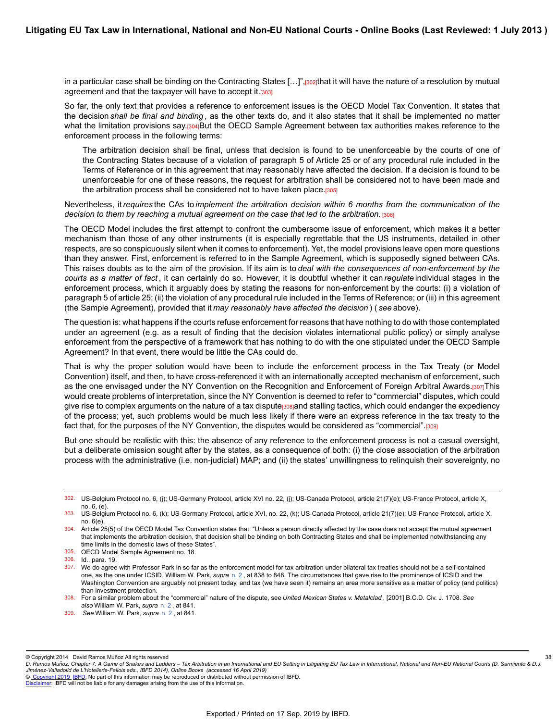in a particular case shall be binding on the Contracting States […]",[302]that it will have the nature of a resolution by mutual agreement and that the taxpayer will have to accept it.[303]

So far, the only text that provides a reference to enforcement issues is the OECD Model Tax Convention. It states that the decision *shall be final and binding* , as the other texts do, and it also states that it shall be implemented no matter what the limitation provisions say.[304]But the OECD Sample Agreement between tax authorities makes reference to the enforcement process in the following terms:

The arbitration decision shall be final, unless that decision is found to be unenforceable by the courts of one of the Contracting States because of a violation of paragraph 5 of Article 25 or of any procedural rule included in the Terms of Reference or in this agreement that may reasonably have affected the decision. If a decision is found to be unenforceable for one of these reasons, the request for arbitration shall be considered not to have been made and the arbitration process shall be considered not to have taken place.[305]

Nevertheless, it *requires* the CAs to *implement the arbitration decision within 6 months from the communication of the decision to them by reaching a mutual agreement on the case that led to the arbitration.* [306]

The OECD Model includes the first attempt to confront the cumbersome issue of enforcement, which makes it a better mechanism than those of any other instruments (it is especially regrettable that the US instruments, detailed in other respects, are so conspicuously silent when it comes to enforcement). Yet, the model provisions leave open more questions than they answer. First, enforcement is referred to in the Sample Agreement, which is supposedly signed between CAs. This raises doubts as to the aim of the provision. If its aim is to *deal with the consequences of non-enforcement by the courts as a matter of fact* , it can certainly do so. However, it is doubtful whether it can *regulate* individual stages in the enforcement process, which it arguably does by stating the reasons for non-enforcement by the courts: (i) a violation of paragraph 5 of article 25; (ii) the violation of any procedural rule included in the Terms of Reference; or (iii) in this agreement (the Sample Agreement), provided that it *may reasonably have affected the decision* ) ( *see* above).

The question is: what happens if the courts refuse enforcement for reasons that have nothing to do with those contemplated under an agreement (e.g. as a result of finding that the decision violates international public policy) or simply analyse enforcement from the perspective of a framework that has nothing to do with the one stipulated under the OECD Sample Agreement? In that event, there would be little the CAs could do.

That is why the proper solution would have been to include the enforcement process in the Tax Treaty (or Model Convention) itself, and then, to have cross-referenced it with an internationally accepted mechanism of enforcement, such as the one envisaged under the NY Convention on the Recognition and Enforcement of Foreign Arbitral Awards.[307]This would create problems of interpretation, since the NY Convention is deemed to refer to "commercial" disputes, which could give rise to complex arguments on the nature of a tax dispute<sup>[308]</sup>and stalling tactics, which could endanger the expediency of the process; yet, such problems would be much less likely if there were an express reference in the tax treaty to the fact that, for the purposes of the NY Convention, the disputes would be considered as "commercial".[309]

But one should be realistic with this: the absence of any reference to the enforcement process is not a casual oversight, but a deliberate omission sought after by the states, as a consequence of both: (i) the close association of the arbitration process with the administrative (i.e. non-judicial) MAP; and (ii) the states' unwillingness to relinquish their sovereignty, no

309. *See* William W. Park, *supra* [n. 2](https://research.ibfd.org/#/doc?url=/linkresolver/static/letl_p04_c02_fn_0002#letl_p04_c02_fn_0002) , at 841.

38

© [Copyright 2019](http://www.ibfd.org/Copyright-IBFD) [IBFD:](http://www.ibfd.org) No part of this information may be reproduced or distributed without permission of IBFD.

<sup>302.</sup> US-Belgium Protocol no. 6, (j); US-Germany Protocol, article XVI no. 22, (j); US-Canada Protocol, article 21(7)(e); US-France Protocol, article X, no. 6, (e).

<sup>303.</sup> US-Belgium Protocol no. 6, (k); US-Germany Protocol, article XVI, no. 22, (k); US-Canada Protocol, article 21(7)(e); US-France Protocol, article X, no. 6(e).

<sup>304.</sup> Article 25(5) of the OECD Model Tax Convention states that: "Unless a person directly affected by the case does not accept the mutual agreement that implements the arbitration decision, that decision shall be binding on both Contracting States and shall be implemented notwithstanding any time limits in the domestic laws of these States".

<sup>305.</sup> OECD Model Sample Agreement no. 18.

<sup>306.</sup> Id., para. 19.

<sup>307.</sup> We do agree with Professor Park in so far as the enforcement model for tax arbitration under bilateral tax treaties should not be a self-contained one, as the one under ICSID. William W. Park, *supra* [n. 2](https://research.ibfd.org/#/doc?url=/linkresolver/static/letl_p04_c02_fn_0002#letl_p04_c02_fn_0002) , at 838 to 848. The circumstances that gave rise to the prominence of ICSID and the Washington Convention are arguably not present today, and tax (we have seen it) remains an area more sensitive as a matter of policy (and politics) than investment protection.

<sup>308.</sup> For a similar problem about the "commercial" nature of the dispute, see *United Mexican States v. Metalclad* , [2001] B.C.D. Civ. J. 1708. *See also* William W. Park, *supra* [n. 2](https://research.ibfd.org/#/doc?url=/linkresolver/static/letl_p04_c02_fn_0002#letl_p04_c02_fn_0002) , at 841.

<sup>©</sup> Copyright 2014 David Ramos Muñoz All rights reserved

*D. Ramos Munoz, Chapter 7: A Game of Snakes and Ladders – Tax Arbitration in an International and EU Setting in Litigating EU Tax Law in International, National and Non-EU National Courts (D. Sarmiento & D.J. ̃ Jimenez-Valladolid de L'Hotellerie-Fallois eds., IBFD 2014), Online Books (accessed 16 April 2019) ́*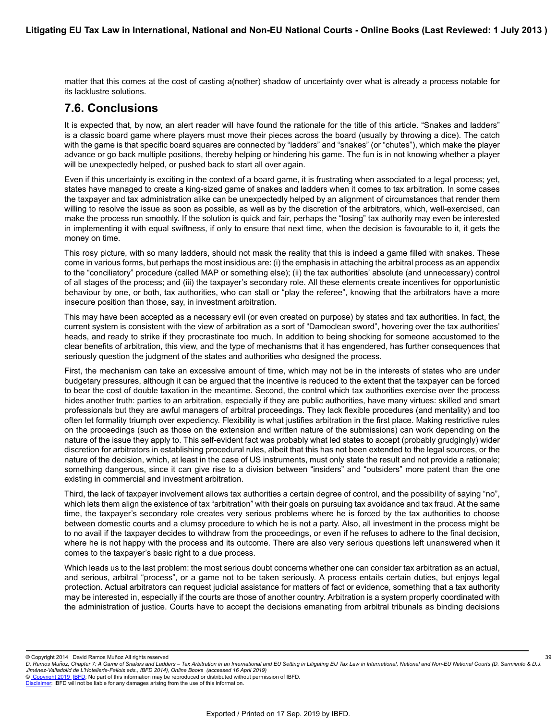matter that this comes at the cost of casting a(nother) shadow of uncertainty over what is already a process notable for its lacklustre solutions.

## **7.6. Conclusions**

It is expected that, by now, an alert reader will have found the rationale for the title of this article. "Snakes and ladders" is a classic board game where players must move their pieces across the board (usually by throwing a dice). The catch with the game is that specific board squares are connected by "ladders" and "snakes" (or "chutes"), which make the player advance or go back multiple positions, thereby helping or hindering his game. The fun is in not knowing whether a player will be unexpectedly helped, or pushed back to start all over again.

Even if this uncertainty is exciting in the context of a board game, it is frustrating when associated to a legal process; yet, states have managed to create a king-sized game of snakes and ladders when it comes to tax arbitration. In some cases the taxpayer and tax administration alike can be unexpectedly helped by an alignment of circumstances that render them willing to resolve the issue as soon as possible, as well as by the discretion of the arbitrators, which, well-exercised, can make the process run smoothly. If the solution is quick and fair, perhaps the "losing" tax authority may even be interested in implementing it with equal swiftness, if only to ensure that next time, when the decision is favourable to it, it gets the money on time.

This rosy picture, with so many ladders, should not mask the reality that this is indeed a game filled with snakes. These come in various forms, but perhaps the most insidious are: (i) the emphasis in attaching the arbitral process as an appendix to the "conciliatory" procedure (called MAP or something else); (ii) the tax authorities' absolute (and unnecessary) control of all stages of the process; and (iii) the taxpayer's secondary role. All these elements create incentives for opportunistic behaviour by one, or both, tax authorities, who can stall or "play the referee", knowing that the arbitrators have a more insecure position than those, say, in investment arbitration.

This may have been accepted as a necessary evil (or even created on purpose) by states and tax authorities. In fact, the current system is consistent with the view of arbitration as a sort of "Damoclean sword", hovering over the tax authorities' heads, and ready to strike if they procrastinate too much. In addition to being shocking for someone accustomed to the clear benefits of arbitration, this view, and the type of mechanisms that it has engendered, has further consequences that seriously question the judgment of the states and authorities who designed the process.

First, the mechanism can take an excessive amount of time, which may not be in the interests of states who are under budgetary pressures, although it can be argued that the incentive is reduced to the extent that the taxpayer can be forced to bear the cost of double taxation in the meantime. Second, the control which tax authorities exercise over the process hides another truth: parties to an arbitration, especially if they are public authorities, have many virtues: skilled and smart professionals but they are awful managers of arbitral proceedings. They lack flexible procedures (and mentality) and too often let formality triumph over expediency. Flexibility is what justifies arbitration in the first place. Making restrictive rules on the proceedings (such as those on the extension and written nature of the submissions) can work depending on the nature of the issue they apply to. This self-evident fact was probably what led states to accept (probably grudgingly) wider discretion for arbitrators in establishing procedural rules, albeit that this has not been extended to the legal sources, or the nature of the decision, which, at least in the case of US instruments, must only state the result and not provide a rationale; something dangerous, since it can give rise to a division between "insiders" and "outsiders" more patent than the one existing in commercial and investment arbitration.

Third, the lack of taxpayer involvement allows tax authorities a certain degree of control, and the possibility of saying "no", which lets them align the existence of tax "arbitration" with their goals on pursuing tax avoidance and tax fraud. At the same time, the taxpayer's secondary role creates very serious problems where he is forced by the tax authorities to choose between domestic courts and a clumsy procedure to which he is not a party. Also, all investment in the process might be to no avail if the taxpayer decides to withdraw from the proceedings, or even if he refuses to adhere to the final decision, where he is not happy with the process and its outcome. There are also very serious questions left unanswered when it comes to the taxpayer's basic right to a due process.

Which leads us to the last problem: the most serious doubt concerns whether one can consider tax arbitration as an actual, and serious, arbitral "process", or a game not to be taken seriously. A process entails certain duties, but enjoys legal protection. Actual arbitrators can request judicial assistance for matters of fact or evidence, something that a tax authority may be interested in, especially if the courts are those of another country. Arbitration is a system properly coordinated with the administration of justice. Courts have to accept the decisions emanating from arbitral tribunals as binding decisions

© Copyright 2014 David Ramos Muñoz All rights reserved

*D. Ramos Munoz, Chapter 7: A Game of Snakes and Ladders – Tax Arbitration in an International and EU Setting in Litigating EU Tax Law in International, National and Non-EU National Courts (D. Sarmiento & D.J. ̃ Jimenez-Valladolid de L'Hotellerie-Fallois eds., IBFD 2014), Online Books (accessed 16 April 2019) ́* 39

<sup>©</sup> [Copyright 2019](http://www.ibfd.org/Copyright-IBFD) [IBFD:](http://www.ibfd.org) No part of this information may be reproduced or distributed without permission of IBFD.

[Disclaimer](http://www.ibfd.org/Disclaimer): IBFD will not be liable for any damages arising from the use of this information.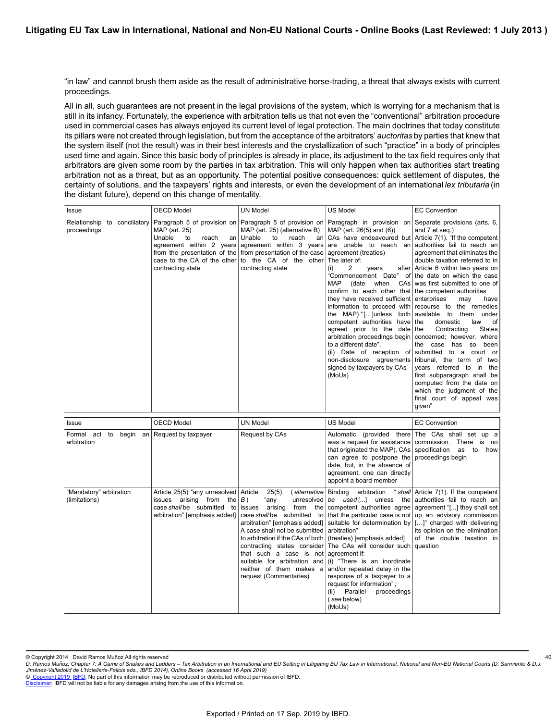"in law" and cannot brush them aside as the result of administrative horse-trading, a threat that always exists with current proceedings.

All in all, such guarantees are not present in the legal provisions of the system, which is worrying for a mechanism that is still in its infancy. Fortunately, the experience with arbitration tells us that not even the "conventional" arbitration procedure used in commercial cases has always enjoyed its current level of legal protection. The main doctrines that today constitute its pillars were not created through legislation, but from the acceptance of the arbitrators' *auctoritas* by parties that knew that the system itself (not the result) was in their best interests and the crystallization of such "practice" in a body of principles used time and again. Since this basic body of principles is already in place, its adjustment to the tax field requires only that arbitrators are given some room by the parties in tax arbitration. This will only happen when tax authorities start treating arbitration not as a threat, but as an opportunity. The potential positive consequences: quick settlement of disputes, the certainty of solutions, and the taxpayers' rights and interests, or even the development of an international *lex tributaria* (in the distant future), depend on this change of mentality.

| Issue                                       | <b>OECD Model</b>                                                                                                                       | <b>UN Model</b>                                                                                                                                                                                                                              | <b>US Model</b>                                                                                                                                                                                                                                                                                                                                                                                                                                                                                                                                                                                                                                                                                              | <b>EC Convention</b>                                                                                                                                                                                                                                                                                                                                                                                                                                                                                                                                                                                                                                                      |
|---------------------------------------------|-----------------------------------------------------------------------------------------------------------------------------------------|----------------------------------------------------------------------------------------------------------------------------------------------------------------------------------------------------------------------------------------------|--------------------------------------------------------------------------------------------------------------------------------------------------------------------------------------------------------------------------------------------------------------------------------------------------------------------------------------------------------------------------------------------------------------------------------------------------------------------------------------------------------------------------------------------------------------------------------------------------------------------------------------------------------------------------------------------------------------|---------------------------------------------------------------------------------------------------------------------------------------------------------------------------------------------------------------------------------------------------------------------------------------------------------------------------------------------------------------------------------------------------------------------------------------------------------------------------------------------------------------------------------------------------------------------------------------------------------------------------------------------------------------------------|
| Relationship to conciliatory<br>proceedings | MAP (art. 25)<br>Unable<br>to<br>reach<br>an  <br>agreement within 2 years<br>case to the CA of the other<br>contracting state          | MAP (art. 25) (alternative B)<br>Unable<br>to<br>reach<br>from the presentation of the from presentation of the case agreement (treaties)<br>to the CA of the other<br>contracting state                                                     | Paragraph 5 of provision on Paragraph 5 of provision on Paragraph in provision on Separate provisions (arts. 6,<br>MAP (art. 26(5) and (6))<br>an $ $ CAs have endeavoured but Article 7(1). "If the competent<br>agreement within 3 years are unable to reach an authorities fail to reach an<br>The later of:<br>(i)<br>2<br>years<br>(date<br>MAP.<br>when<br>confirm to each other that the competent authorities<br>they have received sufficient enterprises<br>the MAP) "[] unless both available to<br>competent authorities have the<br>agreed prior to the date the<br>arbitration proceedings begin<br>to a different date".<br>(ii) Date of reception of<br>signed by taxpayers by CAs<br>(MoUs) | and 7 et seq.)<br>agreement that eliminates the<br>double taxation referred to in<br>after Article 6 within two years on<br>"Commencement Date" of the date on which the case<br>CAs was first submitted to one of<br>may<br>have<br>information to proceed with recourse to the remedies<br>them under<br>law<br>of<br>domestic<br>Contracting<br><b>States</b><br>concerned; however, where<br>the case<br>has so<br>been<br>submitted to a court or<br>non-disclosure agreements tribunal, the term of two<br>years referred to in the<br>first subparagraph shall be<br>computed from the date on<br>which the judgment of the<br>final court of appeal was<br>qiven" |
| Issue                                       | <b>OECD Model</b>                                                                                                                       | <b>UN Model</b>                                                                                                                                                                                                                              | <b>US Model</b>                                                                                                                                                                                                                                                                                                                                                                                                                                                                                                                                                                                                                                                                                              | <b>EC Convention</b>                                                                                                                                                                                                                                                                                                                                                                                                                                                                                                                                                                                                                                                      |
| Formal act to<br>begin an<br>arbitration    | Request by taxpayer                                                                                                                     | Request by CAs                                                                                                                                                                                                                               | was a request for assistance<br>that originated the MAP). CAs<br>can agree to postpone the<br>date, but, in the absence of<br>agreement, one can directly<br>appoint a board member                                                                                                                                                                                                                                                                                                                                                                                                                                                                                                                          | Automatic (provided there The CAs shall set up a<br>commission. There is no<br>specification<br>as<br>to<br>how<br>proceedings begin                                                                                                                                                                                                                                                                                                                                                                                                                                                                                                                                      |
| "Mandatory" arbitration<br>(limitations)    | Article 25(5) "any unresolved   Article<br>issues arising<br>from<br>the<br>case shall be submitted to<br>arbitration" [emphasis added] | 25(5)<br>B)<br>"any<br>unresolved<br>issues arising from<br>A case shall not be submitted arbitration"<br>to arbitration if the CAs of both   (treaties) [emphasis added]<br>that such a case is not agreement if:<br>request (Commentaries) | (alternative   Binding arbitration<br>the competent authorities agree agreement "[] they shall set<br>case shall be submitted to that the particular case is not up an advisory commission<br>arbitration" [emphasis added] suitable for determination by $\vert$ []" charged with delivering<br>contracting states consider The CAs will consider such question<br>suitable for arbitration and $(i)$ "There is an inordinate<br>neither of them makes $a  $ and/or repeated delay in the<br>response of a taxpayer to a<br>request for information":<br>Parallel<br>(ii)<br>proceedings<br>(see below)<br>(MoUs)                                                                                           | " shall Article 7(1). If the competent<br>be $used$ [] unless the authorities fail to reach an<br>its opinion on the elimination<br>of the double taxation in                                                                                                                                                                                                                                                                                                                                                                                                                                                                                                             |

40

*D. Ramos Munoz, Chapter 7: A Game of Snakes and Ladders – Tax Arbitration in an International and EU Setting in Litigating EU Tax Law in International, National and Non-EU National Courts (D. Sarmiento & D.J. ̃ Jimenez-Valladolid de L'Hotellerie-Fallois eds., IBFD 2014), Online Books (accessed 16 April 2019) ́*

[Disclaimer](http://www.ibfd.org/Disclaimer): IBFD will not be liable for any damages arising from the use of this information.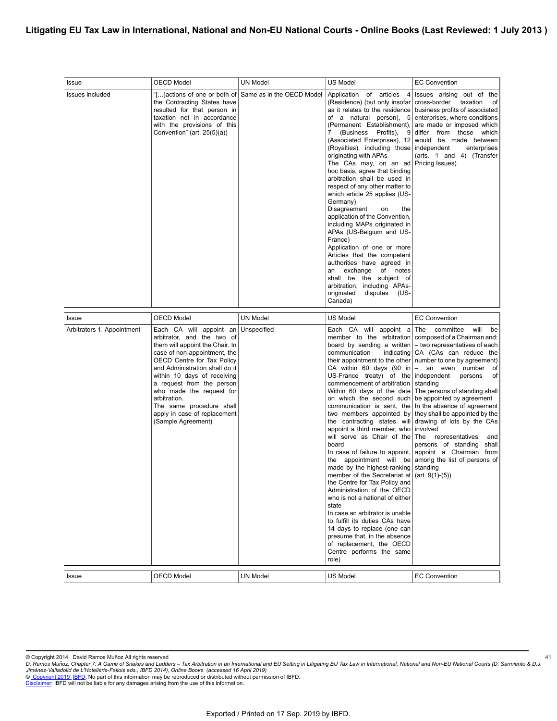### **Litigating EU Tax Law in International, National and Non-EU National Courts - Online Books (Last Reviewed: 1 July 2013 )**

| Issue                      | <b>OECD Model</b>                                                                                                                                                                                                                                                                                                                                                                              | <b>UN Model</b> | US Model                                                                                                                                                                                                                                                                                                                                                                                                                                                                                                                                                                                                                                                                                                                                                                        | <b>EC Convention</b>                                                                                                                                                                                                                                                                                                                                                                                                                                                                                                                                                                                                                                            |
|----------------------------|------------------------------------------------------------------------------------------------------------------------------------------------------------------------------------------------------------------------------------------------------------------------------------------------------------------------------------------------------------------------------------------------|-----------------|---------------------------------------------------------------------------------------------------------------------------------------------------------------------------------------------------------------------------------------------------------------------------------------------------------------------------------------------------------------------------------------------------------------------------------------------------------------------------------------------------------------------------------------------------------------------------------------------------------------------------------------------------------------------------------------------------------------------------------------------------------------------------------|-----------------------------------------------------------------------------------------------------------------------------------------------------------------------------------------------------------------------------------------------------------------------------------------------------------------------------------------------------------------------------------------------------------------------------------------------------------------------------------------------------------------------------------------------------------------------------------------------------------------------------------------------------------------|
| Issues included            | "[]actions of one or both of Same as in the OECD Model<br>the Contracting States have<br>resulted for that person in<br>taxation not in accordance<br>with the provisions of this<br>Convention" (art. $25(5)(a)$ )                                                                                                                                                                            |                 | Application of articles 4<br>(Residence) (but only insofar<br>of a natural person), 5<br>(Permanent Establishment),<br>7 (Business Profits), 9<br>(Associated Enterprises), 12<br>(Royalties), including those<br>originating with APAs<br>The CAs may, on an ad<br>hoc basis, agree that binding<br>arbitration shall be used in<br>respect of any other matter to<br>which article 25 applies (US-<br>Germany)<br>Disagreement<br>the<br>on<br>application of the Convention,<br>including MAPs originated in<br>APAs (US-Belgium and US-<br>France)<br>Application of one or more<br>Articles that the competent<br>authorities have agreed in<br>an exchange of notes<br>shall be the subject of<br>arbitration, including APAs-<br>originated<br>disputes (US-<br>Canada)  | Issues arising out of the<br>cross-border<br>taxation<br>of<br>as it relates to the residence business profits of associated<br>enterprises, where conditions<br>are made or imposed which<br>differ from those which<br>would be made between<br>independent<br>enterprises<br>(arts. 1 and 4) (Transfer<br>Pricing Issues)                                                                                                                                                                                                                                                                                                                                    |
| <b>Issue</b>               | <b>OECD Model</b>                                                                                                                                                                                                                                                                                                                                                                              | <b>UN Model</b> | <b>US Model</b>                                                                                                                                                                                                                                                                                                                                                                                                                                                                                                                                                                                                                                                                                                                                                                 | <b>EC Convention</b>                                                                                                                                                                                                                                                                                                                                                                                                                                                                                                                                                                                                                                            |
| Arbitrators 1. Appointment | Each CA will appoint an Unspecified<br>arbitrator, and the two of<br>them will appoint the Chair. In<br>case of non-appointment, the<br>OECD Centre for Tax Policy<br>and Administration shall do it<br>within 10 days of receiving<br>a request from the person<br>who made the request for<br>arbitration.<br>The same procedure shall<br>apply in case of replacement<br>(Sample Agreement) |                 | Each CA will appoint a<br>member to the arbitration<br>board by sending a written<br>communication<br>CA within 60 days (90 in<br>US-France treaty) of the independent<br>commencement of arbitration<br>Within 60 days of the date<br>on which the second such<br>communication is sent, the<br>appoint a third member, who<br>will serve as Chair of the<br>board<br>made by the highest-ranking standing<br>member of the Secretariat at $ $ (art. 9(1)-(5))<br>the Centre for Tax Policy and<br>Administration of the OECD<br>who is not a national of either<br>state<br>In case an arbitrator is unable<br>to fulfill its duties CAs have<br>14 days to replace (one can<br>presume that, in the absence<br>of replacement, the OECD<br>Centre performs the same<br>role) | The committee will<br>be<br>composed of a Chairman and:<br>- two representatives of each<br>indicating CA (CAs can reduce the<br>their appointment to the other   number to one by agreement)<br>- an even number<br>of<br>persons<br>of<br>standing<br>The persons of standing shall<br>be appointed by agreement<br>In the absence of agreement<br>two members appointed by they shall be appointed by the<br>the contracting states will drawing of lots by the CAs<br>involved<br>The representatives<br>and<br>persons of standing shall<br>In case of failure to appoint, appoint a Chairman from<br>the appointment will be among the list of persons of |
| Issue                      | <b>OECD Model</b>                                                                                                                                                                                                                                                                                                                                                                              | <b>UN Model</b> | <b>US Model</b>                                                                                                                                                                                                                                                                                                                                                                                                                                                                                                                                                                                                                                                                                                                                                                 | <b>EC Convention</b>                                                                                                                                                                                                                                                                                                                                                                                                                                                                                                                                                                                                                                            |

<sup>©</sup> Copyright 2014 David Ramos Muñoz All rights reserved<br>D. Ramos Muñoz, Chapter 7: A Game of Snakes and Ladders – Tax Arbitration in an International and Ligating EU Tax Law in International, National and Non-EU National Co *Jiménez-Valladolid de L'Hotellerie-Fallois eds., IBFD 2014), Online Books (accessed 16 April 2019)*<br>© <u>Copyright 2019. [IBFD:](http://www.ibfd.org)</u> No part of this information may be reproduced or distributed without permission of IBFD.<br><u>Disc</u>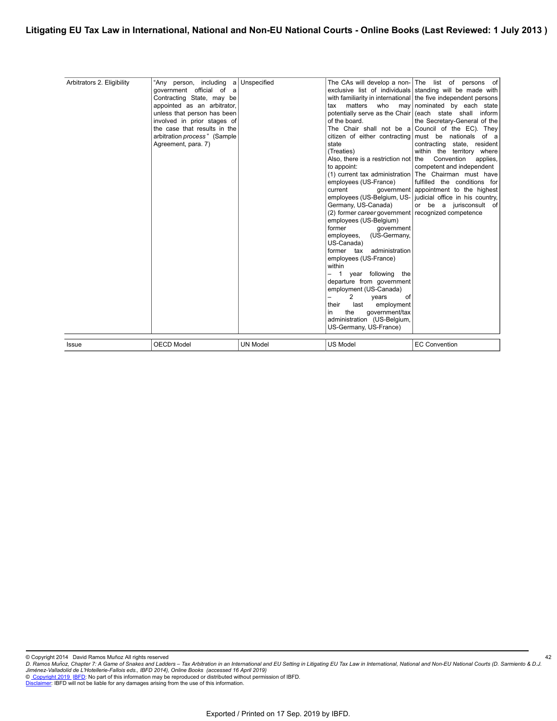| Issue                      | <b>OECD Model</b>                                                                                                                                                                                                                                                                 | <b>UN Model</b> | <b>US Model</b>                                                                                                                                                                                                                                                                                                                                                                                                                                                                                                                                                                                                                                                                | <b>EC Convention</b>                                                                                                                                                                                                                                                                                                                                                                                                                                                                                                                                                                                                                                                                                                                 |
|----------------------------|-----------------------------------------------------------------------------------------------------------------------------------------------------------------------------------------------------------------------------------------------------------------------------------|-----------------|--------------------------------------------------------------------------------------------------------------------------------------------------------------------------------------------------------------------------------------------------------------------------------------------------------------------------------------------------------------------------------------------------------------------------------------------------------------------------------------------------------------------------------------------------------------------------------------------------------------------------------------------------------------------------------|--------------------------------------------------------------------------------------------------------------------------------------------------------------------------------------------------------------------------------------------------------------------------------------------------------------------------------------------------------------------------------------------------------------------------------------------------------------------------------------------------------------------------------------------------------------------------------------------------------------------------------------------------------------------------------------------------------------------------------------|
| Arbitrators 2. Eligibility | "Any person, including a Unspecified<br>government official of a<br>Contracting State, may be<br>appointed as an arbitrator,<br>unless that person has been<br>involved in prior stages of<br>the case that results in the<br>arbitration process" (Sample<br>Agreement, para. 7) |                 | matters<br>who<br>tax<br>may  <br>of the board.<br>citizen of either contracting<br>state<br>(Treaties)<br>Also, there is a restriction not   the<br>to appoint:<br>employees (US-France)<br>current<br>Germany, US-Canada)<br>(2) former career government recognized competence<br>employees (US-Belgium)<br>former<br>government<br>(US-Germany,<br>employees,<br>US-Canada)<br>former tax administration<br>employees (US-France)<br>within<br>year following the<br>- 1<br>departure from government<br>employment (US-Canada)<br>2<br>of<br>vears<br>employment<br>their<br>last<br>qovernment/tax<br>the<br>in<br>administration (US-Belgium,<br>US-Germany, US-France) | The CAs will develop a non- The list of persons of<br>exclusive list of individuals standing will be made with<br>with familiarity in international the five independent persons<br>nominated by each state<br>potentially serve as the Chair (each state shall inform<br>the Secretary-General of the<br>The Chair shall not be a Council of the EC). They<br>must be nationals of a<br>contracting state, resident<br>within the territory where<br>Convention<br>applies.<br>competent and independent<br>(1) current tax administration The Chairman must have<br>fulfilled the conditions for<br>government appointment to the highest<br>employees (US-Belgium, US- judicial office in his country,<br>or be a jurisconsult of |
|                            |                                                                                                                                                                                                                                                                                   |                 |                                                                                                                                                                                                                                                                                                                                                                                                                                                                                                                                                                                                                                                                                |                                                                                                                                                                                                                                                                                                                                                                                                                                                                                                                                                                                                                                                                                                                                      |

© Copyright 2014 David Ramos Muñoz All rights reserved<br>D. Ramos Muñoz, Chapter 7: A Game of Snakes and Ladders – Tax Arbitration in an International and Ligating EU Tax Law in International, National and Non-EU National Co *Jiménez-Valladolid de L'Hotellerie-Fallois eds., IBFD 2014), Online Books (accessed 16 April 2019)*<br>© <u>Copyright 2019. [IBFD:](http://www.ibfd.org)</u> No part of this information may be reproduced or distributed without permission of IBFD.<br><u>Disc</u> 42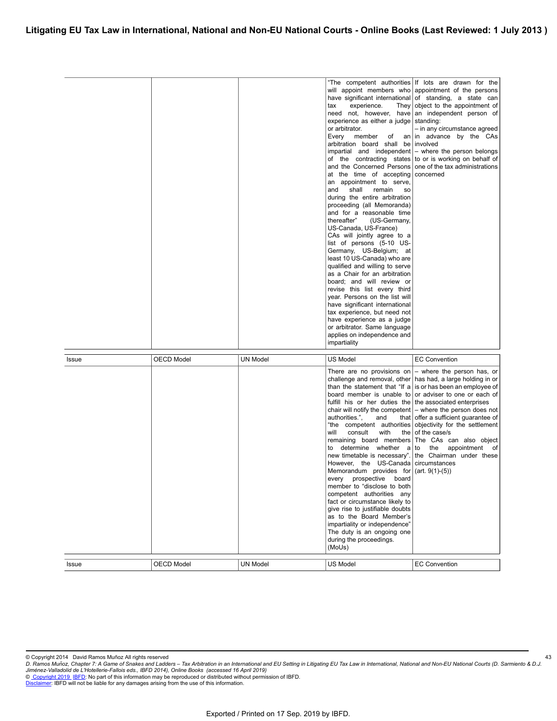|              |                   |                 | tax<br>experience.<br>experience as either a judge<br>or arbitrator.<br>Every<br>member<br>of<br>arbitration board shall be involved<br>and the Concerned Persons<br>at the time of accepting<br>an appointment to serve,<br>and<br>shall<br>remain<br>SO.<br>during the entire arbitration<br>proceeding (all Memoranda)<br>and for a reasonable time<br>thereafter"<br>(US-Germany,<br>US-Canada, US-France)<br>CAs will jointly agree to a<br>list of persons (5-10 US-<br>Germany, US-Belgium; at<br>least 10 US-Canada) who are<br>qualified and willing to serve<br>as a Chair for an arbitration<br>board; and will review or<br>revise this list every third<br>year. Persons on the list will<br>have significant international<br>tax experience, but need not<br>have experience as a judge<br>or arbitrator. Same language<br>applies on independence and<br>impartiality | "The competent authorities If lots are drawn for the<br>will appoint members who appointment of the persons<br>have significant international of standing, a state can<br>They object to the appointment of<br>need not, however, have an independent person of<br>standing:<br>- in any circumstance agreed<br>an in advance by the CAs<br>impartial and independent $-$ where the person belongs<br>of the contracting states to or is working on behalf of<br>one of the tax administrations<br>concerned                                               |
|--------------|-------------------|-----------------|---------------------------------------------------------------------------------------------------------------------------------------------------------------------------------------------------------------------------------------------------------------------------------------------------------------------------------------------------------------------------------------------------------------------------------------------------------------------------------------------------------------------------------------------------------------------------------------------------------------------------------------------------------------------------------------------------------------------------------------------------------------------------------------------------------------------------------------------------------------------------------------|------------------------------------------------------------------------------------------------------------------------------------------------------------------------------------------------------------------------------------------------------------------------------------------------------------------------------------------------------------------------------------------------------------------------------------------------------------------------------------------------------------------------------------------------------------|
| <b>Issue</b> | <b>OECD Model</b> | <b>UN Model</b> | <b>US Model</b>                                                                                                                                                                                                                                                                                                                                                                                                                                                                                                                                                                                                                                                                                                                                                                                                                                                                       | <b>EC Convention</b>                                                                                                                                                                                                                                                                                                                                                                                                                                                                                                                                       |
|              |                   |                 | There are no provisions on<br>fulfill his or her duties the the associated enterprises<br>authorities.",<br>and<br>will<br>consult<br>with<br>to determine whether a<br>However, the US-Canada   circumstances<br>Memorandum provides for $ $ (art. 9(1)-(5))<br>every<br>prospective board<br>member to "disclose to both<br>competent authorities any<br>fact or circumstance likely to<br>give rise to justifiable doubts<br>as to the Board Member's<br>impartiality or independence"<br>The duty is an ongoing one<br>during the proceedings.<br>(MoUs)                                                                                                                                                                                                                                                                                                                          | - where the person has, or<br>challenge and removal, other has had, a large holding in or<br>than the statement that "If a is or has been an employee of<br>board member is unable to or adviser to one or each of<br>chair will notify the competent $-$ where the person does not<br>that offer a sufficient guarantee of<br>"the competent authorities objectivity for the settlement<br>the $\vert$ of the case/s<br>remaining board members The CAs can also object<br>to the appointment of<br>new timetable is necessary". the Chairman under these |
| Issue        | <b>OECD Model</b> | <b>UN Model</b> | US Model                                                                                                                                                                                                                                                                                                                                                                                                                                                                                                                                                                                                                                                                                                                                                                                                                                                                              | <b>EC Convention</b>                                                                                                                                                                                                                                                                                                                                                                                                                                                                                                                                       |

<sup>©</sup> Copyright 2014 David Ramos Muñoz All rights reserved<br>D. Ramos Muñoz, Chapter 7: A Game of Snakes and Ladders – Tax Arbitration in an International and Ligating EU Tax Law in International, National and Non-EU National Co *Jiménez-Valladolid de L'Hotellerie-Fallois eds., IBFD 2014), Online Books (accessed 16 April 2019)*<br>© <u>Copyright 2019. [IBFD:](http://www.ibfd.org)</u> No part of this information may be reproduced or distributed without permission of IBFD.<br><u>Disc</u>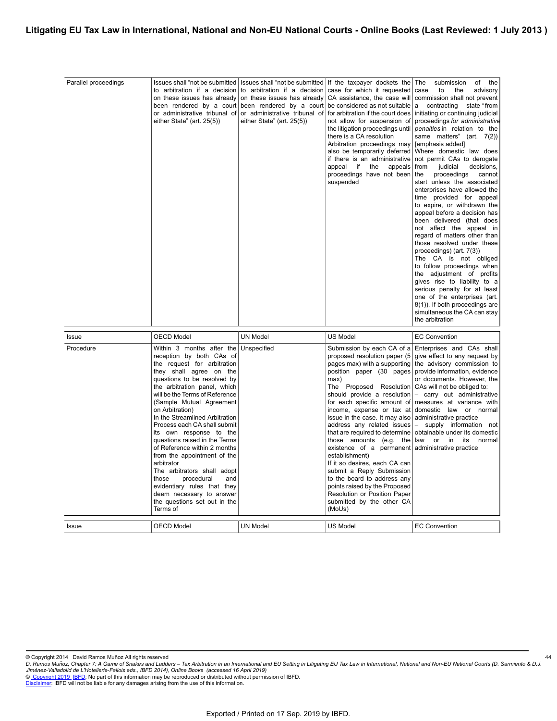| Parallel proceedings | Issues shall "not be submitted   Issues shall "not be submitted                                                                                                                                                                                                                                                                                                                                                                                                                                                                                                                                                                                            |                                                                                            | If the taxpayer dockets the                                                                                                                                                                                                                                                                                                                                                                                                                                                                                                                                                                                                     | The<br>submission<br>of<br>the                                                                                                                                                                                                                                                                                                                                                                                                                                                                                                                                                                                                                                                                                                                                                                                                                                                                                                                                      |
|----------------------|------------------------------------------------------------------------------------------------------------------------------------------------------------------------------------------------------------------------------------------------------------------------------------------------------------------------------------------------------------------------------------------------------------------------------------------------------------------------------------------------------------------------------------------------------------------------------------------------------------------------------------------------------------|--------------------------------------------------------------------------------------------|---------------------------------------------------------------------------------------------------------------------------------------------------------------------------------------------------------------------------------------------------------------------------------------------------------------------------------------------------------------------------------------------------------------------------------------------------------------------------------------------------------------------------------------------------------------------------------------------------------------------------------|---------------------------------------------------------------------------------------------------------------------------------------------------------------------------------------------------------------------------------------------------------------------------------------------------------------------------------------------------------------------------------------------------------------------------------------------------------------------------------------------------------------------------------------------------------------------------------------------------------------------------------------------------------------------------------------------------------------------------------------------------------------------------------------------------------------------------------------------------------------------------------------------------------------------------------------------------------------------|
|                      | to arbitration if a decision to arbitration if a decision<br>on these issues has already<br>been rendered by a court been rendered by a court<br>or administrative tribunal of<br>either State" (art. 25(5))                                                                                                                                                                                                                                                                                                                                                                                                                                               | on these issues has already<br>or administrative tribunal of<br>either State" (art. 25(5)) | case for which it requested<br>CA assistance, the case will<br>be considered as not suitable<br>for arbitration if the court does<br>not allow for suspension of<br>the litigation proceedings until<br>there is a CA resolution<br>Arbitration proceedings may<br>also be temporarily deferred<br>if there is an administrative<br>appeal if the<br>appeals<br>proceedings have not been<br>suspended                                                                                                                                                                                                                          | case<br>to<br>the<br>advisory<br>commission shall not prevent<br>a contracting state "from<br>initiating or continuing judicial<br>proceedings for administrative<br>penalties in relation to the<br>same matters" (art. 7(2))<br>[emphasis added]<br>Where domestic law does<br>not permit CAs to derogate<br>from<br>judicial<br>decisions,<br>the<br>proceedings<br>cannot<br>start unless the associated<br>enterprises have allowed the<br>time provided for appeal<br>to expire, or withdrawn the<br>appeal before a decision has<br>been delivered (that does<br>not affect the appeal in<br>regard of matters other than<br>those resolved under these<br>proceedings) (art. 7(3))<br>The CA is not obliged<br>to follow proceedings when<br>the adjustment of profits<br>gives rise to liability to a<br>serious penalty for at least<br>one of the enterprises (art.<br>8(1)). If both proceedings are<br>simultaneous the CA can stay<br>the arbitration |
| Issue                | <b>OECD Model</b>                                                                                                                                                                                                                                                                                                                                                                                                                                                                                                                                                                                                                                          | <b>UN Model</b>                                                                            | US Model                                                                                                                                                                                                                                                                                                                                                                                                                                                                                                                                                                                                                        | <b>EC Convention</b>                                                                                                                                                                                                                                                                                                                                                                                                                                                                                                                                                                                                                                                                                                                                                                                                                                                                                                                                                |
| Procedure            | Within 3 months after the Unspecified<br>reception by both CAs of<br>the request for arbitration<br>they shall agree on the<br>questions to be resolved by<br>the arbitration panel, which<br>will be the Terms of Reference<br>(Sample Mutual Agreement<br>on Arbitration)<br>In the Streamlined Arbitration<br>Process each CA shall submit<br>its own response to the<br>questions raised in the Terms<br>of Reference within 2 months<br>from the appointment of the<br>arbitrator<br>The arbitrators shall adopt<br>those<br>procedural<br>and<br>evidentiary rules that they<br>deem necessary to answer<br>the questions set out in the<br>Terms of |                                                                                            | Submission by each CA of a<br>proposed resolution paper (5<br>pages max) with a supporting<br>position paper (30 pages<br>max)<br>The Proposed Resolution<br>should provide a resolution<br>for each specific amount of<br>issue in the case. It may also<br>address any related issues<br>that are required to determine<br>those amounts (e.g. the<br>existence of a permanent administrative practice<br>establishment)<br>If it so desires, each CA can<br>submit a Reply Submission<br>to the board to address any<br>points raised by the Proposed<br>Resolution or Position Paper<br>submitted by the other CA<br>(MoUs) | Enterprises and CAs shall<br>give effect to any request by<br>the advisory commission to<br>provide information, evidence<br>or documents. However, the<br>CAs will not be obliged to:<br>- carry out administrative<br>measures at variance with<br>income, expense or tax at domestic law or normal<br>administrative practice<br>- supply information not<br>obtainable under its domestic<br>law or in its<br>normal                                                                                                                                                                                                                                                                                                                                                                                                                                                                                                                                            |
| Issue                | <b>OECD Model</b>                                                                                                                                                                                                                                                                                                                                                                                                                                                                                                                                                                                                                                          | <b>UN Model</b>                                                                            | <b>US Model</b>                                                                                                                                                                                                                                                                                                                                                                                                                                                                                                                                                                                                                 | <b>EC Convention</b>                                                                                                                                                                                                                                                                                                                                                                                                                                                                                                                                                                                                                                                                                                                                                                                                                                                                                                                                                |

<sup>©</sup> Copyright 2014 David Ramos Muñoz All rights reserved<br>D. Ramos Muñoz, Chapter 7: A Game of Snakes and Ladders – Tax Arbitration in an International and Ligating EU Tax Law in International, National and Non-EU National Co *Jiménez-Valladolid de L'Hotellerie-Fallois eds., IBFD 2014), Online Books (accessed 16 April 2019)*<br>© <u>Copyright 2019. [IBFD:](http://www.ibfd.org)</u> No part of this information may be reproduced or distributed without permission of IBFD.<br><u>Disc</u>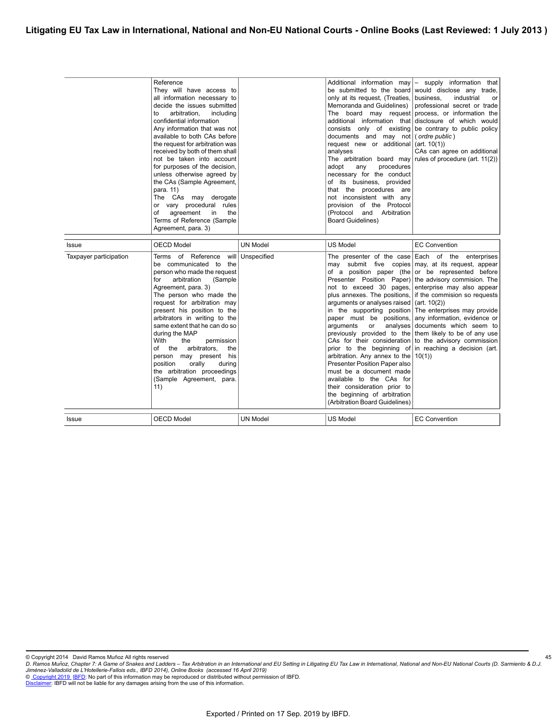|                        | Reference<br>They will have access to<br>all information necessary to<br>decide the issues submitted<br>arbitration,<br>including<br>to<br>confidential information<br>Any information that was not<br>available to both CAs before<br>the request for arbitration was<br>received by both of them shall<br>not be taken into account<br>for purposes of the decision,<br>unless otherwise agreed by<br>the CAs (Sample Agreement,<br>para. 11)<br>The CAs may derogate<br>or vary procedural rules<br>of<br>agreement<br>the<br>in<br>Terms of Reference (Sample<br>Agreement, para. 3) |                 | only at its request, (Treaties, business,<br>Memoranda and Guidelines)<br>consists only of existing<br>documents and may not (ordre public)<br>request new or additional $ $ (art. 10(1))<br>analyses<br>The arbitration board may<br>procedures<br>adopt<br>any<br>necessary for the conduct<br>of its business, provided<br>that the procedures are<br>not inconsistent with any<br>provision of the Protocol<br>(Protocol and<br>Arbitration<br><b>Board Guidelines)</b> | Additional information may $\vert -$ supply information that<br>be submitted to the board would disclose any trade,<br>industrial<br>or<br>professional secret or trade<br>The board may request process, or information the<br>additional information that disclosure of which would<br>be contrary to public policy<br>CAs can agree on additional<br>rules of procedure (art. 11(2))                                                                                                                                                                                                            |
|------------------------|------------------------------------------------------------------------------------------------------------------------------------------------------------------------------------------------------------------------------------------------------------------------------------------------------------------------------------------------------------------------------------------------------------------------------------------------------------------------------------------------------------------------------------------------------------------------------------------|-----------------|-----------------------------------------------------------------------------------------------------------------------------------------------------------------------------------------------------------------------------------------------------------------------------------------------------------------------------------------------------------------------------------------------------------------------------------------------------------------------------|----------------------------------------------------------------------------------------------------------------------------------------------------------------------------------------------------------------------------------------------------------------------------------------------------------------------------------------------------------------------------------------------------------------------------------------------------------------------------------------------------------------------------------------------------------------------------------------------------|
| <b>Issue</b>           | <b>OECD Model</b>                                                                                                                                                                                                                                                                                                                                                                                                                                                                                                                                                                        | <b>UN Model</b> | <b>US Model</b>                                                                                                                                                                                                                                                                                                                                                                                                                                                             | <b>EC Convention</b>                                                                                                                                                                                                                                                                                                                                                                                                                                                                                                                                                                               |
| Taxpayer participation | Terms of Reference will Unspecified<br>be communicated to the<br>person who made the request<br>arbitration<br>(Sample)<br>for<br>Agreement, para. 3)<br>The person who made the<br>request for arbitration may<br>present his position to the<br>arbitrators in writing to the<br>same extent that he can do so<br>during the MAP<br>With<br>the<br>permission<br>arbitrators,<br>of the<br>the<br>person may present his<br>orally<br>position<br>during<br>the arbitration proceedings<br>(Sample Agreement, para.<br>11)                                                             |                 | not to exceed 30 pages,<br>arguments or analyses raised $ $ (art. 10(2))<br>in the supporting position<br>paper must be positions,<br>arguments<br>or<br>analyses<br>arbitration. Any annex to the<br>Presenter Position Paper also<br>must be a document made<br>available to the CAs for<br>their consideration prior to<br>the beginning of arbitration<br>(Arbitration Board Guidelines)                                                                                | The presenter of the case Each of the enterprises<br>may submit five copies may, at its request, appear<br>of a position paper (the or be represented before<br>Presenter Position Paper) the advisory commision. The<br>enterprise may also appear<br>plus annexes. The positions, if the commision so requests<br>The enterprises may provide<br>any information, evidence or<br>documents which seem to<br>previously provided to the them likely to be of any use<br>CAs for their consideration to the advisory commission<br>prior to the beginning of in reaching a decision (art.<br>10(1) |
| <b>Issue</b>           | <b>OECD Model</b>                                                                                                                                                                                                                                                                                                                                                                                                                                                                                                                                                                        | <b>UN Model</b> | <b>US Model</b>                                                                                                                                                                                                                                                                                                                                                                                                                                                             | <b>EC Convention</b>                                                                                                                                                                                                                                                                                                                                                                                                                                                                                                                                                                               |

© Copyright 2014 David Ramos Muñoz All rights reserved<br>D. Ramos Muñoz, Chapter 7: A Game of Snakes and Ladders – Tax Arbitration in an International and Ligating EU Tax Law in International, National and Non-EU National Co *Jiménez-Valladolid de L'Hotellerie-Fallois eds., IBFD 2014), Online Books (accessed 16 April 2019)*<br>© <u>Copyright 2019. [IBFD:](http://www.ibfd.org)</u> No part of this information may be reproduced or distributed without permission of IBFD.<br><u>Disc</u>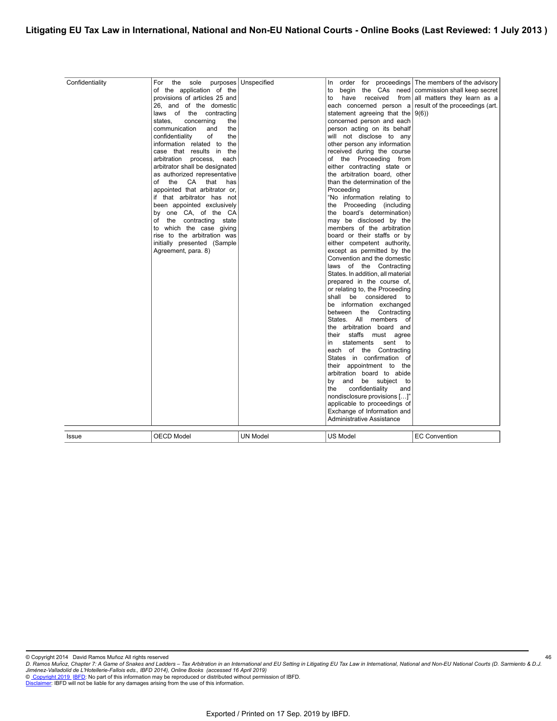| Confidentiality | For the sole<br>of the application of the<br>provisions of articles 25 and<br>26, and of the domestic<br>laws of the contracting<br>states.<br>concerning<br>the<br>communication<br>the<br>and<br>confidentiality<br>the<br>of<br>the<br>information related to<br>case that results in the<br>arbitration process,<br>each<br>arbitrator shall be designated<br>as authorized representative<br>of the<br>CA that<br>has<br>appointed that arbitrator or,<br>if that arbitrator has not<br>been appointed exclusively<br>by one CA, of the CA<br>of the contracting state<br>to which the case giving<br>rise to the arbitration was<br>initially presented (Sample<br>Agreement, para. 8) | purposes   Unspecified | In<br>to<br>have<br>received<br>to<br>each concerned person a<br>statement agreeing that the $ 9(6)\rangle$<br>concerned person and each<br>person acting on its behalf<br>will not disclose to any<br>other person any information<br>received during the course<br>of the Proceeding from<br>either contracting state or<br>the arbitration board, other<br>than the determination of the<br>Proceeding<br>"No information relating to<br>the Proceeding (including<br>the board's determination)<br>may be disclosed by the<br>members of the arbitration<br>board or their staffs or by<br>either competent authority,<br>except as permitted by the<br>Convention and the domestic<br>laws of the Contracting<br>States. In addition, all material<br>prepared in the course of,<br>or relating to, the Proceeding<br>shall be considered<br>to<br>be information exchanged<br>between the Contracting<br>States. All members of<br>the arbitration board and<br>their staffs must agree<br>sent<br>statements<br>in<br>to<br>each of the Contracting<br>States in confirmation of<br>their appointment to the<br>arbitration board to abide<br>by and be subject to<br>confidentiality<br>the<br>and<br>nondisclosure provisions []"<br>applicable to proceedings of<br>Exchange of Information and<br>Administrative Assistance | order for proceedings The members of the advisory<br>begin the CAs need   commission shall keep secret<br>from all matters they learn as a<br>result of the proceedings (art. |
|-----------------|----------------------------------------------------------------------------------------------------------------------------------------------------------------------------------------------------------------------------------------------------------------------------------------------------------------------------------------------------------------------------------------------------------------------------------------------------------------------------------------------------------------------------------------------------------------------------------------------------------------------------------------------------------------------------------------------|------------------------|----------------------------------------------------------------------------------------------------------------------------------------------------------------------------------------------------------------------------------------------------------------------------------------------------------------------------------------------------------------------------------------------------------------------------------------------------------------------------------------------------------------------------------------------------------------------------------------------------------------------------------------------------------------------------------------------------------------------------------------------------------------------------------------------------------------------------------------------------------------------------------------------------------------------------------------------------------------------------------------------------------------------------------------------------------------------------------------------------------------------------------------------------------------------------------------------------------------------------------------------------------------------------------------------------------------------------------------|-------------------------------------------------------------------------------------------------------------------------------------------------------------------------------|
| Issue           | <b>OECD Model</b>                                                                                                                                                                                                                                                                                                                                                                                                                                                                                                                                                                                                                                                                            | UN Model               | US Model                                                                                                                                                                                                                                                                                                                                                                                                                                                                                                                                                                                                                                                                                                                                                                                                                                                                                                                                                                                                                                                                                                                                                                                                                                                                                                                               | <b>EC Convention</b>                                                                                                                                                          |

© Copyright 2014 David Ramos Muñoz All rights reserved<br>D. Ramos Muñoz, Chapter 7: A Game of Snakes and Ladders – Tax Arbitration in an International and Ligating EU Tax Law in International, National and Non-EU National Co *Jiménez-Valladolid de L'Hotellerie-Fallois eds., IBFD 2014), Online Books (accessed 16 April 2019)*<br>© <u>Copyright 2019. [IBFD:](http://www.ibfd.org)</u> No part of this information may be reproduced or distributed without permission of IBFD.<br><u>Disc</u>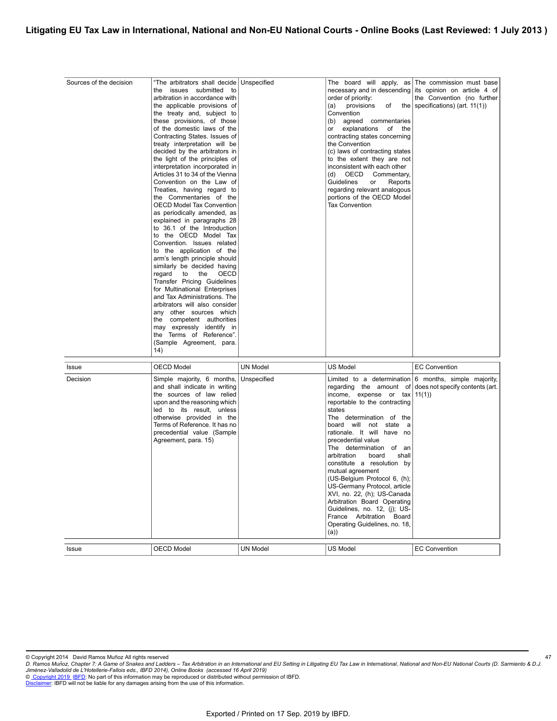| Sources of the decision    | "The arbitrators shall decide Unspecified<br>the issues submitted<br>to<br>arbitration in accordance with<br>the applicable provisions of<br>the treaty and, subject to<br>these provisions, of those<br>of the domestic laws of the<br>Contracting States. Issues of<br>treaty interpretation will be<br>decided by the arbitrators in<br>the light of the principles of<br>interpretation incorporated in<br>Articles 31 to 34 of the Vienna<br>Convention on the Law of<br>Treaties, having regard to<br>the Commentaries of the<br><b>OECD Model Tax Convention</b><br>as periodically amended, as<br>explained in paragraphs 28<br>to 36.1 of the Introduction<br>to the OECD Model Tax<br>Convention. Issues related<br>to the application of the<br>arm's length principle should<br>similarly be decided having<br>regard<br>to<br>the<br>OECD<br>Transfer Pricing Guidelines<br>for Multinational Enterprises<br>and Tax Administrations. The<br>arbitrators will also consider<br>any other sources which<br>the competent authorities<br>may expressly identify in<br>the Terms of Reference".<br>(Sample Agreement, para.<br>(14) |                                    | order of priority:<br>provisions<br>(a)<br>Convention<br>(b) agreed commentaries<br>explanations<br>of the<br>or<br>contracting states concerning<br>the Convention<br>(c) laws of contracting states<br>to the extent they are not<br>inconsistent with each other<br>(d)<br>OECD<br>Commentary,<br>Guidelines<br>or<br>Reports<br>regarding relevant analogous<br>portions of the OECD Model<br><b>Tax Convention</b>                                                                                                                                                                                                                                 | The board will apply, as The commission must base<br>necessary and in descending its opinion on article 4 of<br>the Convention (no further<br>of the specifications) (art. $11(1)$ ) |
|----------------------------|-----------------------------------------------------------------------------------------------------------------------------------------------------------------------------------------------------------------------------------------------------------------------------------------------------------------------------------------------------------------------------------------------------------------------------------------------------------------------------------------------------------------------------------------------------------------------------------------------------------------------------------------------------------------------------------------------------------------------------------------------------------------------------------------------------------------------------------------------------------------------------------------------------------------------------------------------------------------------------------------------------------------------------------------------------------------------------------------------------------------------------------------------|------------------------------------|---------------------------------------------------------------------------------------------------------------------------------------------------------------------------------------------------------------------------------------------------------------------------------------------------------------------------------------------------------------------------------------------------------------------------------------------------------------------------------------------------------------------------------------------------------------------------------------------------------------------------------------------------------|--------------------------------------------------------------------------------------------------------------------------------------------------------------------------------------|
|                            |                                                                                                                                                                                                                                                                                                                                                                                                                                                                                                                                                                                                                                                                                                                                                                                                                                                                                                                                                                                                                                                                                                                                               |                                    |                                                                                                                                                                                                                                                                                                                                                                                                                                                                                                                                                                                                                                                         |                                                                                                                                                                                      |
| Issue<br>Decision<br>Issue | <b>OECD Model</b><br>Simple majority, 6 months, Unspecified<br>and shall indicate in writing<br>the sources of law relied<br>upon and the reasoning which<br>led to its result, unless<br>otherwise provided in the<br>Terms of Reference. It has no<br>precedential value (Sample<br>Agreement, para. 15)<br><b>OECD Model</b>                                                                                                                                                                                                                                                                                                                                                                                                                                                                                                                                                                                                                                                                                                                                                                                                               | <b>UN Model</b><br><b>UN Model</b> | <b>US Model</b><br>Limited to a determination $6$ months, simple majority,<br>regarding the amount of<br>income, expense or tax<br>reportable to the contracting<br>states<br>The determination of the<br>board will not state a<br>rationale. It will have no<br>precedential value<br>The determination of an<br>arbitration<br>board<br>shall<br>constitute a resolution by<br>mutual agreement<br>(US-Belgium Protocol 6, (h);<br>US-Germany Protocol, article<br>XVI, no. 22, (h); US-Canada<br>Arbitration Board Operating<br>Guidelines, no. 12, (j); US-<br>France Arbitration Board<br>Operating Guidelines, no. 18,<br>(a)<br><b>US Model</b> | <b>EC Convention</b><br>does not specify contents (art.<br>11(1)<br><b>EC Convention</b>                                                                                             |

<sup>©</sup> Copyright 2014 David Ramos Muñoz All rights reserved<br>D. Ramos Muñoz, Chapter 7: A Game of Snakes and Ladders – Tax Arbitration in an International and Ligating EU Tax Law in International, National and Non-EU National Co *Jiménez-Valladolid de L'Hotellerie-Fallois eds., IBFD 2014), Online Books (accessed 16 April 2019)*<br>© <u>Copyright 2019. [IBFD:](http://www.ibfd.org)</u> No part of this information may be reproduced or distributed without permission of IBFD.<br><u>Disc</u>